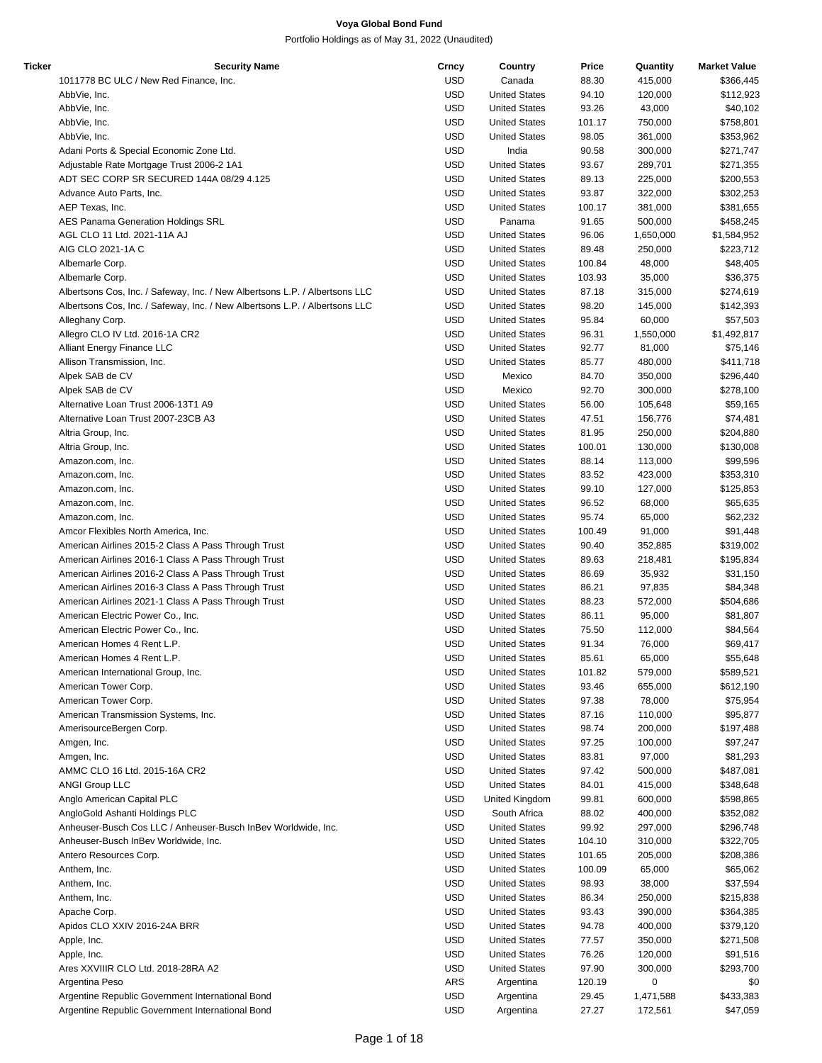| Ticker | Security Name                                                               | Crncy      | Country              | Price  | Quantity  | <b>Market Value</b> |
|--------|-----------------------------------------------------------------------------|------------|----------------------|--------|-----------|---------------------|
|        | 1011778 BC ULC / New Red Finance, Inc.                                      | <b>USD</b> | Canada               | 88.30  | 415,000   | \$366,445           |
|        | AbbVie, Inc.                                                                | <b>USD</b> | <b>United States</b> | 94.10  | 120,000   | \$112,923           |
|        | AbbVie, Inc.                                                                | <b>USD</b> | <b>United States</b> | 93.26  | 43,000    | \$40,102            |
|        | AbbVie, Inc.                                                                | <b>USD</b> | <b>United States</b> | 101.17 | 750,000   | \$758,801           |
|        | AbbVie, Inc.                                                                | <b>USD</b> | <b>United States</b> | 98.05  | 361,000   | \$353,962           |
|        | Adani Ports & Special Economic Zone Ltd.                                    | <b>USD</b> | India                | 90.58  | 300,000   | \$271,747           |
|        |                                                                             | <b>USD</b> | <b>United States</b> | 93.67  |           |                     |
|        | Adjustable Rate Mortgage Trust 2006-2 1A1                                   |            |                      |        | 289,701   | \$271,355           |
|        | ADT SEC CORP SR SECURED 144A 08/29 4.125                                    | <b>USD</b> | <b>United States</b> | 89.13  | 225,000   | \$200,553           |
|        | Advance Auto Parts, Inc.                                                    | <b>USD</b> | <b>United States</b> | 93.87  | 322,000   | \$302,253           |
|        | AEP Texas, Inc.                                                             | <b>USD</b> | <b>United States</b> | 100.17 | 381,000   | \$381,655           |
|        | AES Panama Generation Holdings SRL                                          | <b>USD</b> | Panama               | 91.65  | 500,000   | \$458,245           |
|        | AGL CLO 11 Ltd. 2021-11A AJ                                                 | <b>USD</b> | <b>United States</b> | 96.06  | 1,650,000 | \$1,584,952         |
|        | AIG CLO 2021-1A C                                                           | <b>USD</b> | <b>United States</b> | 89.48  | 250,000   | \$223,712           |
|        | Albemarle Corp.                                                             | <b>USD</b> | <b>United States</b> | 100.84 | 48,000    | \$48,405            |
|        | Albemarle Corp.                                                             | <b>USD</b> | <b>United States</b> | 103.93 | 35,000    | \$36,375            |
|        | Albertsons Cos, Inc. / Safeway, Inc. / New Albertsons L.P. / Albertsons LLC | <b>USD</b> | <b>United States</b> | 87.18  | 315,000   | \$274,619           |
|        |                                                                             |            |                      |        |           |                     |
|        | Albertsons Cos, Inc. / Safeway, Inc. / New Albertsons L.P. / Albertsons LLC | <b>USD</b> | <b>United States</b> | 98.20  | 145,000   | \$142,393           |
|        | Alleghany Corp.                                                             | <b>USD</b> | <b>United States</b> | 95.84  | 60,000    | \$57,503            |
|        | Allegro CLO IV Ltd. 2016-1A CR2                                             | <b>USD</b> | <b>United States</b> | 96.31  | 1,550,000 | \$1,492,817         |
|        | Alliant Energy Finance LLC                                                  | <b>USD</b> | <b>United States</b> | 92.77  | 81,000    | \$75,146            |
|        | Allison Transmission, Inc.                                                  | <b>USD</b> | <b>United States</b> | 85.77  | 480,000   | \$411,718           |
|        | Alpek SAB de CV                                                             | <b>USD</b> | Mexico               | 84.70  | 350,000   | \$296,440           |
|        | Alpek SAB de CV                                                             | <b>USD</b> | Mexico               | 92.70  | 300,000   | \$278,100           |
|        | Alternative Loan Trust 2006-13T1 A9                                         | <b>USD</b> | <b>United States</b> | 56.00  | 105,648   | \$59,165            |
|        | Alternative Loan Trust 2007-23CB A3                                         | <b>USD</b> | <b>United States</b> |        |           |                     |
|        |                                                                             |            |                      | 47.51  | 156,776   | \$74,481            |
|        | Altria Group, Inc.                                                          | <b>USD</b> | <b>United States</b> | 81.95  | 250,000   | \$204,880           |
|        | Altria Group, Inc.                                                          | <b>USD</b> | <b>United States</b> | 100.01 | 130,000   | \$130,008           |
|        | Amazon.com, Inc.                                                            | <b>USD</b> | <b>United States</b> | 88.14  | 113,000   | \$99,596            |
|        | Amazon.com, Inc.                                                            | <b>USD</b> | <b>United States</b> | 83.52  | 423,000   | \$353,310           |
|        | Amazon.com, Inc.                                                            | <b>USD</b> | <b>United States</b> | 99.10  | 127,000   | \$125,853           |
|        | Amazon.com, Inc.                                                            | <b>USD</b> | <b>United States</b> | 96.52  | 68,000    | \$65,635            |
|        | Amazon.com, Inc.                                                            | <b>USD</b> | <b>United States</b> | 95.74  | 65,000    | \$62,232            |
|        | Amcor Flexibles North America, Inc.                                         | <b>USD</b> | <b>United States</b> | 100.49 | 91,000    | \$91,448            |
|        |                                                                             |            |                      |        |           |                     |
|        | American Airlines 2015-2 Class A Pass Through Trust                         | <b>USD</b> | <b>United States</b> | 90.40  | 352,885   | \$319,002           |
|        | American Airlines 2016-1 Class A Pass Through Trust                         | <b>USD</b> | <b>United States</b> | 89.63  | 218,481   | \$195,834           |
|        | American Airlines 2016-2 Class A Pass Through Trust                         | <b>USD</b> | <b>United States</b> | 86.69  | 35,932    | \$31,150            |
|        | American Airlines 2016-3 Class A Pass Through Trust                         | <b>USD</b> | <b>United States</b> | 86.21  | 97,835    | \$84,348            |
|        | American Airlines 2021-1 Class A Pass Through Trust                         | <b>USD</b> | <b>United States</b> | 88.23  | 572,000   | \$504,686           |
|        | American Electric Power Co., Inc.                                           | <b>USD</b> | <b>United States</b> | 86.11  | 95,000    | \$81,807            |
|        | American Electric Power Co., Inc.                                           | <b>USD</b> | <b>United States</b> | 75.50  | 112,000   | \$84,564            |
|        | American Homes 4 Rent L.P.                                                  | <b>USD</b> | <b>United States</b> | 91.34  | 76,000    | \$69,417            |
|        | American Homes 4 Rent L.P.                                                  | <b>USD</b> | <b>United States</b> | 85.61  | 65,000    | \$55,648            |
|        |                                                                             |            |                      |        |           |                     |
|        | American International Group, Inc.                                          | <b>USD</b> | <b>United States</b> | 101.82 | 579,000   | \$589,521           |
|        | American Tower Corp.                                                        | <b>USD</b> | <b>United States</b> | 93.46  | 655,000   | \$612,190           |
|        | American Tower Corp.                                                        | <b>USD</b> | <b>United States</b> | 97.38  | 78,000    | \$75,954            |
|        | American Transmission Systems, Inc.                                         | <b>USD</b> | <b>United States</b> | 87.16  | 110,000   | \$95,877            |
|        | AmerisourceBergen Corp.                                                     | <b>USD</b> | <b>United States</b> | 98.74  | 200,000   | \$197,488           |
|        | Amgen, Inc.                                                                 | <b>USD</b> | <b>United States</b> | 97.25  | 100,000   | \$97,247            |
|        | Amgen, Inc.                                                                 | <b>USD</b> | <b>United States</b> | 83.81  | 97,000    | \$81,293            |
|        | AMMC CLO 16 Ltd. 2015-16A CR2                                               | <b>USD</b> | <b>United States</b> | 97.42  | 500,000   | \$487,081           |
|        | <b>ANGI Group LLC</b>                                                       | <b>USD</b> |                      |        |           |                     |
|        |                                                                             |            | <b>United States</b> | 84.01  | 415,000   | \$348,648           |
|        | Anglo American Capital PLC                                                  | <b>USD</b> | United Kingdom       | 99.81  | 600,000   | \$598,865           |
|        | AngloGold Ashanti Holdings PLC                                              | <b>USD</b> | South Africa         | 88.02  | 400,000   | \$352,082           |
|        | Anheuser-Busch Cos LLC / Anheuser-Busch InBev Worldwide, Inc.               | <b>USD</b> | <b>United States</b> | 99.92  | 297,000   | \$296,748           |
|        | Anheuser-Busch InBev Worldwide, Inc.                                        | <b>USD</b> | <b>United States</b> | 104.10 | 310,000   | \$322,705           |
|        | Antero Resources Corp.                                                      | <b>USD</b> | <b>United States</b> | 101.65 | 205,000   | \$208,386           |
|        | Anthem, Inc.                                                                | <b>USD</b> | <b>United States</b> | 100.09 | 65,000    | \$65,062            |
|        | Anthem, Inc.                                                                | <b>USD</b> | <b>United States</b> | 98.93  | 38,000    | \$37,594            |
|        |                                                                             | <b>USD</b> |                      |        |           |                     |
|        | Anthem, Inc.                                                                |            | <b>United States</b> | 86.34  | 250,000   | \$215,838           |
|        | Apache Corp.                                                                | <b>USD</b> | <b>United States</b> | 93.43  | 390,000   | \$364,385           |
|        | Apidos CLO XXIV 2016-24A BRR                                                | <b>USD</b> | <b>United States</b> | 94.78  | 400,000   | \$379,120           |
|        | Apple, Inc.                                                                 | <b>USD</b> | <b>United States</b> | 77.57  | 350,000   | \$271,508           |
|        | Apple, Inc.                                                                 | <b>USD</b> | <b>United States</b> | 76.26  | 120,000   | \$91,516            |
|        | Ares XXVIIIR CLO Ltd. 2018-28RA A2                                          | <b>USD</b> | <b>United States</b> | 97.90  | 300,000   | \$293,700           |
|        | Argentina Peso                                                              | ARS        | Argentina            | 120.19 | 0         | \$0                 |
|        | Argentine Republic Government International Bond                            | <b>USD</b> | Argentina            | 29.45  | 1,471,588 | \$433,383           |
|        | Argentine Republic Government International Bond                            | <b>USD</b> |                      |        |           | \$47,059            |
|        |                                                                             |            | Argentina            | 27.27  | 172,561   |                     |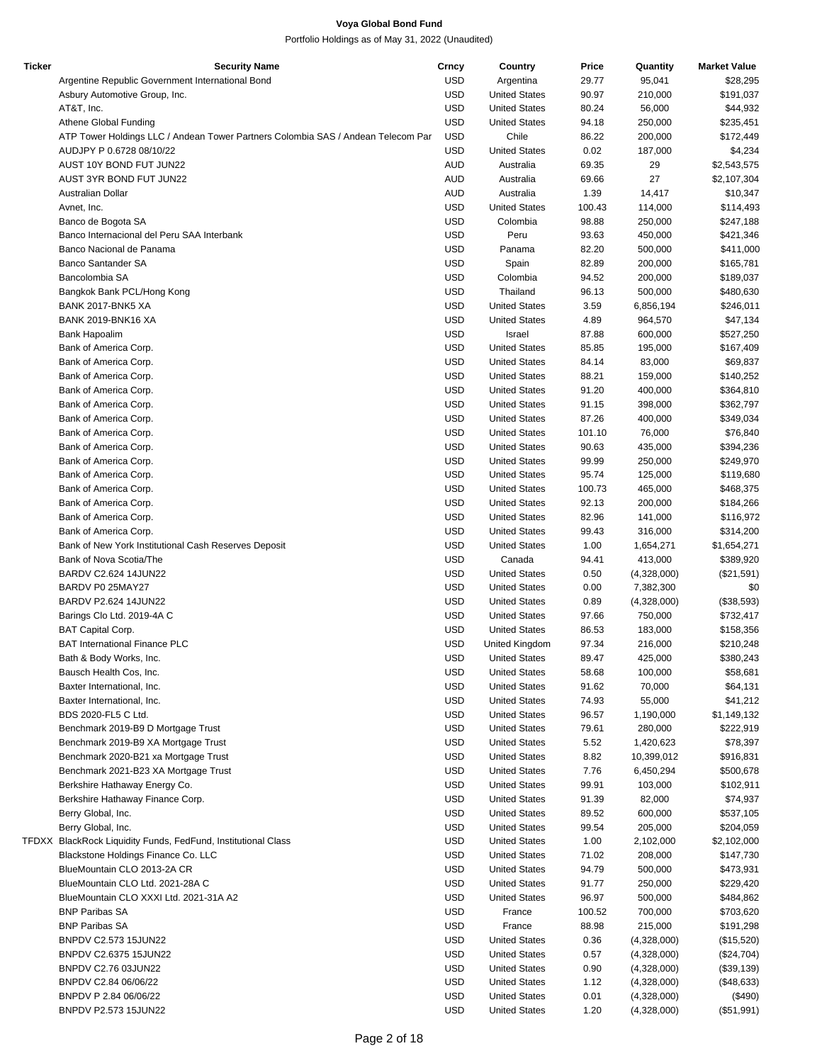| <b>Ticker</b> | <b>Security Name</b>                                                             | Crncy      | Country              | Price  | Quantity    | <b>Market Value</b> |
|---------------|----------------------------------------------------------------------------------|------------|----------------------|--------|-------------|---------------------|
|               | Argentine Republic Government International Bond                                 | <b>USD</b> | Argentina            | 29.77  | 95,041      | \$28,295            |
|               | Asbury Automotive Group, Inc.                                                    | <b>USD</b> | <b>United States</b> | 90.97  | 210,000     | \$191,037           |
|               | AT&T, Inc.                                                                       | <b>USD</b> | <b>United States</b> | 80.24  | 56,000      | \$44,932            |
|               |                                                                                  | <b>USD</b> | <b>United States</b> | 94.18  |             |                     |
|               | Athene Global Funding                                                            |            |                      |        | 250,000     | \$235,451           |
|               | ATP Tower Holdings LLC / Andean Tower Partners Colombia SAS / Andean Telecom Par | <b>USD</b> | Chile                | 86.22  | 200,000     | \$172,449           |
|               | AUDJPY P 0.6728 08/10/22                                                         | <b>USD</b> | <b>United States</b> | 0.02   | 187,000     | \$4,234             |
|               | AUST 10Y BOND FUT JUN22                                                          | <b>AUD</b> | Australia            | 69.35  | 29          | \$2,543,575         |
|               | AUST 3YR BOND FUT JUN22                                                          | <b>AUD</b> | Australia            | 69.66  | 27          | \$2,107,304         |
|               | Australian Dollar                                                                | <b>AUD</b> | Australia            | 1.39   | 14,417      | \$10,347            |
|               | Avnet, Inc.                                                                      | <b>USD</b> | <b>United States</b> | 100.43 | 114,000     | \$114,493           |
|               | Banco de Bogota SA                                                               | <b>USD</b> | Colombia             | 98.88  | 250,000     | \$247,188           |
|               | Banco Internacional del Peru SAA Interbank                                       | <b>USD</b> | Peru                 | 93.63  | 450,000     | \$421,346           |
|               | Banco Nacional de Panama                                                         | <b>USD</b> | Panama               | 82.20  | 500,000     | \$411,000           |
|               |                                                                                  |            |                      |        |             |                     |
|               | <b>Banco Santander SA</b>                                                        | <b>USD</b> | Spain                | 82.89  | 200,000     | \$165,781           |
|               | Bancolombia SA                                                                   | <b>USD</b> | Colombia             | 94.52  | 200,000     | \$189,037           |
|               | Bangkok Bank PCL/Hong Kong                                                       | <b>USD</b> | Thailand             | 96.13  | 500,000     | \$480,630           |
|               | BANK 2017-BNK5 XA                                                                | <b>USD</b> | <b>United States</b> | 3.59   | 6,856,194   | \$246,011           |
|               | <b>BANK 2019-BNK16 XA</b>                                                        | <b>USD</b> | <b>United States</b> | 4.89   | 964,570     | \$47,134            |
|               | Bank Hapoalim                                                                    | <b>USD</b> | Israel               | 87.88  | 600,000     | \$527,250           |
|               | Bank of America Corp.                                                            | <b>USD</b> | <b>United States</b> | 85.85  | 195,000     | \$167,409           |
|               | Bank of America Corp.                                                            | <b>USD</b> | <b>United States</b> | 84.14  | 83,000      | \$69,837            |
|               | Bank of America Corp.                                                            | <b>USD</b> | <b>United States</b> | 88.21  | 159,000     | \$140,252           |
|               |                                                                                  |            |                      |        |             |                     |
|               | Bank of America Corp.                                                            | <b>USD</b> | <b>United States</b> | 91.20  | 400,000     | \$364,810           |
|               | Bank of America Corp.                                                            | <b>USD</b> | <b>United States</b> | 91.15  | 398,000     | \$362,797           |
|               | Bank of America Corp.                                                            | <b>USD</b> | <b>United States</b> | 87.26  | 400,000     | \$349,034           |
|               | Bank of America Corp.                                                            | <b>USD</b> | <b>United States</b> | 101.10 | 76,000      | \$76,840            |
|               | Bank of America Corp.                                                            | <b>USD</b> | <b>United States</b> | 90.63  | 435,000     | \$394,236           |
|               | Bank of America Corp.                                                            | <b>USD</b> | <b>United States</b> | 99.99  | 250,000     | \$249,970           |
|               | Bank of America Corp.                                                            | <b>USD</b> | <b>United States</b> | 95.74  | 125,000     | \$119,680           |
|               | Bank of America Corp.                                                            | <b>USD</b> | <b>United States</b> | 100.73 | 465,000     | \$468,375           |
|               | Bank of America Corp.                                                            | <b>USD</b> | <b>United States</b> | 92.13  | 200,000     | \$184,266           |
|               |                                                                                  |            |                      |        |             |                     |
|               | Bank of America Corp.                                                            | <b>USD</b> | <b>United States</b> | 82.96  | 141,000     | \$116,972           |
|               | Bank of America Corp.                                                            | <b>USD</b> | <b>United States</b> | 99.43  | 316,000     | \$314,200           |
|               | Bank of New York Institutional Cash Reserves Deposit                             | <b>USD</b> | <b>United States</b> | 1.00   | 1,654,271   | \$1,654,271         |
|               | Bank of Nova Scotia/The                                                          | <b>USD</b> | Canada               | 94.41  | 413,000     | \$389,920           |
|               | BARDV C2.624 14JUN22                                                             | <b>USD</b> | <b>United States</b> | 0.50   | (4,328,000) | (\$21,591)          |
|               | BARDV P0 25MAY27                                                                 | <b>USD</b> | <b>United States</b> | 0.00   | 7,382,300   | \$0                 |
|               | BARDV P2.624 14JUN22                                                             | <b>USD</b> | <b>United States</b> | 0.89   | (4,328,000) | (\$38,593)          |
|               | Barings Clo Ltd. 2019-4A C                                                       | <b>USD</b> | <b>United States</b> | 97.66  | 750,000     | \$732,417           |
|               | <b>BAT Capital Corp.</b>                                                         | <b>USD</b> | <b>United States</b> | 86.53  | 183,000     | \$158,356           |
|               | <b>BAT International Finance PLC</b>                                             | <b>USD</b> | United Kingdom       | 97.34  | 216,000     | \$210,248           |
|               |                                                                                  |            |                      |        |             |                     |
|               | Bath & Body Works, Inc.                                                          | <b>USD</b> | <b>United States</b> | 89.47  | 425,000     | \$380,243           |
|               | Bausch Health Cos, Inc.                                                          | <b>USD</b> | <b>United States</b> | 58.68  | 100,000     | \$58,681            |
|               | Baxter International, Inc.                                                       | <b>USD</b> | <b>United States</b> | 91.62  | 70,000      | \$64,131            |
|               | Baxter International, Inc.                                                       | <b>USD</b> | <b>United States</b> | 74.93  | 55,000      | \$41,212            |
|               | BDS 2020-FL5 C Ltd.                                                              | <b>USD</b> | <b>United States</b> | 96.57  | 1,190,000   | \$1,149,132         |
|               | Benchmark 2019-B9 D Mortgage Trust                                               | <b>USD</b> | <b>United States</b> | 79.61  | 280,000     | \$222,919           |
|               | Benchmark 2019-B9 XA Mortgage Trust                                              | <b>USD</b> | <b>United States</b> | 5.52   | 1,420,623   | \$78,397            |
|               | Benchmark 2020-B21 xa Mortgage Trust                                             | <b>USD</b> | <b>United States</b> | 8.82   | 10,399,012  | \$916,831           |
|               | Benchmark 2021-B23 XA Mortgage Trust                                             | <b>USD</b> | <b>United States</b> | 7.76   | 6,450,294   | \$500,678           |
|               |                                                                                  |            |                      |        |             |                     |
|               | Berkshire Hathaway Energy Co.                                                    | <b>USD</b> | <b>United States</b> | 99.91  | 103,000     | \$102,911           |
|               | Berkshire Hathaway Finance Corp.                                                 | <b>USD</b> | <b>United States</b> | 91.39  | 82,000      | \$74,937            |
|               | Berry Global, Inc.                                                               | <b>USD</b> | <b>United States</b> | 89.52  | 600,000     | \$537,105           |
|               | Berry Global, Inc.                                                               | <b>USD</b> | <b>United States</b> | 99.54  | 205,000     | \$204,059           |
|               | TFDXX BlackRock Liquidity Funds, FedFund, Institutional Class                    | <b>USD</b> | <b>United States</b> | 1.00   | 2,102,000   | \$2,102,000         |
|               | Blackstone Holdings Finance Co. LLC                                              | <b>USD</b> | <b>United States</b> | 71.02  | 208,000     | \$147,730           |
|               | BlueMountain CLO 2013-2A CR                                                      | <b>USD</b> | <b>United States</b> | 94.79  | 500,000     | \$473,931           |
|               | BlueMountain CLO Ltd. 2021-28A C                                                 | <b>USD</b> | <b>United States</b> | 91.77  | 250,000     | \$229,420           |
|               | BlueMountain CLO XXXI Ltd. 2021-31A A2                                           | <b>USD</b> | <b>United States</b> | 96.97  | 500,000     | \$484,862           |
|               |                                                                                  |            |                      |        |             |                     |
|               | <b>BNP Paribas SA</b>                                                            | <b>USD</b> | France               | 100.52 | 700,000     | \$703,620           |
|               | <b>BNP Paribas SA</b>                                                            | <b>USD</b> | France               | 88.98  | 215,000     | \$191,298           |
|               | BNPDV C2.573 15JUN22                                                             | <b>USD</b> | <b>United States</b> | 0.36   | (4,328,000) | (\$15,520)          |
|               | BNPDV C2.6375 15JUN22                                                            | <b>USD</b> | <b>United States</b> | 0.57   | (4,328,000) | (\$24,704)          |
|               | BNPDV C2.76 03JUN22                                                              | <b>USD</b> | <b>United States</b> | 0.90   | (4,328,000) | (\$39,139)          |
|               | BNPDV C2.84 06/06/22                                                             | <b>USD</b> | <b>United States</b> | 1.12   | (4,328,000) | (\$48,633)          |
|               | BNPDV P 2.84 06/06/22                                                            | <b>USD</b> | <b>United States</b> | 0.01   | (4,328,000) | (\$490)             |
|               | BNPDV P2.573 15JUN22                                                             | <b>USD</b> | <b>United States</b> | 1.20   | (4,328,000) | (\$51,991)          |
|               |                                                                                  |            |                      |        |             |                     |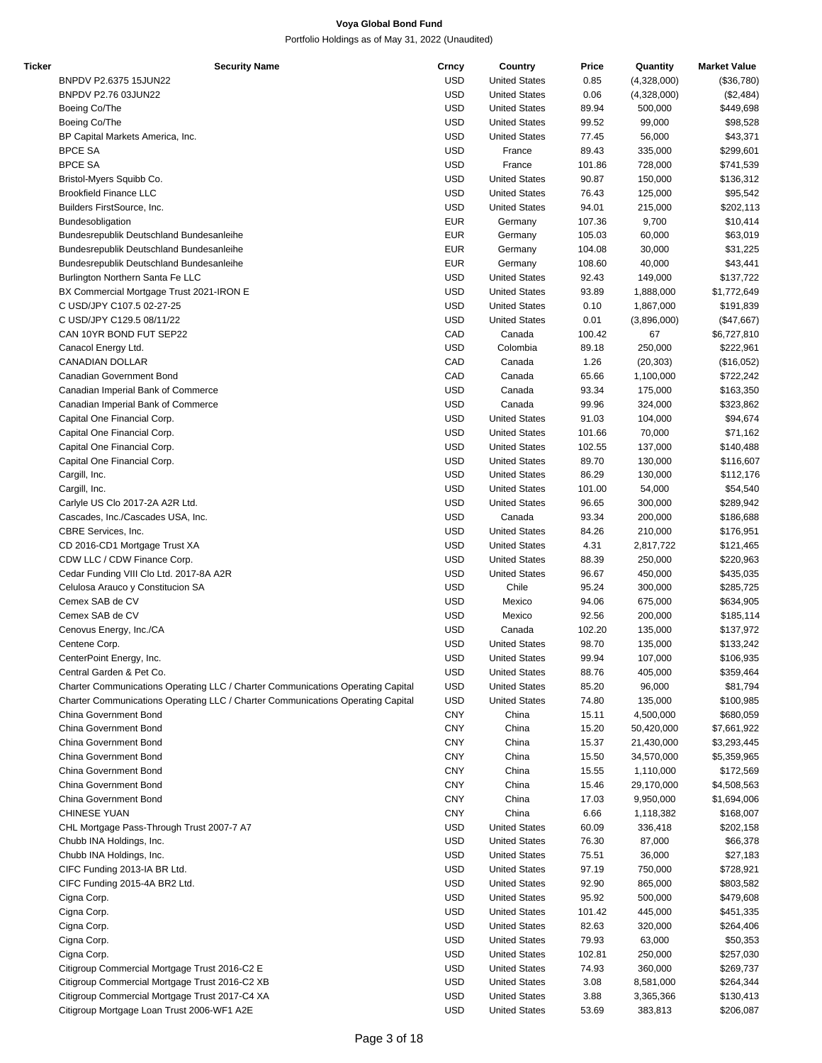| Ticker | <b>Security Name</b>                                                            | Crncy      | Country              | Price  | Quantity    | <b>Market Value</b> |
|--------|---------------------------------------------------------------------------------|------------|----------------------|--------|-------------|---------------------|
|        | BNPDV P2.6375 15JUN22                                                           | <b>USD</b> | <b>United States</b> | 0.85   | (4,328,000) | (\$36,780)          |
|        | BNPDV P2.76 03JUN22                                                             | <b>USD</b> | <b>United States</b> | 0.06   | (4,328,000) | (\$2,484)           |
|        | Boeing Co/The                                                                   | <b>USD</b> | <b>United States</b> | 89.94  | 500,000     | \$449,698           |
|        | Boeing Co/The                                                                   | <b>USD</b> | <b>United States</b> | 99.52  | 99,000      | \$98,528            |
|        |                                                                                 | <b>USD</b> | <b>United States</b> | 77.45  | 56,000      | \$43,371            |
|        | BP Capital Markets America, Inc.                                                |            |                      |        |             |                     |
|        | <b>BPCE SA</b>                                                                  | <b>USD</b> | France               | 89.43  | 335,000     | \$299,601           |
|        | <b>BPCE SA</b>                                                                  | <b>USD</b> | France               | 101.86 | 728,000     | \$741,539           |
|        | Bristol-Myers Squibb Co.                                                        | <b>USD</b> | <b>United States</b> | 90.87  | 150,000     | \$136,312           |
|        | <b>Brookfield Finance LLC</b>                                                   | <b>USD</b> | <b>United States</b> | 76.43  | 125,000     | \$95,542            |
|        | Builders FirstSource, Inc.                                                      | <b>USD</b> | <b>United States</b> | 94.01  | 215,000     | \$202,113           |
|        | Bundesobligation                                                                | <b>EUR</b> | Germany              | 107.36 | 9,700       | \$10,414            |
|        | Bundesrepublik Deutschland Bundesanleihe                                        | <b>EUR</b> | Germany              | 105.03 | 60,000      | \$63,019            |
|        | Bundesrepublik Deutschland Bundesanleihe                                        | <b>EUR</b> | Germany              | 104.08 | 30,000      | \$31,225            |
|        |                                                                                 | <b>EUR</b> | Germany              | 108.60 | 40,000      |                     |
|        | Bundesrepublik Deutschland Bundesanleihe                                        |            |                      |        |             | \$43,441            |
|        | Burlington Northern Santa Fe LLC                                                | <b>USD</b> | <b>United States</b> | 92.43  | 149,000     | \$137,722           |
|        | BX Commercial Mortgage Trust 2021-IRON E                                        | <b>USD</b> | <b>United States</b> | 93.89  | 1,888,000   | \$1,772,649         |
|        | C USD/JPY C107.5 02-27-25                                                       | <b>USD</b> | <b>United States</b> | 0.10   | 1,867,000   | \$191,839           |
|        | C USD/JPY C129.5 08/11/22                                                       | <b>USD</b> | <b>United States</b> | 0.01   | (3,896,000) | (\$47,667)          |
|        | CAN 10YR BOND FUT SEP22                                                         | CAD        | Canada               | 100.42 | 67          | \$6,727,810         |
|        | Canacol Energy Ltd.                                                             | <b>USD</b> | Colombia             | 89.18  | 250,000     | \$222,961           |
|        | <b>CANADIAN DOLLAR</b>                                                          | CAD        | Canada               | 1.26   | (20, 303)   | (\$16,052)          |
|        | Canadian Government Bond                                                        | CAD        | Canada               | 65.66  | 1,100,000   | \$722,242           |
|        |                                                                                 |            |                      |        |             |                     |
|        | Canadian Imperial Bank of Commerce                                              | <b>USD</b> | Canada               | 93.34  | 175,000     | \$163,350           |
|        | Canadian Imperial Bank of Commerce                                              | <b>USD</b> | Canada               | 99.96  | 324,000     | \$323,862           |
|        | Capital One Financial Corp.                                                     | <b>USD</b> | <b>United States</b> | 91.03  | 104,000     | \$94,674            |
|        | Capital One Financial Corp.                                                     | <b>USD</b> | <b>United States</b> | 101.66 | 70,000      | \$71,162            |
|        | Capital One Financial Corp.                                                     | <b>USD</b> | <b>United States</b> | 102.55 | 137,000     | \$140,488           |
|        | Capital One Financial Corp.                                                     | <b>USD</b> | <b>United States</b> | 89.70  | 130,000     | \$116,607           |
|        | Cargill, Inc.                                                                   | <b>USD</b> | <b>United States</b> | 86.29  | 130,000     | \$112,176           |
|        | Cargill, Inc.                                                                   | <b>USD</b> | <b>United States</b> | 101.00 | 54,000      | \$54,540            |
|        |                                                                                 |            |                      |        |             |                     |
|        | Carlyle US Clo 2017-2A A2R Ltd.                                                 | <b>USD</b> | <b>United States</b> | 96.65  | 300,000     | \$289,942           |
|        | Cascades, Inc./Cascades USA, Inc.                                               | <b>USD</b> | Canada               | 93.34  | 200,000     | \$186,688           |
|        | CBRE Services, Inc.                                                             | <b>USD</b> | <b>United States</b> | 84.26  | 210,000     | \$176,951           |
|        | CD 2016-CD1 Mortgage Trust XA                                                   | <b>USD</b> | <b>United States</b> | 4.31   | 2,817,722   | \$121,465           |
|        | CDW LLC / CDW Finance Corp.                                                     | <b>USD</b> | <b>United States</b> | 88.39  | 250,000     | \$220,963           |
|        | Cedar Funding VIII Clo Ltd. 2017-8A A2R                                         | <b>USD</b> | <b>United States</b> | 96.67  | 450,000     | \$435,035           |
|        | Celulosa Arauco y Constitucion SA                                               | <b>USD</b> | Chile                | 95.24  | 300,000     | \$285,725           |
|        | Cemex SAB de CV                                                                 | <b>USD</b> | Mexico               | 94.06  | 675,000     | \$634,905           |
|        | Cemex SAB de CV                                                                 | <b>USD</b> | Mexico               | 92.56  | 200,000     | \$185,114           |
|        |                                                                                 | <b>USD</b> |                      |        |             |                     |
|        | Cenovus Energy, Inc./CA                                                         |            | Canada               | 102.20 | 135,000     | \$137,972           |
|        | Centene Corp.                                                                   | <b>USD</b> | <b>United States</b> | 98.70  | 135,000     | \$133,242           |
|        | CenterPoint Energy, Inc.                                                        | <b>USD</b> | <b>United States</b> | 99.94  | 107,000     | \$106,935           |
|        | Central Garden & Pet Co.                                                        | <b>USD</b> | <b>United States</b> | 88.76  | 405,000     | \$359,464           |
|        | Charter Communications Operating LLC / Charter Communications Operating Capital | <b>USD</b> | <b>United States</b> | 85.20  | 96,000      | \$81,794            |
|        | Charter Communications Operating LLC / Charter Communications Operating Capital | <b>USD</b> | <b>United States</b> | 74.80  | 135,000     | \$100,985           |
|        | China Government Bond                                                           | <b>CNY</b> | China                | 15.11  | 4,500,000   | \$680,059           |
|        | China Government Bond                                                           | <b>CNY</b> | China                | 15.20  | 50,420,000  | \$7,661,922         |
|        | China Government Bond                                                           | <b>CNY</b> | China                | 15.37  | 21,430,000  | \$3,293,445         |
|        | China Government Bond                                                           | <b>CNY</b> | China                | 15.50  | 34,570,000  |                     |
|        |                                                                                 |            |                      |        |             | \$5,359,965         |
|        | China Government Bond                                                           | <b>CNY</b> | China                | 15.55  | 1,110,000   | \$172,569           |
|        | China Government Bond                                                           | <b>CNY</b> | China                | 15.46  | 29,170,000  | \$4,508,563         |
|        | China Government Bond                                                           | <b>CNY</b> | China                | 17.03  | 9,950,000   | \$1,694,006         |
|        | CHINESE YUAN                                                                    | <b>CNY</b> | China                | 6.66   | 1,118,382   | \$168,007           |
|        | CHL Mortgage Pass-Through Trust 2007-7 A7                                       | <b>USD</b> | <b>United States</b> | 60.09  | 336,418     | \$202,158           |
|        | Chubb INA Holdings, Inc.                                                        | <b>USD</b> | <b>United States</b> | 76.30  | 87,000      | \$66,378            |
|        | Chubb INA Holdings, Inc.                                                        | <b>USD</b> | <b>United States</b> | 75.51  | 36,000      | \$27,183            |
|        |                                                                                 | <b>USD</b> | <b>United States</b> | 97.19  | 750,000     |                     |
|        | CIFC Funding 2013-IA BR Ltd.                                                    |            |                      |        |             | \$728,921           |
|        | CIFC Funding 2015-4A BR2 Ltd.                                                   | <b>USD</b> | <b>United States</b> | 92.90  | 865,000     | \$803,582           |
|        | Cigna Corp.                                                                     | <b>USD</b> | <b>United States</b> | 95.92  | 500,000     | \$479,608           |
|        | Cigna Corp.                                                                     | <b>USD</b> | <b>United States</b> | 101.42 | 445,000     | \$451,335           |
|        | Cigna Corp.                                                                     | <b>USD</b> | <b>United States</b> | 82.63  | 320,000     | \$264,406           |
|        | Cigna Corp.                                                                     | <b>USD</b> | <b>United States</b> | 79.93  | 63,000      | \$50,353            |
|        | Cigna Corp.                                                                     | <b>USD</b> | <b>United States</b> | 102.81 | 250,000     | \$257,030           |
|        | Citigroup Commercial Mortgage Trust 2016-C2 E                                   | <b>USD</b> | <b>United States</b> | 74.93  | 360,000     | \$269,737           |
|        | Citigroup Commercial Mortgage Trust 2016-C2 XB                                  | <b>USD</b> | <b>United States</b> |        |             |                     |
|        |                                                                                 |            |                      | 3.08   | 8,581,000   | \$264,344           |
|        | Citigroup Commercial Mortgage Trust 2017-C4 XA                                  | <b>USD</b> | <b>United States</b> | 3.88   | 3,365,366   | \$130,413           |
|        | Citigroup Mortgage Loan Trust 2006-WF1 A2E                                      | <b>USD</b> | <b>United States</b> | 53.69  | 383,813     | \$206,087           |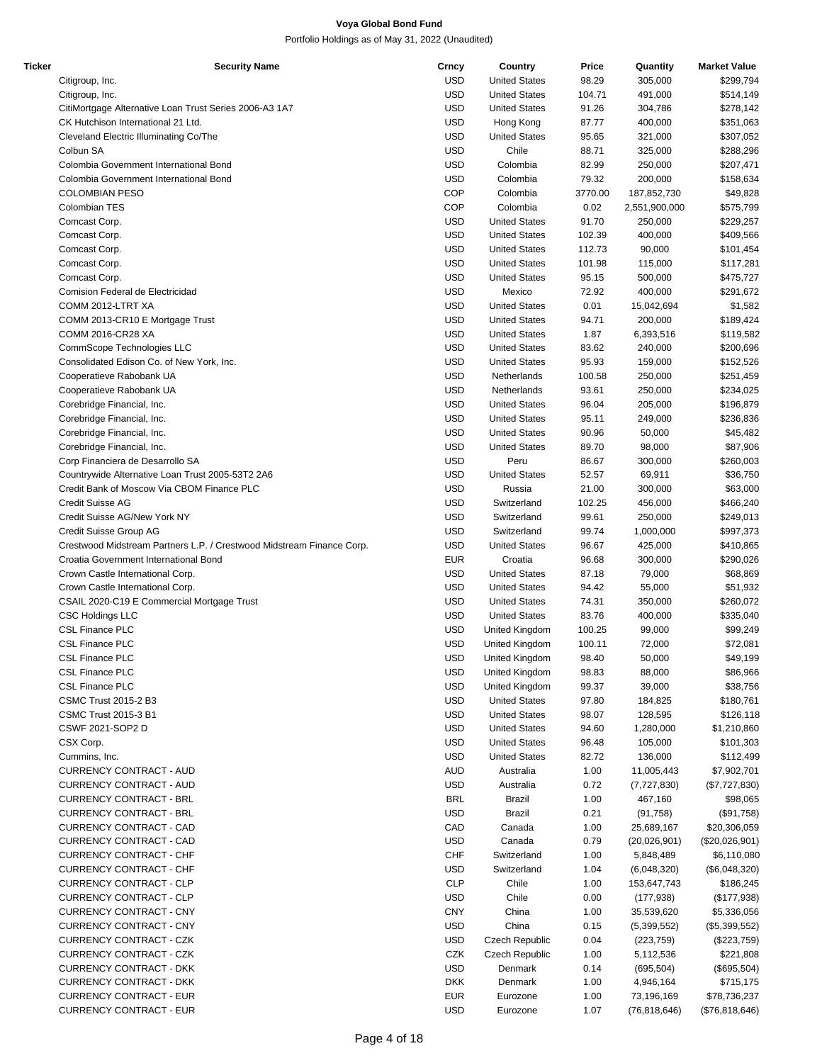| Ticker | <b>Security Name</b>                                                  | Crncy      | Country              | Price   | Quantity       | <b>Market Value</b> |
|--------|-----------------------------------------------------------------------|------------|----------------------|---------|----------------|---------------------|
|        | Citigroup, Inc.                                                       | <b>USD</b> | <b>United States</b> | 98.29   | 305,000        | \$299,794           |
|        | Citigroup, Inc.                                                       | <b>USD</b> | <b>United States</b> | 104.71  | 491,000        | \$514,149           |
|        | CitiMortgage Alternative Loan Trust Series 2006-A3 1A7                | <b>USD</b> | <b>United States</b> | 91.26   | 304,786        | \$278,142           |
|        | CK Hutchison International 21 Ltd.                                    | <b>USD</b> | Hong Kong            | 87.77   | 400,000        | \$351,063           |
|        | Cleveland Electric Illuminating Co/The                                | <b>USD</b> | <b>United States</b> | 95.65   | 321,000        | \$307,052           |
|        | Colbun SA                                                             | <b>USD</b> | Chile                | 88.71   | 325,000        | \$288,296           |
|        | Colombia Government International Bond                                | <b>USD</b> | Colombia             | 82.99   | 250,000        | \$207,471           |
|        | Colombia Government International Bond                                | <b>USD</b> | Colombia             | 79.32   | 200,000        | \$158,634           |
|        | <b>COLOMBIAN PESO</b>                                                 | <b>COP</b> | Colombia             | 3770.00 | 187,852,730    | \$49,828            |
|        | Colombian TES                                                         | <b>COP</b> | Colombia             | 0.02    | 2,551,900,000  | \$575,799           |
|        | Comcast Corp.                                                         | <b>USD</b> | <b>United States</b> | 91.70   | 250,000        | \$229,257           |
|        | Comcast Corp.                                                         | <b>USD</b> | <b>United States</b> | 102.39  | 400,000        | \$409,566           |
|        |                                                                       | <b>USD</b> | <b>United States</b> | 112.73  |                |                     |
|        | Comcast Corp.                                                         |            |                      |         | 90,000         | \$101,454           |
|        | Comcast Corp.                                                         | <b>USD</b> | <b>United States</b> | 101.98  | 115,000        | \$117,281           |
|        | Comcast Corp.                                                         | <b>USD</b> | <b>United States</b> | 95.15   | 500,000        | \$475,727           |
|        | Comision Federal de Electricidad                                      | <b>USD</b> | Mexico               | 72.92   | 400,000        | \$291,672           |
|        | COMM 2012-LTRT XA                                                     | <b>USD</b> | <b>United States</b> | 0.01    | 15,042,694     | \$1,582             |
|        | COMM 2013-CR10 E Mortgage Trust                                       | <b>USD</b> | <b>United States</b> | 94.71   | 200,000        | \$189,424           |
|        | <b>COMM 2016-CR28 XA</b>                                              | <b>USD</b> | <b>United States</b> | 1.87    | 6,393,516      | \$119,582           |
|        | CommScope Technologies LLC                                            | <b>USD</b> | <b>United States</b> | 83.62   | 240,000        | \$200,696           |
|        | Consolidated Edison Co. of New York, Inc.                             | <b>USD</b> | <b>United States</b> | 95.93   | 159,000        | \$152,526           |
|        | Cooperatieve Rabobank UA                                              | <b>USD</b> | Netherlands          | 100.58  | 250,000        | \$251,459           |
|        | Cooperatieve Rabobank UA                                              | <b>USD</b> | Netherlands          | 93.61   | 250,000        | \$234,025           |
|        | Corebridge Financial, Inc.                                            | <b>USD</b> | <b>United States</b> | 96.04   | 205,000        | \$196,879           |
|        | Corebridge Financial, Inc.                                            | <b>USD</b> | <b>United States</b> | 95.11   | 249,000        | \$236,836           |
|        | Corebridge Financial, Inc.                                            | <b>USD</b> | <b>United States</b> | 90.96   | 50,000         | \$45,482            |
|        | Corebridge Financial, Inc.                                            | <b>USD</b> | <b>United States</b> | 89.70   | 98,000         | \$87,906            |
|        | Corp Financiera de Desarrollo SA                                      | <b>USD</b> | Peru                 | 86.67   | 300,000        | \$260,003           |
|        | Countrywide Alternative Loan Trust 2005-53T2 2A6                      | <b>USD</b> | <b>United States</b> | 52.57   | 69,911         | \$36,750            |
|        | Credit Bank of Moscow Via CBOM Finance PLC                            | <b>USD</b> | Russia               | 21.00   | 300,000        | \$63,000            |
|        | <b>Credit Suisse AG</b>                                               | <b>USD</b> | Switzerland          | 102.25  | 456,000        | \$466,240           |
|        | Credit Suisse AG/New York NY                                          | <b>USD</b> | Switzerland          | 99.61   | 250,000        | \$249,013           |
|        | Credit Suisse Group AG                                                | <b>USD</b> | Switzerland          | 99.74   | 1,000,000      | \$997,373           |
|        |                                                                       | <b>USD</b> |                      |         |                |                     |
|        | Crestwood Midstream Partners L.P. / Crestwood Midstream Finance Corp. |            | <b>United States</b> | 96.67   | 425,000        | \$410,865           |
|        | Croatia Government International Bond                                 | <b>EUR</b> | Croatia              | 96.68   | 300,000        | \$290,026           |
|        | Crown Castle International Corp.                                      | <b>USD</b> | <b>United States</b> | 87.18   | 79,000         | \$68,869            |
|        | Crown Castle International Corp.                                      | <b>USD</b> | <b>United States</b> | 94.42   | 55,000         | \$51,932            |
|        | CSAIL 2020-C19 E Commercial Mortgage Trust                            | <b>USD</b> | <b>United States</b> | 74.31   | 350,000        | \$260,072           |
|        | <b>CSC Holdings LLC</b>                                               | <b>USD</b> | <b>United States</b> | 83.76   | 400,000        | \$335,040           |
|        | <b>CSL Finance PLC</b>                                                | <b>USD</b> | United Kingdom       | 100.25  | 99,000         | \$99,249            |
|        | <b>CSL Finance PLC</b>                                                | <b>USD</b> | United Kingdom       | 100.11  | 72,000         | \$72,081            |
|        | <b>CSL Finance PLC</b>                                                | <b>USD</b> | United Kingdom       | 98.40   | 50,000         | \$49,199            |
|        | <b>CSL Finance PLC</b>                                                | <b>USD</b> | United Kingdom       | 98.83   | 88,000         | \$86,966            |
|        | <b>CSL Finance PLC</b>                                                | <b>USD</b> | United Kingdom       | 99.37   | 39,000         | \$38,756            |
|        | <b>CSMC Trust 2015-2 B3</b>                                           | <b>USD</b> | <b>United States</b> | 97.80   | 184,825        | \$180,761           |
|        | <b>CSMC Trust 2015-3 B1</b>                                           | <b>USD</b> | <b>United States</b> | 98.07   | 128,595        | \$126,118           |
|        | CSWF 2021-SOP2 D                                                      | <b>USD</b> | <b>United States</b> | 94.60   | 1,280,000      | \$1,210,860         |
|        | CSX Corp.                                                             | <b>USD</b> | <b>United States</b> | 96.48   | 105,000        | \$101,303           |
|        | Cummins, Inc.                                                         | <b>USD</b> | <b>United States</b> | 82.72   | 136,000        | \$112,499           |
|        | <b>CURRENCY CONTRACT - AUD</b>                                        | <b>AUD</b> | Australia            | 1.00    | 11,005,443     | \$7,902,701         |
|        | CURRENCY CONTRACT - AUD                                               | <b>USD</b> | Australia            | 0.72    | (7,727,830)    | (\$7,727,830)       |
|        | <b>CURRENCY CONTRACT - BRL</b>                                        | <b>BRL</b> | <b>Brazil</b>        | 1.00    | 467,160        | \$98,065            |
|        | <b>CURRENCY CONTRACT - BRL</b>                                        | <b>USD</b> | <b>Brazil</b>        | 0.21    | (91, 758)      | (\$91,758)          |
|        | <b>CURRENCY CONTRACT - CAD</b>                                        | CAD        | Canada               | 1.00    | 25,689,167     | \$20,306,059        |
|        | CURRENCY CONTRACT - CAD                                               | <b>USD</b> | Canada               | 0.79    | (20,026,901)   | (\$20,026,901)      |
|        | CURRENCY CONTRACT - CHF                                               | <b>CHF</b> | Switzerland          | 1.00    | 5,848,489      | \$6,110,080         |
|        | <b>CURRENCY CONTRACT - CHF</b>                                        | <b>USD</b> | Switzerland          | 1.04    | (6,048,320)    | (\$6,048,320)       |
|        | <b>CURRENCY CONTRACT - CLP</b>                                        | <b>CLP</b> | Chile                | 1.00    | 153,647,743    |                     |
|        | <b>CURRENCY CONTRACT - CLP</b>                                        |            | Chile                |         |                | \$186,245           |
|        |                                                                       | <b>USD</b> |                      | 0.00    | (177, 938)     | (\$177,938)         |
|        | <b>CURRENCY CONTRACT - CNY</b>                                        | <b>CNY</b> | China                | 1.00    | 35,539,620     | \$5,336,056         |
|        | <b>CURRENCY CONTRACT - CNY</b>                                        | <b>USD</b> | China                | 0.15    | (5,399,552)    | (\$5,399,552)       |
|        | CURRENCY CONTRACT - CZK                                               | <b>USD</b> | Czech Republic       | 0.04    | (223, 759)     | (\$223,759)         |
|        | CURRENCY CONTRACT - CZK                                               | CZK        | Czech Republic       | 1.00    | 5,112,536      | \$221,808           |
|        | <b>CURRENCY CONTRACT - DKK</b>                                        | <b>USD</b> | Denmark              | 0.14    | (695, 504)     | (\$695,504)         |
|        | <b>CURRENCY CONTRACT - DKK</b>                                        | <b>DKK</b> | Denmark              | 1.00    | 4,946,164      | \$715,175           |
|        | <b>CURRENCY CONTRACT - EUR</b>                                        | <b>EUR</b> | Eurozone             | 1.00    | 73,196,169     | \$78,736,237        |
|        | <b>CURRENCY CONTRACT - EUR</b>                                        | <b>USD</b> | Eurozone             | 1.07    | (76, 818, 646) | (\$76,818,646)      |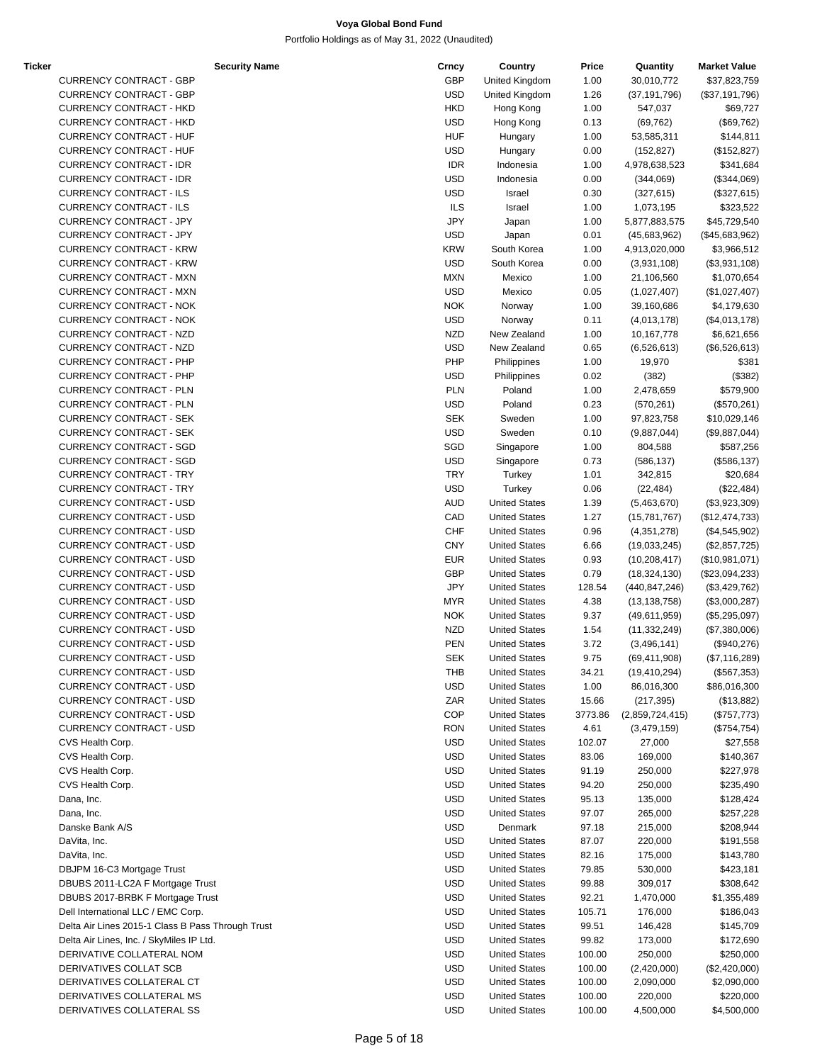| <b>Ticker</b> | <b>Security Name</b>                              | Crncy      | Country              | Price   | Quantity        | <b>Market Value</b> |
|---------------|---------------------------------------------------|------------|----------------------|---------|-----------------|---------------------|
|               | <b>CURRENCY CONTRACT - GBP</b>                    | <b>GBP</b> | United Kingdom       | 1.00    | 30,010,772      | \$37,823,759        |
|               | <b>CURRENCY CONTRACT - GBP</b>                    | <b>USD</b> | United Kingdom       | 1.26    | (37, 191, 796)  | (\$37,191,796)      |
|               | <b>CURRENCY CONTRACT - HKD</b>                    | <b>HKD</b> | Hong Kong            | 1.00    | 547,037         | \$69,727            |
|               | <b>CURRENCY CONTRACT - HKD</b>                    | <b>USD</b> | Hong Kong            | 0.13    | (69, 762)       | (\$69,762)          |
|               | <b>CURRENCY CONTRACT - HUF</b>                    | <b>HUF</b> | Hungary              | 1.00    | 53,585,311      | \$144,811           |
|               | <b>CURRENCY CONTRACT - HUF</b>                    | <b>USD</b> | Hungary              | 0.00    | (152, 827)      | (\$152,827)         |
|               | <b>CURRENCY CONTRACT - IDR</b>                    | <b>IDR</b> | Indonesia            | 1.00    | 4,978,638,523   | \$341,684           |
|               | <b>CURRENCY CONTRACT - IDR</b>                    | <b>USD</b> | Indonesia            | 0.00    | (344,069)       | (\$344,069)         |
|               | <b>CURRENCY CONTRACT - ILS</b>                    | <b>USD</b> | Israel               | 0.30    | (327, 615)      | (\$327,615)         |
|               | <b>CURRENCY CONTRACT - ILS</b>                    | <b>ILS</b> | Israel               | 1.00    | 1,073,195       | \$323,522           |
|               | CURRENCY CONTRACT - JPY                           | <b>JPY</b> | Japan                | 1.00    | 5,877,883,575   | \$45,729,540        |
|               | CURRENCY CONTRACT - JPY                           | <b>USD</b> | Japan                | 0.01    | (45,683,962)    | (\$45,683,962)      |
|               | <b>CURRENCY CONTRACT - KRW</b>                    | <b>KRW</b> | South Korea          |         |                 |                     |
|               |                                                   |            |                      | 1.00    | 4,913,020,000   | \$3,966,512         |
|               | <b>CURRENCY CONTRACT - KRW</b>                    | <b>USD</b> | South Korea          | 0.00    | (3,931,108)     | (\$3,931,108)       |
|               | <b>CURRENCY CONTRACT - MXN</b>                    | <b>MXN</b> | Mexico               | 1.00    | 21,106,560      | \$1,070,654         |
|               | <b>CURRENCY CONTRACT - MXN</b>                    | <b>USD</b> | Mexico               | 0.05    | (1,027,407)     | (\$1,027,407)       |
|               | <b>CURRENCY CONTRACT - NOK</b>                    | <b>NOK</b> | Norway               | 1.00    | 39,160,686      | \$4,179,630         |
|               | <b>CURRENCY CONTRACT - NOK</b>                    | <b>USD</b> | Norway               | 0.11    | (4,013,178)     | (\$4,013,178)       |
|               | CURRENCY CONTRACT - NZD                           | <b>NZD</b> | New Zealand          | 1.00    | 10,167,778      | \$6,621,656         |
|               | CURRENCY CONTRACT - NZD                           | <b>USD</b> | New Zealand          | 0.65    | (6,526,613)     | (\$6,526,613)       |
|               | <b>CURRENCY CONTRACT - PHP</b>                    | PHP        | Philippines          | 1.00    | 19,970          | \$381               |
|               | <b>CURRENCY CONTRACT - PHP</b>                    | <b>USD</b> | Philippines          | 0.02    | (382)           | (\$382)             |
|               | <b>CURRENCY CONTRACT - PLN</b>                    | <b>PLN</b> | Poland               | 1.00    | 2,478,659       | \$579,900           |
|               | <b>CURRENCY CONTRACT - PLN</b>                    | <b>USD</b> | Poland               | 0.23    | (570, 261)      | (\$570,261)         |
|               | <b>CURRENCY CONTRACT - SEK</b>                    | <b>SEK</b> | Sweden               | 1.00    | 97,823,758      | \$10,029,146        |
|               | <b>CURRENCY CONTRACT - SEK</b>                    | <b>USD</b> | Sweden               | 0.10    | (9,887,044)     | (\$9,887,044)       |
|               | <b>CURRENCY CONTRACT - SGD</b>                    | SGD        |                      |         |                 |                     |
|               |                                                   |            | Singapore            | 1.00    | 804,588         | \$587,256           |
|               | <b>CURRENCY CONTRACT - SGD</b>                    | <b>USD</b> | Singapore            | 0.73    | (586, 137)      | (\$586, 137)        |
|               | <b>CURRENCY CONTRACT - TRY</b>                    | <b>TRY</b> | Turkey               | 1.01    | 342,815         | \$20,684            |
|               | <b>CURRENCY CONTRACT - TRY</b>                    | <b>USD</b> | Turkey               | 0.06    | (22, 484)       | (\$22,484)          |
|               | <b>CURRENCY CONTRACT - USD</b>                    | <b>AUD</b> | <b>United States</b> | 1.39    | (5,463,670)     | (\$3,923,309)       |
|               | <b>CURRENCY CONTRACT - USD</b>                    | CAD        | <b>United States</b> | 1.27    | (15,781,767)    | (\$12,474,733)      |
|               | <b>CURRENCY CONTRACT - USD</b>                    | <b>CHF</b> | <b>United States</b> | 0.96    | (4,351,278)     | (\$4,545,902)       |
|               | <b>CURRENCY CONTRACT - USD</b>                    | <b>CNY</b> | <b>United States</b> | 6.66    | (19,033,245)    | (\$2,857,725)       |
|               | <b>CURRENCY CONTRACT - USD</b>                    | <b>EUR</b> | <b>United States</b> | 0.93    | (10, 208, 417)  | (\$10,981,071)      |
|               | <b>CURRENCY CONTRACT - USD</b>                    | GBP        | <b>United States</b> | 0.79    | (18, 324, 130)  | (\$23,094,233)      |
|               | <b>CURRENCY CONTRACT - USD</b>                    | <b>JPY</b> | <b>United States</b> | 128.54  | (440,847,246)   | (\$3,429,762)       |
|               | <b>CURRENCY CONTRACT - USD</b>                    | <b>MYR</b> | <b>United States</b> | 4.38    | (13, 138, 758)  | (\$3,000,287)       |
|               | <b>CURRENCY CONTRACT - USD</b>                    | <b>NOK</b> | <b>United States</b> | 9.37    | (49,611,959)    | (\$5,295,097)       |
|               | <b>CURRENCY CONTRACT - USD</b>                    | <b>NZD</b> | <b>United States</b> | 1.54    | (11, 332, 249)  | (\$7,380,006)       |
|               | <b>CURRENCY CONTRACT - USD</b>                    | <b>PEN</b> | <b>United States</b> | 3.72    | (3,496,141)     | (\$940,276)         |
|               | <b>CURRENCY CONTRACT - USD</b>                    | <b>SEK</b> | <b>United States</b> | 9.75    | (69, 411, 908)  | (\$7,116,289)       |
|               | <b>CURRENCY CONTRACT - USD</b>                    | THB        | <b>United States</b> |         |                 |                     |
|               |                                                   |            |                      | 34.21   | (19, 410, 294)  | (\$567,353)         |
|               | CURRENCY CONTRACT - USD                           | <b>USD</b> | <b>United States</b> | 1.00    | 86,016,300      | \$86,016,300        |
|               | CURRENCY CONTRACT - USD                           | ZAR        | <b>United States</b> | 15.66   | (217, 395)      | (\$13,882)          |
|               | <b>CURRENCY CONTRACT - USD</b>                    | <b>COP</b> | <b>United States</b> | 3773.86 | (2,859,724,415) | (\$757,773)         |
|               | CURRENCY CONTRACT - USD                           | <b>RON</b> | <b>United States</b> | 4.61    | (3,479,159)     | (\$754, 754)        |
|               | CVS Health Corp.                                  | <b>USD</b> | <b>United States</b> | 102.07  | 27,000          | \$27,558            |
|               | CVS Health Corp.                                  | USD        | <b>United States</b> | 83.06   | 169,000         | \$140,367           |
|               | CVS Health Corp.                                  | <b>USD</b> | <b>United States</b> | 91.19   | 250,000         | \$227,978           |
|               | CVS Health Corp.                                  | <b>USD</b> | <b>United States</b> | 94.20   | 250,000         | \$235,490           |
|               | Dana, Inc.                                        | <b>USD</b> | <b>United States</b> | 95.13   | 135,000         | \$128,424           |
|               | Dana, Inc.                                        | USD        | <b>United States</b> | 97.07   | 265,000         | \$257,228           |
|               | Danske Bank A/S                                   | USD        | Denmark              | 97.18   | 215,000         | \$208,944           |
|               | DaVita, Inc.                                      | <b>USD</b> | <b>United States</b> | 87.07   | 220,000         | \$191,558           |
|               | DaVita, Inc.                                      | <b>USD</b> | <b>United States</b> | 82.16   | 175,000         | \$143,780           |
|               | DBJPM 16-C3 Mortgage Trust                        | USD        | <b>United States</b> | 79.85   | 530,000         | \$423,181           |
|               | DBUBS 2011-LC2A F Mortgage Trust                  | <b>USD</b> | <b>United States</b> | 99.88   | 309,017         | \$308,642           |
|               | DBUBS 2017-BRBK F Mortgage Trust                  | <b>USD</b> | <b>United States</b> | 92.21   |                 |                     |
|               |                                                   |            |                      |         | 1,470,000       | \$1,355,489         |
|               | Dell International LLC / EMC Corp.                | <b>USD</b> | <b>United States</b> | 105.71  | 176,000         | \$186,043           |
|               | Delta Air Lines 2015-1 Class B Pass Through Trust | USD        | <b>United States</b> | 99.51   | 146,428         | \$145,709           |
|               | Delta Air Lines, Inc. / SkyMiles IP Ltd.          | USD        | <b>United States</b> | 99.82   | 173,000         | \$172,690           |
|               | DERIVATIVE COLLATERAL NOM                         | <b>USD</b> | <b>United States</b> | 100.00  | 250,000         | \$250,000           |
|               | DERIVATIVES COLLAT SCB                            | <b>USD</b> | <b>United States</b> | 100.00  | (2,420,000)     | (\$2,420,000)       |
|               | DERIVATIVES COLLATERAL CT                         | USD        | <b>United States</b> | 100.00  | 2,090,000       | \$2,090,000         |
|               | DERIVATIVES COLLATERAL MS                         | <b>USD</b> | <b>United States</b> | 100.00  | 220,000         | \$220,000           |
|               | DERIVATIVES COLLATERAL SS                         | <b>USD</b> | <b>United States</b> | 100.00  | 4,500,000       | \$4,500,000         |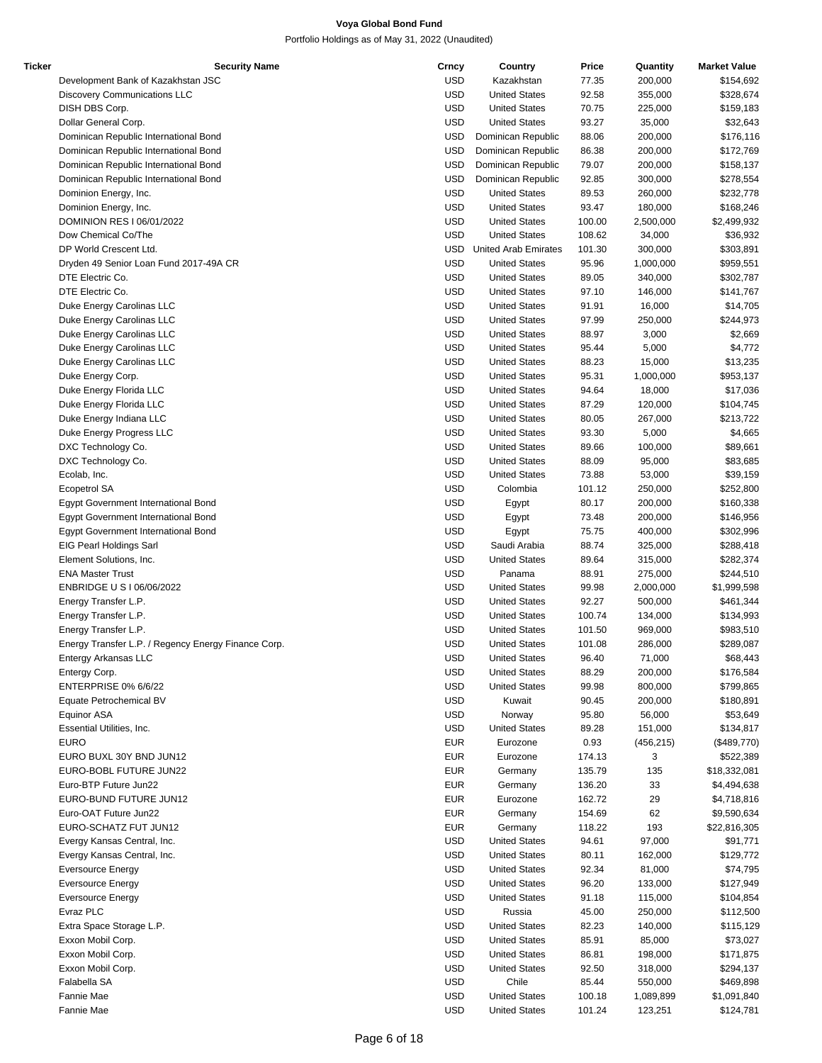| Ticker | <b>Security Name</b>                                | Crncy      | Country                  | Price  | Quantity   | <b>Market Value</b> |
|--------|-----------------------------------------------------|------------|--------------------------|--------|------------|---------------------|
|        | Development Bank of Kazakhstan JSC                  | <b>USD</b> | Kazakhstan               | 77.35  | 200,000    | \$154,692           |
|        | <b>Discovery Communications LLC</b>                 | <b>USD</b> | <b>United States</b>     | 92.58  | 355,000    | \$328,674           |
|        | DISH DBS Corp.                                      | <b>USD</b> | <b>United States</b>     | 70.75  | 225,000    | \$159,183           |
|        | Dollar General Corp.                                | <b>USD</b> | <b>United States</b>     | 93.27  | 35,000     | \$32,643            |
|        | Dominican Republic International Bond               | <b>USD</b> | Dominican Republic       | 88.06  | 200,000    | \$176,116           |
|        | Dominican Republic International Bond               | <b>USD</b> | Dominican Republic       | 86.38  | 200,000    | \$172,769           |
|        | Dominican Republic International Bond               | <b>USD</b> | Dominican Republic       | 79.07  | 200,000    | \$158,137           |
|        | Dominican Republic International Bond               | <b>USD</b> | Dominican Republic       | 92.85  | 300,000    | \$278,554           |
|        |                                                     | <b>USD</b> |                          |        |            |                     |
|        | Dominion Energy, Inc.                               |            | <b>United States</b>     | 89.53  | 260,000    | \$232,778           |
|        | Dominion Energy, Inc.                               | <b>USD</b> | <b>United States</b>     | 93.47  | 180,000    | \$168,246           |
|        | DOMINION RES I 06/01/2022                           | <b>USD</b> | <b>United States</b>     | 100.00 | 2,500,000  | \$2,499,932         |
|        | Dow Chemical Co/The                                 | <b>USD</b> | <b>United States</b>     | 108.62 | 34,000     | \$36,932            |
|        | DP World Crescent Ltd.                              |            | USD United Arab Emirates | 101.30 | 300,000    | \$303,891           |
|        | Dryden 49 Senior Loan Fund 2017-49A CR              | <b>USD</b> | <b>United States</b>     | 95.96  | 1,000,000  | \$959,551           |
|        | DTE Electric Co.                                    | <b>USD</b> | <b>United States</b>     | 89.05  | 340,000    | \$302,787           |
|        | DTE Electric Co.                                    | <b>USD</b> | <b>United States</b>     | 97.10  | 146,000    | \$141,767           |
|        | Duke Energy Carolinas LLC                           | <b>USD</b> | <b>United States</b>     | 91.91  | 16,000     | \$14,705            |
|        | Duke Energy Carolinas LLC                           | <b>USD</b> | <b>United States</b>     | 97.99  | 250,000    | \$244,973           |
|        | Duke Energy Carolinas LLC                           | <b>USD</b> | <b>United States</b>     | 88.97  | 3,000      | \$2,669             |
|        | Duke Energy Carolinas LLC                           | <b>USD</b> | <b>United States</b>     | 95.44  | 5,000      | \$4,772             |
|        | Duke Energy Carolinas LLC                           | <b>USD</b> | <b>United States</b>     | 88.23  | 15,000     | \$13,235            |
|        | Duke Energy Corp.                                   | <b>USD</b> | <b>United States</b>     | 95.31  | 1,000,000  | \$953,137           |
|        | Duke Energy Florida LLC                             | <b>USD</b> | <b>United States</b>     | 94.64  | 18,000     | \$17,036            |
|        | Duke Energy Florida LLC                             | <b>USD</b> | <b>United States</b>     | 87.29  | 120,000    | \$104,745           |
|        | Duke Energy Indiana LLC                             | <b>USD</b> | <b>United States</b>     | 80.05  | 267,000    | \$213,722           |
|        | Duke Energy Progress LLC                            | <b>USD</b> | <b>United States</b>     | 93.30  | 5,000      | \$4,665             |
|        |                                                     |            |                          |        |            |                     |
|        | DXC Technology Co.                                  | <b>USD</b> | <b>United States</b>     | 89.66  | 100,000    | \$89,661            |
|        | DXC Technology Co.                                  | <b>USD</b> | <b>United States</b>     | 88.09  | 95,000     | \$83,685            |
|        | Ecolab, Inc.                                        | <b>USD</b> | <b>United States</b>     | 73.88  | 53,000     | \$39,159            |
|        | Ecopetrol SA                                        | <b>USD</b> | Colombia                 | 101.12 | 250,000    | \$252,800           |
|        | Egypt Government International Bond                 | <b>USD</b> | Egypt                    | 80.17  | 200,000    | \$160,338           |
|        | Egypt Government International Bond                 | <b>USD</b> | Egypt                    | 73.48  | 200,000    | \$146,956           |
|        | Egypt Government International Bond                 | <b>USD</b> | Egypt                    | 75.75  | 400,000    | \$302,996           |
|        | EIG Pearl Holdings Sarl                             | <b>USD</b> | Saudi Arabia             | 88.74  | 325,000    | \$288,418           |
|        | Element Solutions, Inc.                             | <b>USD</b> | <b>United States</b>     | 89.64  | 315,000    | \$282,374           |
|        | <b>ENA Master Trust</b>                             | <b>USD</b> | Panama                   | 88.91  | 275,000    | \$244,510           |
|        | ENBRIDGE U S I 06/06/2022                           | <b>USD</b> | <b>United States</b>     | 99.98  | 2,000,000  | \$1,999,598         |
|        | Energy Transfer L.P.                                | <b>USD</b> | <b>United States</b>     | 92.27  | 500,000    | \$461,344           |
|        | Energy Transfer L.P.                                | <b>USD</b> | <b>United States</b>     | 100.74 | 134,000    | \$134,993           |
|        | Energy Transfer L.P.                                | <b>USD</b> | <b>United States</b>     | 101.50 | 969,000    | \$983,510           |
|        | Energy Transfer L.P. / Regency Energy Finance Corp. | <b>USD</b> | <b>United States</b>     | 101.08 | 286,000    | \$289,087           |
|        | Entergy Arkansas LLC                                | <b>USD</b> | <b>United States</b>     | 96.40  | 71,000     | \$68,443            |
|        | Entergy Corp.                                       | <b>USD</b> | <b>United States</b>     | 88.29  | 200,000    | \$176,584           |
|        | ENTERPRISE 0% 6/6/22                                | <b>USD</b> | <b>United States</b>     | 99.98  | 800,000    | \$799,865           |
|        | Equate Petrochemical BV                             | <b>USD</b> | Kuwait                   | 90.45  | 200,000    | \$180,891           |
|        |                                                     |            |                          |        |            |                     |
|        | Equinor ASA                                         | <b>USD</b> | Norway                   | 95.80  | 56,000     | \$53,649            |
|        | Essential Utilities, Inc.                           | <b>USD</b> | <b>United States</b>     | 89.28  | 151,000    | \$134,817           |
|        | <b>EURO</b>                                         | <b>EUR</b> | Eurozone                 | 0.93   | (456, 215) | (\$489,770)         |
|        | EURO BUXL 30Y BND JUN12                             | <b>EUR</b> | Eurozone                 | 174.13 | 3          | \$522,389           |
|        | EURO-BOBL FUTURE JUN22                              | <b>EUR</b> | Germany                  | 135.79 | 135        | \$18,332,081        |
|        | Euro-BTP Future Jun22                               | <b>EUR</b> | Germany                  | 136.20 | 33         | \$4,494,638         |
|        | EURO-BUND FUTURE JUN12                              | <b>EUR</b> | Eurozone                 | 162.72 | 29         | \$4,718,816         |
|        | Euro-OAT Future Jun22                               | <b>EUR</b> | Germany                  | 154.69 | 62         | \$9,590,634         |
|        | EURO-SCHATZ FUT JUN12                               | <b>EUR</b> | Germany                  | 118.22 | 193        | \$22,816,305        |
|        | Evergy Kansas Central, Inc.                         | <b>USD</b> | <b>United States</b>     | 94.61  | 97,000     | \$91,771            |
|        | Evergy Kansas Central, Inc.                         | <b>USD</b> | <b>United States</b>     | 80.11  | 162,000    | \$129,772           |
|        | <b>Eversource Energy</b>                            | <b>USD</b> | <b>United States</b>     | 92.34  | 81,000     | \$74,795            |
|        | <b>Eversource Energy</b>                            | <b>USD</b> | <b>United States</b>     | 96.20  | 133,000    | \$127,949           |
|        | <b>Eversource Energy</b>                            | <b>USD</b> | <b>United States</b>     | 91.18  | 115,000    | \$104,854           |
|        | Evraz PLC                                           | <b>USD</b> | Russia                   | 45.00  | 250,000    | \$112,500           |
|        | Extra Space Storage L.P.                            | <b>USD</b> | <b>United States</b>     | 82.23  | 140,000    | \$115,129           |
|        | Exxon Mobil Corp.                                   | <b>USD</b> | <b>United States</b>     | 85.91  | 85,000     | \$73,027            |
|        |                                                     | <b>USD</b> |                          |        |            |                     |
|        | Exxon Mobil Corp.                                   |            | <b>United States</b>     | 86.81  | 198,000    | \$171,875           |
|        | Exxon Mobil Corp.                                   | <b>USD</b> | <b>United States</b>     | 92.50  | 318,000    | \$294,137           |
|        | Falabella SA                                        | <b>USD</b> | Chile                    | 85.44  | 550,000    | \$469,898           |
|        | Fannie Mae                                          | <b>USD</b> | <b>United States</b>     | 100.18 | 1,089,899  | \$1,091,840         |
|        | Fannie Mae                                          | <b>USD</b> | <b>United States</b>     | 101.24 | 123,251    | \$124,781           |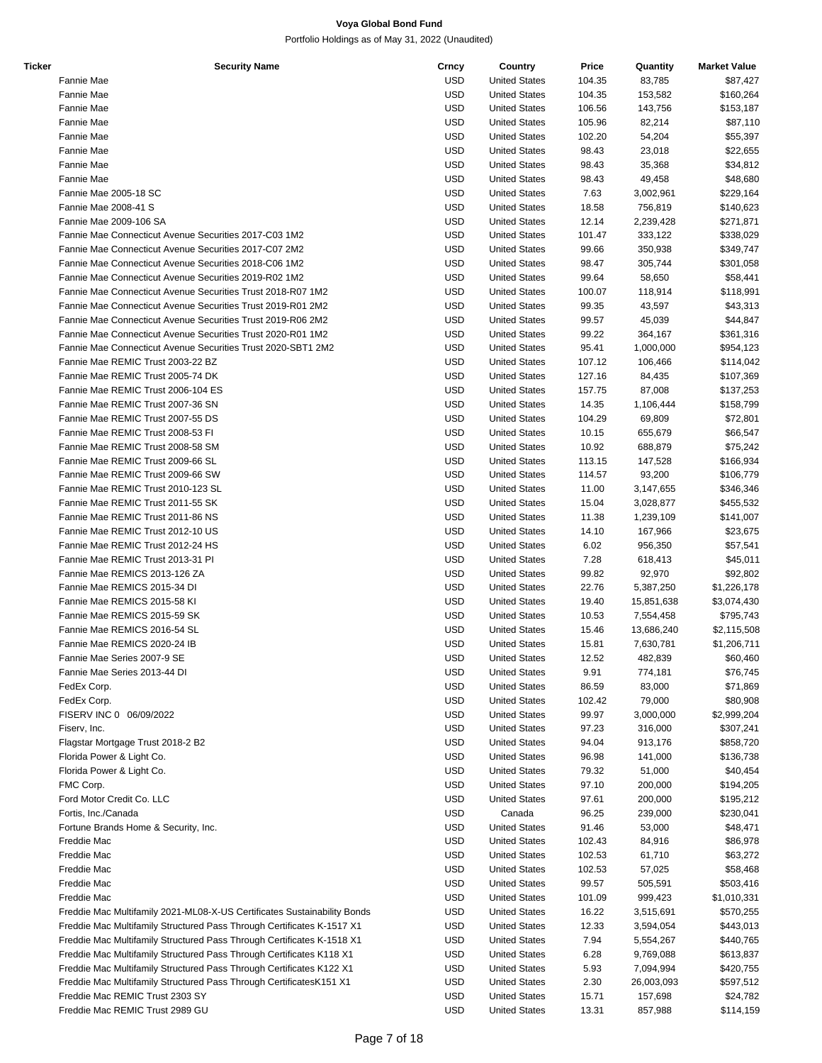| Ticker | <b>Security Name</b>                                                     | Crncy      | Country              | Price  | Quantity   | <b>Market Value</b> |
|--------|--------------------------------------------------------------------------|------------|----------------------|--------|------------|---------------------|
|        | Fannie Mae                                                               | <b>USD</b> | <b>United States</b> | 104.35 | 83,785     | \$87,427            |
|        | Fannie Mae                                                               | <b>USD</b> | <b>United States</b> | 104.35 | 153,582    | \$160,264           |
|        | Fannie Mae                                                               | <b>USD</b> | <b>United States</b> | 106.56 | 143,756    | \$153,187           |
|        | Fannie Mae                                                               | <b>USD</b> | <b>United States</b> | 105.96 | 82,214     | \$87,110            |
|        | Fannie Mae                                                               | <b>USD</b> | <b>United States</b> | 102.20 | 54,204     | \$55,397            |
|        | Fannie Mae                                                               | <b>USD</b> | <b>United States</b> | 98.43  | 23,018     | \$22,655            |
|        | Fannie Mae                                                               | <b>USD</b> | <b>United States</b> | 98.43  | 35,368     | \$34,812            |
|        | Fannie Mae                                                               | <b>USD</b> | <b>United States</b> | 98.43  | 49,458     | \$48,680            |
|        | Fannie Mae 2005-18 SC                                                    | <b>USD</b> | <b>United States</b> | 7.63   |            | \$229,164           |
|        | Fannie Mae 2008-41 S                                                     | <b>USD</b> |                      |        | 3,002,961  |                     |
|        |                                                                          |            | <b>United States</b> | 18.58  | 756,819    | \$140,623           |
|        | Fannie Mae 2009-106 SA                                                   | USD        | <b>United States</b> | 12.14  | 2,239,428  | \$271,871           |
|        | Fannie Mae Connecticut Avenue Securities 2017-C03 1M2                    | <b>USD</b> | <b>United States</b> | 101.47 | 333,122    | \$338,029           |
|        | Fannie Mae Connecticut Avenue Securities 2017-C07 2M2                    | <b>USD</b> | <b>United States</b> | 99.66  | 350,938    | \$349,747           |
|        | Fannie Mae Connecticut Avenue Securities 2018-C06 1M2                    | <b>USD</b> | <b>United States</b> | 98.47  | 305,744    | \$301,058           |
|        | Fannie Mae Connecticut Avenue Securities 2019-R02 1M2                    | <b>USD</b> | <b>United States</b> | 99.64  | 58,650     | \$58,441            |
|        | Fannie Mae Connecticut Avenue Securities Trust 2018-R07 1M2              | <b>USD</b> | <b>United States</b> | 100.07 | 118,914    | \$118,991           |
|        | Fannie Mae Connecticut Avenue Securities Trust 2019-R01 2M2              | <b>USD</b> | <b>United States</b> | 99.35  | 43,597     | \$43,313            |
|        | Fannie Mae Connecticut Avenue Securities Trust 2019-R06 2M2              | USD        | <b>United States</b> | 99.57  | 45,039     | \$44,847            |
|        | Fannie Mae Connecticut Avenue Securities Trust 2020-R01 1M2              | USD        | <b>United States</b> | 99.22  | 364,167    | \$361,316           |
|        | Fannie Mae Connecticut Avenue Securities Trust 2020-SBT1 2M2             | <b>USD</b> | <b>United States</b> | 95.41  | 1,000,000  | \$954,123           |
|        | Fannie Mae REMIC Trust 2003-22 BZ                                        | <b>USD</b> | <b>United States</b> | 107.12 | 106,466    | \$114,042           |
|        | Fannie Mae REMIC Trust 2005-74 DK                                        | <b>USD</b> | <b>United States</b> | 127.16 | 84,435     | \$107,369           |
|        | Fannie Mae REMIC Trust 2006-104 ES                                       | <b>USD</b> | <b>United States</b> | 157.75 | 87,008     | \$137,253           |
|        | Fannie Mae REMIC Trust 2007-36 SN                                        | <b>USD</b> | <b>United States</b> | 14.35  | 1,106,444  | \$158,799           |
|        | Fannie Mae REMIC Trust 2007-55 DS                                        | <b>USD</b> | <b>United States</b> | 104.29 | 69,809     | \$72,801            |
|        | Fannie Mae REMIC Trust 2008-53 FI                                        | <b>USD</b> | <b>United States</b> | 10.15  | 655,679    | \$66,547            |
|        | Fannie Mae REMIC Trust 2008-58 SM                                        | USD        | <b>United States</b> | 10.92  | 688,879    | \$75,242            |
|        | Fannie Mae REMIC Trust 2009-66 SL                                        | <b>USD</b> | <b>United States</b> | 113.15 | 147,528    | \$166,934           |
|        | Fannie Mae REMIC Trust 2009-66 SW                                        | <b>USD</b> | <b>United States</b> | 114.57 | 93,200     | \$106,779           |
|        | Fannie Mae REMIC Trust 2010-123 SL                                       | <b>USD</b> | <b>United States</b> | 11.00  | 3,147,655  | \$346,346           |
|        | Fannie Mae REMIC Trust 2011-55 SK                                        | <b>USD</b> | <b>United States</b> | 15.04  | 3,028,877  | \$455,532           |
|        | Fannie Mae REMIC Trust 2011-86 NS                                        | <b>USD</b> | <b>United States</b> | 11.38  | 1,239,109  | \$141,007           |
|        | Fannie Mae REMIC Trust 2012-10 US                                        | <b>USD</b> | <b>United States</b> | 14.10  | 167,966    |                     |
|        | Fannie Mae REMIC Trust 2012-24 HS                                        |            |                      |        |            | \$23,675            |
|        |                                                                          | <b>USD</b> | <b>United States</b> | 6.02   | 956,350    | \$57,541            |
|        | Fannie Mae REMIC Trust 2013-31 PI                                        | USD        | <b>United States</b> | 7.28   | 618,413    | \$45,011            |
|        | Fannie Mae REMICS 2013-126 ZA                                            | <b>USD</b> | <b>United States</b> | 99.82  | 92,970     | \$92,802            |
|        | Fannie Mae REMICS 2015-34 DI                                             | <b>USD</b> | <b>United States</b> | 22.76  | 5,387,250  | \$1,226,178         |
|        | Fannie Mae REMICS 2015-58 KI                                             | <b>USD</b> | <b>United States</b> | 19.40  | 15,851,638 | \$3,074,430         |
|        | Fannie Mae REMICS 2015-59 SK                                             | USD        | <b>United States</b> | 10.53  | 7,554,458  | \$795,743           |
|        | Fannie Mae REMICS 2016-54 SL                                             | <b>USD</b> | <b>United States</b> | 15.46  | 13,686,240 | \$2,115,508         |
|        | Fannie Mae REMICS 2020-24 IB                                             | <b>USD</b> | <b>United States</b> | 15.81  | 7,630,781  | \$1,206,711         |
|        | Fannie Mae Series 2007-9 SE                                              | <b>USD</b> | <b>United States</b> | 12.52  | 482,839    | \$60,460            |
|        | Fannie Mae Series 2013-44 DI                                             | <b>USD</b> | <b>United States</b> | 9.91   | 774,181    | \$76,745            |
|        | FedEx Corp.                                                              | <b>USD</b> | <b>United States</b> | 86.59  | 83,000     | \$71,869            |
|        | FedEx Corp.                                                              | <b>USD</b> | <b>United States</b> | 102.42 | 79,000     | \$80,908            |
|        | FISERV INC 0 06/09/2022                                                  | <b>USD</b> | <b>United States</b> | 99.97  | 3,000,000  | \$2,999,204         |
|        | Fiserv, Inc.                                                             | <b>USD</b> | <b>United States</b> | 97.23  | 316,000    | \$307,241           |
|        | Flagstar Mortgage Trust 2018-2 B2                                        | <b>USD</b> | <b>United States</b> | 94.04  | 913,176    | \$858,720           |
|        | Florida Power & Light Co.                                                | <b>USD</b> | <b>United States</b> | 96.98  | 141,000    | \$136,738           |
|        | Florida Power & Light Co.                                                | <b>USD</b> | <b>United States</b> | 79.32  | 51,000     | \$40,454            |
|        | FMC Corp.                                                                | <b>USD</b> | <b>United States</b> | 97.10  | 200,000    | \$194,205           |
|        | Ford Motor Credit Co. LLC                                                | <b>USD</b> | <b>United States</b> | 97.61  | 200,000    | \$195,212           |
|        | Fortis, Inc./Canada                                                      | <b>USD</b> | Canada               | 96.25  | 239,000    | \$230,041           |
|        | Fortune Brands Home & Security, Inc.                                     | <b>USD</b> | <b>United States</b> | 91.46  | 53,000     | \$48,471            |
|        | Freddie Mac                                                              | USD        | <b>United States</b> | 102.43 | 84,916     | \$86,978            |
|        | Freddie Mac                                                              | <b>USD</b> | <b>United States</b> | 102.53 | 61,710     | \$63,272            |
|        | Freddie Mac                                                              | <b>USD</b> | <b>United States</b> | 102.53 | 57,025     | \$58,468            |
|        |                                                                          |            |                      |        |            |                     |
|        | Freddie Mac                                                              | <b>USD</b> | <b>United States</b> | 99.57  | 505,591    | \$503,416           |
|        | Freddie Mac                                                              | <b>USD</b> | <b>United States</b> | 101.09 | 999,423    | \$1,010,331         |
|        | Freddie Mac Multifamily 2021-ML08-X-US Certificates Sustainability Bonds | <b>USD</b> | <b>United States</b> | 16.22  | 3,515,691  | \$570,255           |
|        | Freddie Mac Multifamily Structured Pass Through Certificates K-1517 X1   | <b>USD</b> | <b>United States</b> | 12.33  | 3,594,054  | \$443,013           |
|        | Freddie Mac Multifamily Structured Pass Through Certificates K-1518 X1   | <b>USD</b> | <b>United States</b> | 7.94   | 5,554,267  | \$440,765           |
|        | Freddie Mac Multifamily Structured Pass Through Certificates K118 X1     | USD        | <b>United States</b> | 6.28   | 9,769,088  | \$613,837           |
|        | Freddie Mac Multifamily Structured Pass Through Certificates K122 X1     | USD        | <b>United States</b> | 5.93   | 7,094,994  | \$420,755           |
|        | Freddie Mac Multifamily Structured Pass Through Certificates K151 X1     | <b>USD</b> | <b>United States</b> | 2.30   | 26,003,093 | \$597,512           |
|        | Freddie Mac REMIC Trust 2303 SY                                          | <b>USD</b> | <b>United States</b> | 15.71  | 157,698    | \$24,782            |
|        | Freddie Mac REMIC Trust 2989 GU                                          | <b>USD</b> | <b>United States</b> | 13.31  | 857,988    | \$114,159           |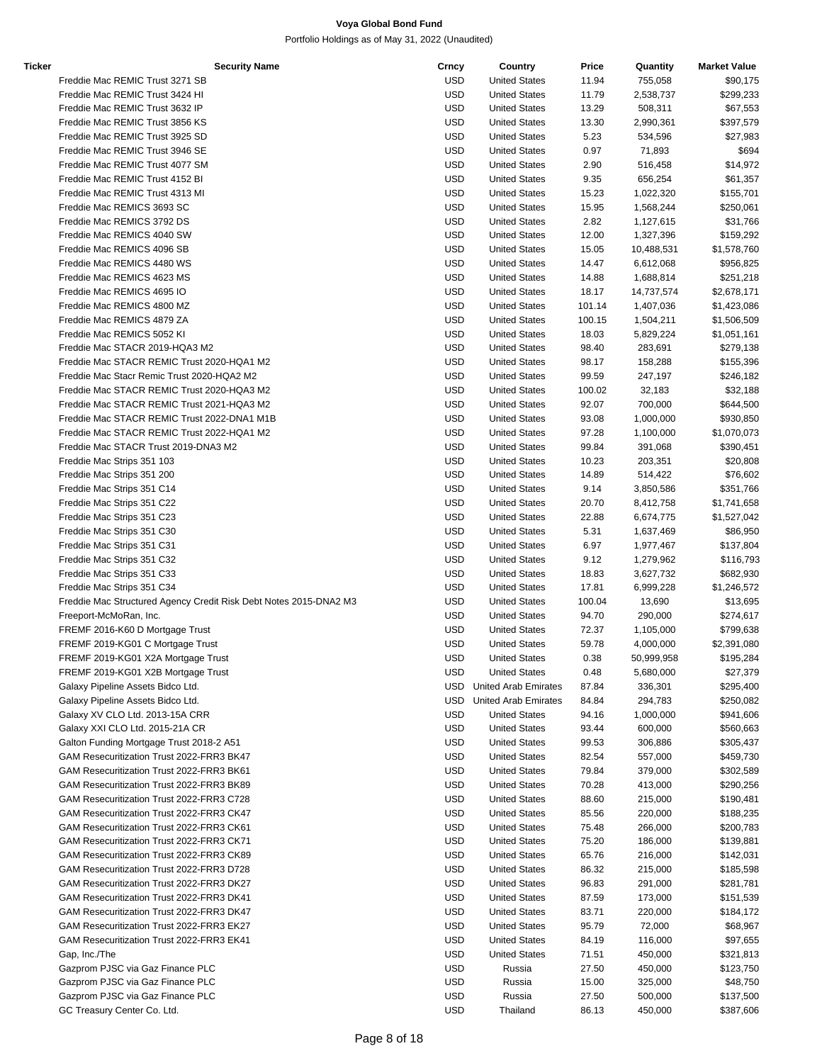| Ticker | <b>Security Name</b>                                              | Crncy      | Country                     | Price  | Quantity   | <b>Market Value</b> |
|--------|-------------------------------------------------------------------|------------|-----------------------------|--------|------------|---------------------|
|        | Freddie Mac REMIC Trust 3271 SB                                   | <b>USD</b> | <b>United States</b>        | 11.94  | 755,058    | \$90,175            |
|        | Freddie Mac REMIC Trust 3424 HI                                   | <b>USD</b> | <b>United States</b>        | 11.79  | 2,538,737  | \$299,233           |
|        | Freddie Mac REMIC Trust 3632 IP                                   | USD        | <b>United States</b>        | 13.29  | 508,311    | \$67,553            |
|        | Freddie Mac REMIC Trust 3856 KS                                   | <b>USD</b> | <b>United States</b>        | 13.30  | 2,990,361  | \$397,579           |
|        | Freddie Mac REMIC Trust 3925 SD                                   | <b>USD</b> | <b>United States</b>        | 5.23   | 534,596    | \$27,983            |
|        | Freddie Mac REMIC Trust 3946 SE                                   | USD        | <b>United States</b>        | 0.97   | 71,893     | \$694               |
|        | Freddie Mac REMIC Trust 4077 SM                                   | USD        | <b>United States</b>        | 2.90   | 516,458    | \$14,972            |
|        | Freddie Mac REMIC Trust 4152 BI                                   | <b>USD</b> | <b>United States</b>        | 9.35   | 656,254    | \$61,357            |
|        | Freddie Mac REMIC Trust 4313 MI                                   | <b>USD</b> | <b>United States</b>        | 15.23  |            | \$155,701           |
|        | Freddie Mac REMICS 3693 SC                                        |            | <b>United States</b>        |        | 1,022,320  |                     |
|        | Freddie Mac REMICS 3792 DS                                        | USD        |                             | 15.95  | 1,568,244  | \$250,061           |
|        |                                                                   | USD        | <b>United States</b>        | 2.82   | 1,127,615  | \$31,766            |
|        | Freddie Mac REMICS 4040 SW                                        | <b>USD</b> | <b>United States</b>        | 12.00  | 1,327,396  | \$159,292           |
|        | Freddie Mac REMICS 4096 SB                                        | <b>USD</b> | <b>United States</b>        | 15.05  | 10,488,531 | \$1,578,760         |
|        | Freddie Mac REMICS 4480 WS                                        | USD        | <b>United States</b>        | 14.47  | 6,612,068  | \$956,825           |
|        | Freddie Mac REMICS 4623 MS                                        | USD        | <b>United States</b>        | 14.88  | 1,688,814  | \$251,218           |
|        | Freddie Mac REMICS 4695 IO                                        | <b>USD</b> | <b>United States</b>        | 18.17  | 14,737,574 | \$2,678,171         |
|        | Freddie Mac REMICS 4800 MZ                                        | <b>USD</b> | <b>United States</b>        | 101.14 | 1,407,036  | \$1,423,086         |
|        | Freddie Mac REMICS 4879 ZA                                        | USD        | <b>United States</b>        | 100.15 | 1,504,211  | \$1,506,509         |
|        | Freddie Mac REMICS 5052 KI                                        | USD        | <b>United States</b>        | 18.03  | 5,829,224  | \$1,051,161         |
|        | Freddie Mac STACR 2019-HQA3 M2                                    | USD        | <b>United States</b>        | 98.40  | 283,691    | \$279,138           |
|        | Freddie Mac STACR REMIC Trust 2020-HQA1 M2                        | <b>USD</b> | <b>United States</b>        | 98.17  | 158,288    | \$155,396           |
|        | Freddie Mac Stacr Remic Trust 2020-HQA2 M2                        | <b>USD</b> | <b>United States</b>        | 99.59  | 247,197    | \$246,182           |
|        | Freddie Mac STACR REMIC Trust 2020-HQA3 M2                        | USD        | <b>United States</b>        | 100.02 | 32,183     | \$32,188            |
|        | Freddie Mac STACR REMIC Trust 2021-HQA3 M2                        | <b>USD</b> | <b>United States</b>        | 92.07  | 700,000    | \$644,500           |
|        | Freddie Mac STACR REMIC Trust 2022-DNA1 M1B                       | <b>USD</b> | <b>United States</b>        | 93.08  | 1,000,000  | \$930,850           |
|        | Freddie Mac STACR REMIC Trust 2022-HQA1 M2                        | USD        | <b>United States</b>        | 97.28  | 1,100,000  | \$1,070,073         |
|        | Freddie Mac STACR Trust 2019-DNA3 M2                              | USD        | <b>United States</b>        | 99.84  | 391,068    | \$390,451           |
|        | Freddie Mac Strips 351 103                                        | USD        | <b>United States</b>        | 10.23  | 203,351    | \$20,808            |
|        | Freddie Mac Strips 351 200                                        | <b>USD</b> | <b>United States</b>        | 14.89  | 514,422    | \$76,602            |
|        |                                                                   | USD        | <b>United States</b>        | 9.14   | 3,850,586  |                     |
|        | Freddie Mac Strips 351 C14                                        |            |                             |        |            | \$351,766           |
|        | Freddie Mac Strips 351 C22                                        | USD        | <b>United States</b>        | 20.70  | 8,412,758  | \$1,741,658         |
|        | Freddie Mac Strips 351 C23                                        | <b>USD</b> | <b>United States</b>        | 22.88  | 6,674,775  | \$1,527,042         |
|        | Freddie Mac Strips 351 C30                                        | <b>USD</b> | <b>United States</b>        | 5.31   | 1,637,469  | \$86,950            |
|        | Freddie Mac Strips 351 C31                                        | USD        | <b>United States</b>        | 6.97   | 1,977,467  | \$137,804           |
|        | Freddie Mac Strips 351 C32                                        | USD        | <b>United States</b>        | 9.12   | 1,279,962  | \$116,793           |
|        | Freddie Mac Strips 351 C33                                        | USD        | <b>United States</b>        | 18.83  | 3,627,732  | \$682,930           |
|        | Freddie Mac Strips 351 C34                                        | <b>USD</b> | <b>United States</b>        | 17.81  | 6,999,228  | \$1,246,572         |
|        | Freddie Mac Structured Agency Credit Risk Debt Notes 2015-DNA2 M3 | <b>USD</b> | <b>United States</b>        | 100.04 | 13,690     | \$13,695            |
|        | Freeport-McMoRan, Inc.                                            | USD        | <b>United States</b>        | 94.70  | 290,000    | \$274,617           |
|        | FREMF 2016-K60 D Mortgage Trust                                   | USD        | <b>United States</b>        | 72.37  | 1,105,000  | \$799,638           |
|        | FREMF 2019-KG01 C Mortgage Trust                                  | <b>USD</b> | <b>United States</b>        | 59.78  | 4,000,000  | \$2,391,080         |
|        | FREMF 2019-KG01 X2A Mortgage Trust                                | USD        | <b>United States</b>        | 0.38   | 50,999,958 | \$195,284           |
|        | FREMF 2019-KG01 X2B Mortgage Trust                                | <b>USD</b> | <b>United States</b>        | 0.48   | 5,680,000  | \$27,379            |
|        | Galaxy Pipeline Assets Bidco Ltd.                                 | USD        | United Arab Emirates        | 87.84  | 336,301    | \$295,400           |
|        | Galaxy Pipeline Assets Bidco Ltd.                                 | USD.       | <b>United Arab Emirates</b> | 84.84  | 294,783    | \$250,082           |
|        | Galaxy XV CLO Ltd. 2013-15A CRR                                   | USD        | <b>United States</b>        | 94.16  | 1,000,000  | \$941,606           |
|        | Galaxy XXI CLO Ltd. 2015-21A CR                                   | <b>USD</b> | <b>United States</b>        | 93.44  | 600,000    | \$560,663           |
|        | Galton Funding Mortgage Trust 2018-2 A51                          | USD        | <b>United States</b>        | 99.53  | 306,886    | \$305,437           |
|        | GAM Resecuritization Trust 2022-FRR3 BK47                         | <b>USD</b> | <b>United States</b>        | 82.54  | 557,000    | \$459,730           |
|        | GAM Resecuritization Trust 2022-FRR3 BK61                         | USD        | <b>United States</b>        | 79.84  | 379,000    | \$302,589           |
|        | GAM Resecuritization Trust 2022-FRR3 BK89                         | USD        | <b>United States</b>        | 70.28  | 413,000    | \$290,256           |
|        | GAM Resecuritization Trust 2022-FRR3 C728                         | <b>USD</b> | <b>United States</b>        | 88.60  | 215,000    | \$190,481           |
|        | GAM Resecuritization Trust 2022-FRR3 CK47                         | <b>USD</b> | <b>United States</b>        | 85.56  | 220,000    | \$188,235           |
|        | GAM Resecuritization Trust 2022-FRR3 CK61                         | USD        | <b>United States</b>        | 75.48  | 266,000    | \$200,783           |
|        | GAM Resecuritization Trust 2022-FRR3 CK71                         | USD        | <b>United States</b>        | 75.20  | 186,000    | \$139,881           |
|        |                                                                   |            |                             |        |            |                     |
|        | GAM Resecuritization Trust 2022-FRR3 CK89                         | USD        | <b>United States</b>        | 65.76  | 216,000    | \$142,031           |
|        | GAM Resecuritization Trust 2022-FRR3 D728                         | <b>USD</b> | <b>United States</b>        | 86.32  | 215,000    | \$185,598           |
|        | GAM Resecuritization Trust 2022-FRR3 DK27                         | USD        | <b>United States</b>        | 96.83  | 291,000    | \$281,781           |
|        | GAM Resecuritization Trust 2022-FRR3 DK41                         | USD        | <b>United States</b>        | 87.59  | 173,000    | \$151,539           |
|        | GAM Resecuritization Trust 2022-FRR3 DK47                         | <b>USD</b> | <b>United States</b>        | 83.71  | 220,000    | \$184,172           |
|        | GAM Resecuritization Trust 2022-FRR3 EK27                         | <b>USD</b> | <b>United States</b>        | 95.79  | 72,000     | \$68,967            |
|        | GAM Resecuritization Trust 2022-FRR3 EK41                         | USD        | <b>United States</b>        | 84.19  | 116,000    | \$97,655            |
|        | Gap, Inc./The                                                     | USD        | <b>United States</b>        | 71.51  | 450,000    | \$321,813           |
|        | Gazprom PJSC via Gaz Finance PLC                                  | USD        | Russia                      | 27.50  | 450,000    | \$123,750           |
|        | Gazprom PJSC via Gaz Finance PLC                                  | <b>USD</b> | Russia                      | 15.00  | 325,000    | \$48,750            |
|        | Gazprom PJSC via Gaz Finance PLC                                  | USD        | Russia                      | 27.50  | 500,000    | \$137,500           |
|        | GC Treasury Center Co. Ltd.                                       | <b>USD</b> | Thailand                    | 86.13  | 450,000    | \$387,606           |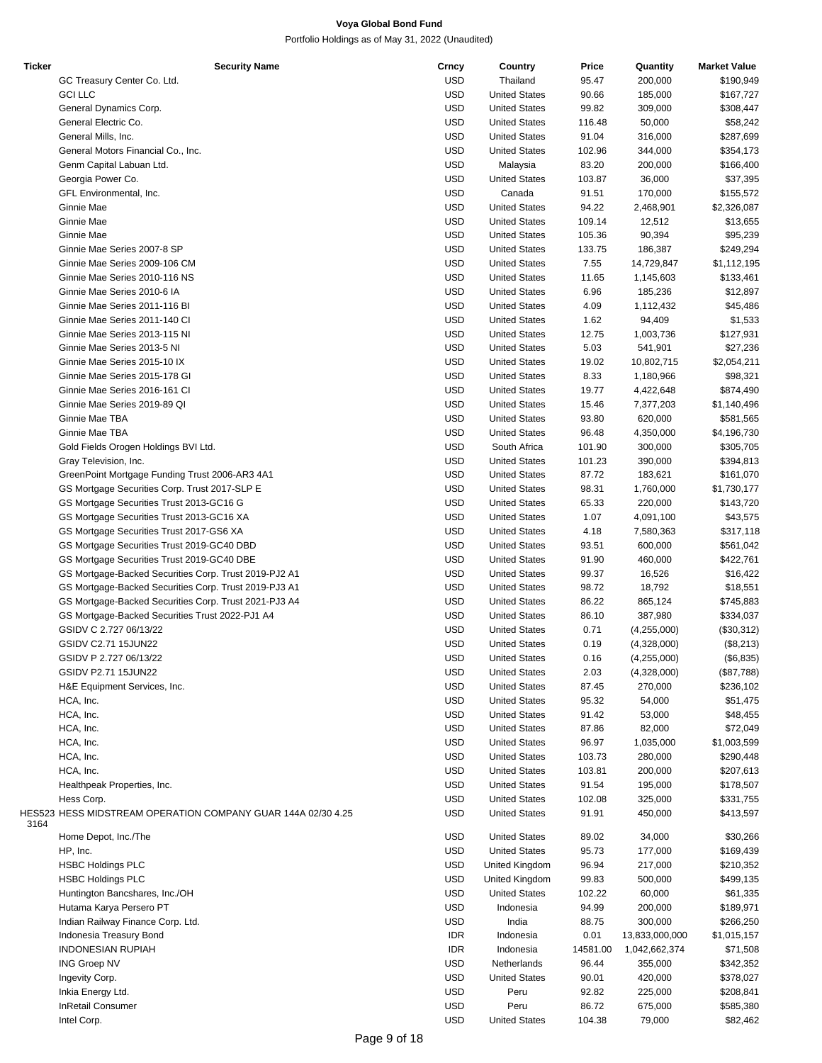| <b>Ticker</b> | <b>Security Name</b>                                         | Crncy      | Country              | Price    | Quantity       | <b>Market Value</b> |
|---------------|--------------------------------------------------------------|------------|----------------------|----------|----------------|---------------------|
|               | GC Treasury Center Co. Ltd.                                  | USD        | Thailand             | 95.47    | 200,000        | \$190,949           |
|               | <b>GCI LLC</b>                                               | USD        | <b>United States</b> | 90.66    | 185,000        | \$167,727           |
|               | General Dynamics Corp.                                       | USD        | <b>United States</b> | 99.82    | 309,000        | \$308,447           |
|               | General Electric Co.                                         | <b>USD</b> | <b>United States</b> | 116.48   | 50,000         | \$58,242            |
|               | General Mills, Inc.                                          | USD        | <b>United States</b> | 91.04    | 316,000        | \$287,699           |
|               |                                                              |            |                      |          |                |                     |
|               | General Motors Financial Co., Inc.                           | USD        | <b>United States</b> | 102.96   | 344,000        | \$354,173           |
|               | Genm Capital Labuan Ltd.                                     | USD        | Malaysia             | 83.20    | 200,000        | \$166,400           |
|               | Georgia Power Co.                                            | USD        | <b>United States</b> | 103.87   | 36,000         | \$37,395            |
|               | GFL Environmental, Inc.                                      | USD        | Canada               | 91.51    | 170,000        | \$155,572           |
|               | Ginnie Mae                                                   | USD        | <b>United States</b> | 94.22    | 2,468,901      | \$2,326,087         |
|               | Ginnie Mae                                                   | USD        | <b>United States</b> | 109.14   | 12,512         | \$13,655            |
|               | Ginnie Mae                                                   | <b>USD</b> | <b>United States</b> | 105.36   | 90,394         | \$95,239            |
|               | Ginnie Mae Series 2007-8 SP                                  | USD        | <b>United States</b> | 133.75   | 186,387        | \$249,294           |
|               | Ginnie Mae Series 2009-106 CM                                | USD        | <b>United States</b> | 7.55     | 14,729,847     | \$1,112,195         |
|               | Ginnie Mae Series 2010-116 NS                                | USD        | <b>United States</b> | 11.65    | 1,145,603      |                     |
|               |                                                              |            |                      |          |                | \$133,461           |
|               | Ginnie Mae Series 2010-6 IA                                  | USD        | <b>United States</b> | 6.96     | 185,236        | \$12,897            |
|               | Ginnie Mae Series 2011-116 BI                                | USD        | <b>United States</b> | 4.09     | 1,112,432      | \$45,486            |
|               | Ginnie Mae Series 2011-140 CI                                | USD        | <b>United States</b> | 1.62     | 94,409         | \$1,533             |
|               | Ginnie Mae Series 2013-115 NI                                | <b>USD</b> | <b>United States</b> | 12.75    | 1,003,736      | \$127,931           |
|               | Ginnie Mae Series 2013-5 NI                                  | <b>USD</b> | <b>United States</b> | 5.03     | 541,901        | \$27,236            |
|               | Ginnie Mae Series 2015-10 IX                                 | USD        | <b>United States</b> | 19.02    | 10,802,715     | \$2,054,211         |
|               | Ginnie Mae Series 2015-178 GI                                | USD        | <b>United States</b> | 8.33     | 1,180,966      | \$98,321            |
|               | Ginnie Mae Series 2016-161 CI                                | USD        | <b>United States</b> | 19.77    | 4,422,648      | \$874,490           |
|               | Ginnie Mae Series 2019-89 QI                                 | USD        | <b>United States</b> | 15.46    | 7,377,203      |                     |
|               |                                                              |            |                      |          |                | \$1,140,496         |
|               | Ginnie Mae TBA                                               | USD        | <b>United States</b> | 93.80    | 620,000        | \$581,565           |
|               | Ginnie Mae TBA                                               | USD        | <b>United States</b> | 96.48    | 4,350,000      | \$4,196,730         |
|               | Gold Fields Orogen Holdings BVI Ltd.                         | USD        | South Africa         | 101.90   | 300,000        | \$305,705           |
|               | Gray Television, Inc.                                        | USD        | <b>United States</b> | 101.23   | 390,000        | \$394,813           |
|               | GreenPoint Mortgage Funding Trust 2006-AR3 4A1               | USD        | <b>United States</b> | 87.72    | 183,621        | \$161,070           |
|               | GS Mortgage Securities Corp. Trust 2017-SLP E                | USD        | <b>United States</b> | 98.31    | 1,760,000      | \$1,730,177         |
|               | GS Mortgage Securities Trust 2013-GC16 G                     | USD        | <b>United States</b> | 65.33    | 220,000        | \$143,720           |
|               | GS Mortgage Securities Trust 2013-GC16 XA                    | USD        | <b>United States</b> | 1.07     | 4,091,100      | \$43,575            |
|               | GS Mortgage Securities Trust 2017-GS6 XA                     | USD        | <b>United States</b> | 4.18     | 7,580,363      | \$317,118           |
|               |                                                              |            |                      |          |                |                     |
|               | GS Mortgage Securities Trust 2019-GC40 DBD                   | USD        | <b>United States</b> | 93.51    | 600,000        | \$561,042           |
|               | GS Mortgage Securities Trust 2019-GC40 DBE                   | USD        | <b>United States</b> | 91.90    | 460,000        | \$422,761           |
|               | GS Mortgage-Backed Securities Corp. Trust 2019-PJ2 A1        | USD        | <b>United States</b> | 99.37    | 16,526         | \$16,422            |
|               | GS Mortgage-Backed Securities Corp. Trust 2019-PJ3 A1        | USD        | <b>United States</b> | 98.72    | 18,792         | \$18,551            |
|               | GS Mortgage-Backed Securities Corp. Trust 2021-PJ3 A4        | USD        | <b>United States</b> | 86.22    | 865,124        | \$745,883           |
|               | GS Mortgage-Backed Securities Trust 2022-PJ1 A4              | USD        | <b>United States</b> | 86.10    | 387,980        | \$334,037           |
|               | GSIDV C 2.727 06/13/22                                       | USD        | <b>United States</b> | 0.71     | (4,255,000)    | (\$30,312)          |
|               | GSIDV C2.71 15JUN22                                          | USD        | <b>United States</b> | 0.19     | (4,328,000)    | (\$8,213)           |
|               | GSIDV P 2.727 06/13/22                                       | <b>USD</b> | <b>United States</b> | 0.16     | (4,255,000)    | (\$6,835)           |
|               | GSIDV P2.71 15JUN22                                          | USD        | <b>United States</b> | 2.03     | (4,328,000)    | (\$87,788)          |
|               |                                                              |            |                      |          | 270,000        |                     |
|               | H&E Equipment Services, Inc.                                 | USD        | <b>United States</b> | 87.45    |                | \$236,102           |
|               | HCA, Inc.                                                    | USD        | <b>United States</b> | 95.32    | 54,000         | \$51,475            |
|               | HCA, Inc.                                                    | USD        | <b>United States</b> | 91.42    | 53,000         | \$48,455            |
|               | HCA, Inc.                                                    | USD        | <b>United States</b> | 87.86    | 82,000         | \$72,049            |
|               | HCA, Inc.                                                    | USD        | <b>United States</b> | 96.97    | 1,035,000      | \$1,003,599         |
|               | HCA, Inc.                                                    | USD        | <b>United States</b> | 103.73   | 280,000        | \$290,448           |
|               | HCA, Inc.                                                    | USD        | <b>United States</b> | 103.81   | 200,000        | \$207,613           |
|               | Healthpeak Properties, Inc.                                  | USD        | <b>United States</b> | 91.54    | 195,000        | \$178,507           |
|               | Hess Corp.                                                   | USD        | <b>United States</b> | 102.08   | 325,000        | \$331,755           |
|               | HES523 HESS MIDSTREAM OPERATION COMPANY GUAR 144A 02/30 4.25 | USD        | <b>United States</b> | 91.91    | 450,000        | \$413,597           |
| 3164          |                                                              |            |                      |          |                |                     |
|               | Home Depot, Inc./The                                         | USD        | <b>United States</b> | 89.02    | 34,000         | \$30,266            |
|               | HP, Inc.                                                     | USD        | <b>United States</b> | 95.73    | 177,000        | \$169,439           |
|               | <b>HSBC Holdings PLC</b>                                     | USD        | United Kingdom       | 96.94    | 217,000        | \$210,352           |
|               | <b>HSBC Holdings PLC</b>                                     | USD        | United Kingdom       | 99.83    | 500,000        | \$499,135           |
|               |                                                              |            |                      |          |                |                     |
|               | Huntington Bancshares, Inc./OH                               | USD        | <b>United States</b> | 102.22   | 60,000         | \$61,335            |
|               | Hutama Karya Persero PT                                      | USD        | Indonesia            | 94.99    | 200,000        | \$189,971           |
|               | Indian Railway Finance Corp. Ltd.                            | USD        | India                | 88.75    | 300,000        | \$266,250           |
|               | Indonesia Treasury Bond                                      | <b>IDR</b> | Indonesia            | 0.01     | 13,833,000,000 | \$1,015,157         |
|               | <b>INDONESIAN RUPIAH</b>                                     | <b>IDR</b> | Indonesia            | 14581.00 | 1,042,662,374  | \$71,508            |
|               | <b>ING Groep NV</b>                                          | USD        | Netherlands          | 96.44    | 355,000        | \$342,352           |
|               | Ingevity Corp.                                               | USD        | <b>United States</b> | 90.01    | 420,000        | \$378,027           |
|               | Inkia Energy Ltd.                                            | USD        | Peru                 | 92.82    | 225,000        | \$208,841           |
|               | <b>InRetail Consumer</b>                                     | <b>USD</b> | Peru                 | 86.72    | 675,000        | \$585,380           |
|               | Intel Corp.                                                  | <b>USD</b> | <b>United States</b> | 104.38   | 79,000         | \$82,462            |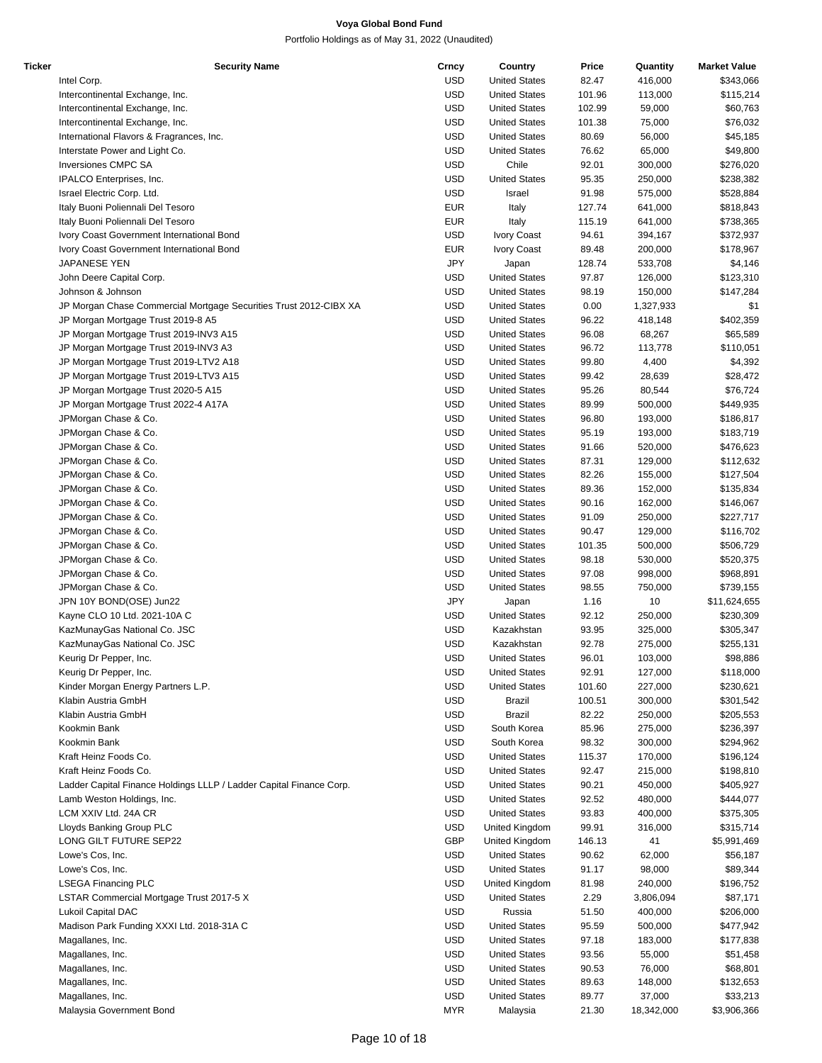| Ticker | <b>Security Name</b>                                                | Crncy      | Country              | Price  | Quantity   | <b>Market Value</b> |
|--------|---------------------------------------------------------------------|------------|----------------------|--------|------------|---------------------|
|        | Intel Corp.                                                         | <b>USD</b> | <b>United States</b> | 82.47  | 416,000    | \$343,066           |
|        | Intercontinental Exchange, Inc.                                     | <b>USD</b> | <b>United States</b> | 101.96 | 113,000    | \$115,214           |
|        | Intercontinental Exchange, Inc.                                     | <b>USD</b> | <b>United States</b> | 102.99 | 59,000     | \$60,763            |
|        | Intercontinental Exchange, Inc.                                     | <b>USD</b> | <b>United States</b> | 101.38 | 75,000     | \$76,032            |
|        |                                                                     |            |                      |        |            |                     |
|        | International Flavors & Fragrances, Inc.                            | <b>USD</b> | <b>United States</b> | 80.69  | 56,000     | \$45,185            |
|        | Interstate Power and Light Co.                                      | <b>USD</b> | <b>United States</b> | 76.62  | 65,000     | \$49,800            |
|        | <b>Inversiones CMPC SA</b>                                          | <b>USD</b> | Chile                | 92.01  | 300,000    | \$276,020           |
|        | IPALCO Enterprises, Inc.                                            | <b>USD</b> | <b>United States</b> | 95.35  | 250,000    | \$238,382           |
|        | Israel Electric Corp. Ltd.                                          | <b>USD</b> | Israel               | 91.98  | 575,000    | \$528,884           |
|        | Italy Buoni Poliennali Del Tesoro                                   | <b>EUR</b> | Italy                | 127.74 | 641,000    | \$818,843           |
|        | Italy Buoni Poliennali Del Tesoro                                   | <b>EUR</b> | Italy                | 115.19 | 641,000    | \$738,365           |
|        | Ivory Coast Government International Bond                           | <b>USD</b> | <b>Ivory Coast</b>   | 94.61  | 394,167    | \$372,937           |
|        |                                                                     | <b>EUR</b> |                      | 89.48  |            |                     |
|        | Ivory Coast Government International Bond                           |            | Ivory Coast          |        | 200,000    | \$178,967           |
|        | JAPANESE YEN                                                        | JPY        | Japan                | 128.74 | 533,708    | \$4,146             |
|        | John Deere Capital Corp.                                            | USD        | <b>United States</b> | 97.87  | 126,000    | \$123,310           |
|        | Johnson & Johnson                                                   | <b>USD</b> | <b>United States</b> | 98.19  | 150,000    | \$147,284           |
|        | JP Morgan Chase Commercial Mortgage Securities Trust 2012-CIBX XA   | <b>USD</b> | <b>United States</b> | 0.00   | 1,327,933  | \$1                 |
|        | JP Morgan Mortgage Trust 2019-8 A5                                  | <b>USD</b> | <b>United States</b> | 96.22  | 418,148    | \$402,359           |
|        | JP Morgan Mortgage Trust 2019-INV3 A15                              | <b>USD</b> | <b>United States</b> | 96.08  | 68,267     | \$65,589            |
|        | JP Morgan Mortgage Trust 2019-INV3 A3                               | <b>USD</b> | <b>United States</b> | 96.72  | 113,778    | \$110,051           |
|        | JP Morgan Mortgage Trust 2019-LTV2 A18                              | <b>USD</b> | <b>United States</b> | 99.80  | 4,400      | \$4,392             |
|        |                                                                     |            |                      |        |            |                     |
|        | JP Morgan Mortgage Trust 2019-LTV3 A15                              | <b>USD</b> | <b>United States</b> | 99.42  | 28,639     | \$28,472            |
|        | JP Morgan Mortgage Trust 2020-5 A15                                 | <b>USD</b> | <b>United States</b> | 95.26  | 80,544     | \$76,724            |
|        | JP Morgan Mortgage Trust 2022-4 A17A                                | <b>USD</b> | <b>United States</b> | 89.99  | 500,000    | \$449,935           |
|        | JPMorgan Chase & Co.                                                | <b>USD</b> | <b>United States</b> | 96.80  | 193,000    | \$186,817           |
|        | JPMorgan Chase & Co.                                                | <b>USD</b> | <b>United States</b> | 95.19  | 193,000    | \$183,719           |
|        | JPMorgan Chase & Co.                                                | <b>USD</b> | <b>United States</b> | 91.66  | 520,000    | \$476,623           |
|        | JPMorgan Chase & Co.                                                | <b>USD</b> | <b>United States</b> | 87.31  | 129,000    | \$112,632           |
|        | JPMorgan Chase & Co.                                                | <b>USD</b> | <b>United States</b> | 82.26  | 155,000    | \$127,504           |
|        |                                                                     | <b>USD</b> | <b>United States</b> | 89.36  |            |                     |
|        | JPMorgan Chase & Co.                                                |            |                      |        | 152,000    | \$135,834           |
|        | JPMorgan Chase & Co.                                                | <b>USD</b> | <b>United States</b> | 90.16  | 162,000    | \$146,067           |
|        | JPMorgan Chase & Co.                                                | <b>USD</b> | <b>United States</b> | 91.09  | 250,000    | \$227,717           |
|        | JPMorgan Chase & Co.                                                | <b>USD</b> | <b>United States</b> | 90.47  | 129,000    | \$116,702           |
|        | JPMorgan Chase & Co.                                                | <b>USD</b> | <b>United States</b> | 101.35 | 500,000    | \$506,729           |
|        | JPMorgan Chase & Co.                                                | <b>USD</b> | <b>United States</b> | 98.18  | 530,000    | \$520,375           |
|        | JPMorgan Chase & Co.                                                | <b>USD</b> | <b>United States</b> | 97.08  | 998,000    | \$968,891           |
|        | JPMorgan Chase & Co.                                                | <b>USD</b> | <b>United States</b> | 98.55  | 750,000    | \$739,155           |
|        | JPN 10Y BOND(OSE) Jun22                                             | JPY        | Japan                | 1.16   | 10         | \$11,624,655        |
|        | Kayne CLO 10 Ltd. 2021-10A C                                        | USD        | <b>United States</b> |        |            |                     |
|        |                                                                     |            |                      | 92.12  | 250,000    | \$230,309           |
|        | KazMunayGas National Co. JSC                                        | <b>USD</b> | Kazakhstan           | 93.95  | 325,000    | \$305,347           |
|        | KazMunayGas National Co. JSC                                        | <b>USD</b> | Kazakhstan           | 92.78  | 275,000    | \$255,131           |
|        | Keurig Dr Pepper, Inc.                                              | <b>USD</b> | <b>United States</b> | 96.01  | 103,000    | \$98,886            |
|        | Keurig Dr Pepper, Inc.                                              | <b>USD</b> | <b>United States</b> | 92.91  | 127,000    | \$118,000           |
|        | Kinder Morgan Energy Partners L.P.                                  | <b>USD</b> | <b>United States</b> | 101.60 | 227,000    | \$230,621           |
|        | Klabin Austria GmbH                                                 | <b>USD</b> | <b>Brazil</b>        | 100.51 | 300,000    | \$301,542           |
|        | Klabin Austria GmbH                                                 | <b>USD</b> | Brazil               | 82.22  | 250,000    | \$205,553           |
|        | Kookmin Bank                                                        | USD        | South Korea          | 85.96  | 275,000    | \$236,397           |
|        | Kookmin Bank                                                        | <b>USD</b> | South Korea          | 98.32  | 300,000    | \$294,962           |
|        |                                                                     |            |                      |        |            |                     |
|        | Kraft Heinz Foods Co.                                               | <b>USD</b> | <b>United States</b> | 115.37 | 170,000    | \$196,124           |
|        | Kraft Heinz Foods Co.                                               | <b>USD</b> | <b>United States</b> | 92.47  | 215,000    | \$198,810           |
|        | Ladder Capital Finance Holdings LLLP / Ladder Capital Finance Corp. | <b>USD</b> | <b>United States</b> | 90.21  | 450,000    | \$405,927           |
|        | Lamb Weston Holdings, Inc.                                          | <b>USD</b> | <b>United States</b> | 92.52  | 480,000    | \$444,077           |
|        | LCM XXIV Ltd. 24A CR                                                | <b>USD</b> | <b>United States</b> | 93.83  | 400,000    | \$375,305           |
|        | Lloyds Banking Group PLC                                            | USD        | United Kingdom       | 99.91  | 316,000    | \$315,714           |
|        | LONG GILT FUTURE SEP22                                              | <b>GBP</b> | United Kingdom       | 146.13 | 41         | \$5,991,469         |
|        | Lowe's Cos, Inc.                                                    | <b>USD</b> | <b>United States</b> | 90.62  | 62,000     | \$56,187            |
|        | Lowe's Cos, Inc.                                                    | <b>USD</b> | <b>United States</b> | 91.17  | 98,000     | \$89,344            |
|        |                                                                     |            |                      |        |            |                     |
|        | <b>LSEGA Financing PLC</b>                                          | <b>USD</b> | United Kingdom       | 81.98  | 240,000    | \$196,752           |
|        | LSTAR Commercial Mortgage Trust 2017-5 X                            | <b>USD</b> | <b>United States</b> | 2.29   | 3,806,094  | \$87,171            |
|        | Lukoil Capital DAC                                                  | <b>USD</b> | Russia               | 51.50  | 400,000    | \$206,000           |
|        | Madison Park Funding XXXI Ltd. 2018-31A C                           | <b>USD</b> | <b>United States</b> | 95.59  | 500,000    | \$477,942           |
|        | Magallanes, Inc.                                                    | USD        | <b>United States</b> | 97.18  | 183,000    | \$177,838           |
|        | Magallanes, Inc.                                                    | USD        | <b>United States</b> | 93.56  | 55,000     | \$51,458            |
|        | Magallanes, Inc.                                                    | <b>USD</b> | <b>United States</b> | 90.53  | 76,000     | \$68,801            |
|        | Magallanes, Inc.                                                    | <b>USD</b> | <b>United States</b> | 89.63  | 148,000    | \$132,653           |
|        |                                                                     | <b>USD</b> |                      |        |            |                     |
|        | Magallanes, Inc.                                                    |            | <b>United States</b> | 89.77  | 37,000     | \$33,213            |
|        | Malaysia Government Bond                                            | <b>MYR</b> | Malaysia             | 21.30  | 18,342,000 | \$3,906,366         |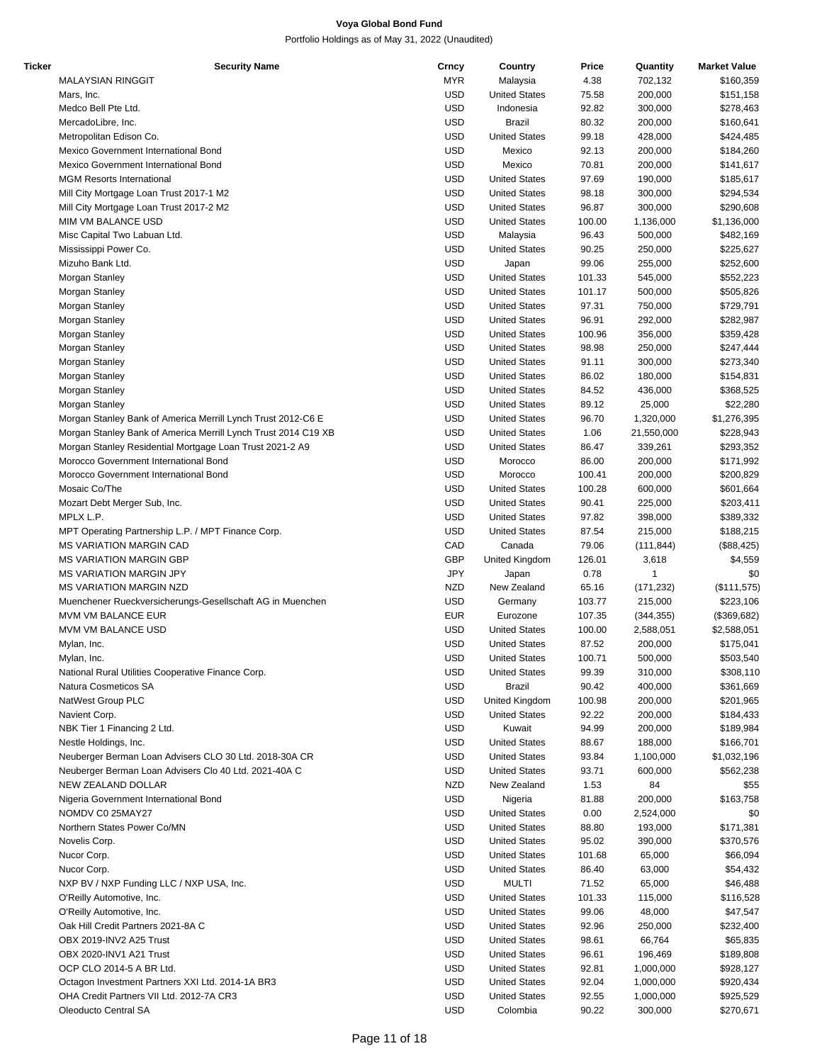| Ticker | <b>Security Name</b>                                           | Crncy      | Country              | Price  | Quantity   | <b>Market Value</b> |
|--------|----------------------------------------------------------------|------------|----------------------|--------|------------|---------------------|
|        | <b>MALAYSIAN RINGGIT</b>                                       | <b>MYR</b> | Malaysia             | 4.38   | 702,132    | \$160,359           |
|        | Mars, Inc.                                                     | <b>USD</b> | <b>United States</b> | 75.58  | 200,000    | \$151,158           |
|        | Medco Bell Pte Ltd.                                            | <b>USD</b> | Indonesia            | 92.82  | 300,000    | \$278,463           |
|        | MercadoLibre, Inc.                                             | <b>USD</b> | <b>Brazil</b>        | 80.32  | 200,000    | \$160,641           |
|        | Metropolitan Edison Co.                                        | <b>USD</b> | <b>United States</b> |        |            |                     |
|        |                                                                |            |                      | 99.18  | 428,000    | \$424,485           |
|        | Mexico Government International Bond                           | <b>USD</b> | Mexico               | 92.13  | 200,000    | \$184,260           |
|        | Mexico Government International Bond                           | <b>USD</b> | Mexico               | 70.81  | 200,000    | \$141,617           |
|        | <b>MGM Resorts International</b>                               | <b>USD</b> | <b>United States</b> | 97.69  | 190,000    | \$185,617           |
|        | Mill City Mortgage Loan Trust 2017-1 M2                        | <b>USD</b> | <b>United States</b> | 98.18  | 300,000    | \$294,534           |
|        | Mill City Mortgage Loan Trust 2017-2 M2                        | <b>USD</b> | <b>United States</b> | 96.87  | 300,000    | \$290,608           |
|        | MIM VM BALANCE USD                                             | <b>USD</b> | <b>United States</b> | 100.00 | 1,136,000  | \$1,136,000         |
|        | Misc Capital Two Labuan Ltd.                                   | <b>USD</b> | Malaysia             | 96.43  | 500,000    | \$482,169           |
|        |                                                                | <b>USD</b> | <b>United States</b> |        |            |                     |
|        | Mississippi Power Co.                                          |            |                      | 90.25  | 250,000    | \$225,627           |
|        | Mizuho Bank Ltd.                                               | <b>USD</b> | Japan                | 99.06  | 255,000    | \$252,600           |
|        | Morgan Stanley                                                 | <b>USD</b> | <b>United States</b> | 101.33 | 545,000    | \$552,223           |
|        | Morgan Stanley                                                 | <b>USD</b> | <b>United States</b> | 101.17 | 500,000    | \$505,826           |
|        | Morgan Stanley                                                 | <b>USD</b> | <b>United States</b> | 97.31  | 750,000    | \$729,791           |
|        | Morgan Stanley                                                 | <b>USD</b> | <b>United States</b> | 96.91  | 292,000    | \$282,987           |
|        | Morgan Stanley                                                 | <b>USD</b> | <b>United States</b> | 100.96 | 356,000    | \$359,428           |
|        | Morgan Stanley                                                 | <b>USD</b> | <b>United States</b> | 98.98  | 250,000    | \$247,444           |
|        |                                                                |            |                      |        |            |                     |
|        | Morgan Stanley                                                 | <b>USD</b> | <b>United States</b> | 91.11  | 300,000    | \$273,340           |
|        | Morgan Stanley                                                 | <b>USD</b> | <b>United States</b> | 86.02  | 180,000    | \$154,831           |
|        | Morgan Stanley                                                 | <b>USD</b> | <b>United States</b> | 84.52  | 436,000    | \$368,525           |
|        | Morgan Stanley                                                 | <b>USD</b> | <b>United States</b> | 89.12  | 25,000     | \$22,280            |
|        | Morgan Stanley Bank of America Merrill Lynch Trust 2012-C6 E   | <b>USD</b> | <b>United States</b> | 96.70  | 1,320,000  | \$1,276,395         |
|        | Morgan Stanley Bank of America Merrill Lynch Trust 2014 C19 XB | <b>USD</b> | <b>United States</b> | 1.06   | 21,550,000 | \$228,943           |
|        | Morgan Stanley Residential Mortgage Loan Trust 2021-2 A9       | <b>USD</b> | <b>United States</b> | 86.47  | 339,261    | \$293,352           |
|        | Morocco Government International Bond                          | <b>USD</b> | Morocco              | 86.00  | 200,000    |                     |
|        |                                                                |            |                      |        |            | \$171,992           |
|        | Morocco Government International Bond                          | <b>USD</b> | Morocco              | 100.41 | 200,000    | \$200,829           |
|        | Mosaic Co/The                                                  | <b>USD</b> | <b>United States</b> | 100.28 | 600,000    | \$601,664           |
|        | Mozart Debt Merger Sub, Inc.                                   | <b>USD</b> | <b>United States</b> | 90.41  | 225,000    | \$203,411           |
|        | MPLX L.P.                                                      | <b>USD</b> | <b>United States</b> | 97.82  | 398,000    | \$389,332           |
|        | MPT Operating Partnership L.P. / MPT Finance Corp.             | <b>USD</b> | <b>United States</b> | 87.54  | 215,000    | \$188,215           |
|        | <b>MS VARIATION MARGIN CAD</b>                                 | CAD        | Canada               | 79.06  | (111, 844) | (\$88,425)          |
|        | <b>MS VARIATION MARGIN GBP</b>                                 | <b>GBP</b> | United Kingdom       | 126.01 | 3,618      | \$4,559             |
|        |                                                                | <b>JPY</b> |                      |        |            |                     |
|        | <b>MS VARIATION MARGIN JPY</b>                                 |            | Japan                | 0.78   |            | \$0                 |
|        | <b>MS VARIATION MARGIN NZD</b>                                 | <b>NZD</b> | New Zealand          | 65.16  | (171, 232) | (\$111,575)         |
|        | Muenchener Rueckversicherungs-Gesellschaft AG in Muenchen      | <b>USD</b> | Germany              | 103.77 | 215,000    | \$223,106           |
|        | <b>MVM VM BALANCE EUR</b>                                      | <b>EUR</b> | Eurozone             | 107.35 | (344, 355) | (\$369,682)         |
|        | MVM VM BALANCE USD                                             | <b>USD</b> | <b>United States</b> | 100.00 | 2,588,051  | \$2,588,051         |
|        | Mylan, Inc.                                                    | <b>USD</b> | <b>United States</b> | 87.52  | 200,000    | \$175,041           |
|        | Mylan, Inc.                                                    | <b>USD</b> | <b>United States</b> | 100.71 | 500,000    | \$503,540           |
|        | National Rural Utilities Cooperative Finance Corp.             | <b>USD</b> | <b>United States</b> | 99.39  | 310,000    | \$308,110           |
|        | Natura Cosmeticos SA                                           | <b>USD</b> | Brazil               |        |            |                     |
|        |                                                                |            |                      | 90.42  | 400,000    | \$361,669           |
|        | NatWest Group PLC                                              | USD        | United Kingdom       | 100.98 | 200,000    | \$201,965           |
|        | Navient Corp.                                                  | <b>USD</b> | <b>United States</b> | 92.22  | 200,000    | \$184,433           |
|        | NBK Tier 1 Financing 2 Ltd.                                    | <b>USD</b> | Kuwait               | 94.99  | 200,000    | \$189,984           |
|        | Nestle Holdings, Inc.                                          | USD        | <b>United States</b> | 88.67  | 188,000    | \$166,701           |
|        | Neuberger Berman Loan Advisers CLO 30 Ltd. 2018-30A CR         | <b>USD</b> | <b>United States</b> | 93.84  | 1,100,000  | \$1,032,196         |
|        | Neuberger Berman Loan Advisers Clo 40 Ltd. 2021-40A C          | <b>USD</b> | <b>United States</b> | 93.71  | 600,000    | \$562,238           |
|        | NEW ZEALAND DOLLAR                                             | <b>NZD</b> | New Zealand          | 1.53   | 84         | \$55                |
|        |                                                                |            |                      |        |            |                     |
|        | Nigeria Government International Bond                          | <b>USD</b> | Nigeria              | 81.88  | 200,000    | \$163,758           |
|        | NOMDV C0 25MAY27                                               | USD        | <b>United States</b> | 0.00   | 2,524,000  | \$0                 |
|        | Northern States Power Co/MN                                    | <b>USD</b> | <b>United States</b> | 88.80  | 193,000    | \$171,381           |
|        | Novelis Corp.                                                  | <b>USD</b> | <b>United States</b> | 95.02  | 390,000    | \$370,576           |
|        | Nucor Corp.                                                    | <b>USD</b> | <b>United States</b> | 101.68 | 65,000     | \$66,094            |
|        | Nucor Corp.                                                    | <b>USD</b> | <b>United States</b> | 86.40  | 63,000     | \$54,432            |
|        | NXP BV / NXP Funding LLC / NXP USA, Inc.                       | <b>USD</b> | <b>MULTI</b>         | 71.52  | 65,000     | \$46,488            |
|        |                                                                |            |                      |        |            |                     |
|        | O'Reilly Automotive, Inc.                                      | <b>USD</b> | <b>United States</b> | 101.33 | 115,000    | \$116,528           |
|        | O'Reilly Automotive, Inc.                                      | USD        | <b>United States</b> | 99.06  | 48,000     | \$47,547            |
|        | Oak Hill Credit Partners 2021-8A C                             | <b>USD</b> | <b>United States</b> | 92.96  | 250,000    | \$232,400           |
|        | OBX 2019-INV2 A25 Trust                                        | <b>USD</b> | <b>United States</b> | 98.61  | 66,764     | \$65,835            |
|        | OBX 2020-INV1 A21 Trust                                        | <b>USD</b> | <b>United States</b> | 96.61  | 196,469    | \$189,808           |
|        | OCP CLO 2014-5 A BR Ltd.                                       | <b>USD</b> | <b>United States</b> | 92.81  | 1,000,000  | \$928,127           |
|        | Octagon Investment Partners XXI Ltd. 2014-1A BR3               | <b>USD</b> | <b>United States</b> | 92.04  | 1,000,000  | \$920,434           |
|        | OHA Credit Partners VII Ltd. 2012-7A CR3                       | <b>USD</b> |                      | 92.55  |            |                     |
|        |                                                                |            | <b>United States</b> |        | 1,000,000  | \$925,529           |
|        | Oleoducto Central SA                                           | <b>USD</b> | Colombia             | 90.22  | 300,000    | \$270,671           |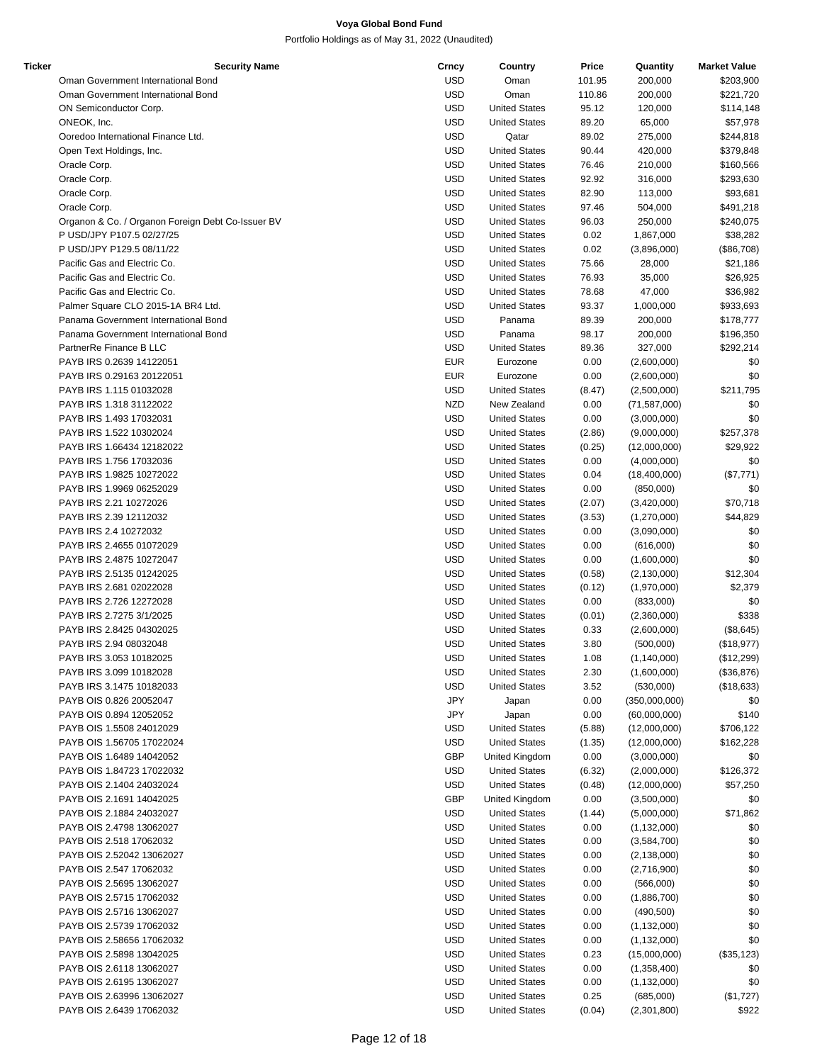| Ticker | <b>Security Name</b>                              | Crncy      | Country              | Price  | Quantity       | <b>Market Value</b> |
|--------|---------------------------------------------------|------------|----------------------|--------|----------------|---------------------|
|        | Oman Government International Bond                | <b>USD</b> | Oman                 | 101.95 | 200,000        | \$203,900           |
|        | Oman Government International Bond                | <b>USD</b> | Oman                 | 110.86 | 200,000        | \$221,720           |
|        | ON Semiconductor Corp.                            | <b>USD</b> | <b>United States</b> | 95.12  | 120,000        | \$114,148           |
|        | ONEOK, Inc.                                       | <b>USD</b> | <b>United States</b> | 89.20  | 65,000         | \$57,978            |
|        | Ooredoo International Finance Ltd.                | <b>USD</b> | Qatar                | 89.02  | 275,000        | \$244,818           |
|        | Open Text Holdings, Inc.                          | <b>USD</b> | <b>United States</b> | 90.44  | 420,000        | \$379,848           |
|        | Oracle Corp.                                      | <b>USD</b> | <b>United States</b> | 76.46  | 210,000        | \$160,566           |
|        | Oracle Corp.                                      | <b>USD</b> | <b>United States</b> | 92.92  | 316,000        | \$293,630           |
|        | Oracle Corp.                                      | USD        | <b>United States</b> | 82.90  | 113,000        | \$93,681            |
|        | Oracle Corp.                                      | <b>USD</b> | <b>United States</b> | 97.46  | 504,000        | \$491,218           |
|        | Organon & Co. / Organon Foreign Debt Co-Issuer BV | <b>USD</b> |                      |        |                |                     |
|        |                                                   |            | <b>United States</b> | 96.03  | 250,000        | \$240,075           |
|        | P USD/JPY P107.5 02/27/25                         | <b>USD</b> | <b>United States</b> | 0.02   | 1,867,000      | \$38,282            |
|        | P USD/JPY P129.5 08/11/22                         | <b>USD</b> | <b>United States</b> | 0.02   | (3,896,000)    | (\$86,708)          |
|        | Pacific Gas and Electric Co.                      | <b>USD</b> | <b>United States</b> | 75.66  | 28,000         | \$21,186            |
|        | Pacific Gas and Electric Co.                      | <b>USD</b> | <b>United States</b> | 76.93  | 35,000         | \$26,925            |
|        | Pacific Gas and Electric Co.                      | <b>USD</b> | <b>United States</b> | 78.68  | 47,000         | \$36,982            |
|        | Palmer Square CLO 2015-1A BR4 Ltd.                | USD        | <b>United States</b> | 93.37  | 1,000,000      | \$933,693           |
|        | Panama Government International Bond              | <b>USD</b> | Panama               | 89.39  | 200,000        | \$178,777           |
|        | Panama Government International Bond              | <b>USD</b> | Panama               | 98.17  | 200,000        | \$196,350           |
|        | PartnerRe Finance B LLC                           | <b>USD</b> | <b>United States</b> | 89.36  | 327,000        | \$292,214           |
|        | PAYB IRS 0.2639 14122051                          | <b>EUR</b> | Eurozone             | 0.00   | (2,600,000)    | \$0                 |
|        | PAYB IRS 0.29163 20122051                         | <b>EUR</b> | Eurozone             | 0.00   | (2,600,000)    | \$0                 |
|        | PAYB IRS 1.115 01032028                           | <b>USD</b> | <b>United States</b> | (8.47) | (2,500,000)    | \$211,795           |
|        | PAYB IRS 1.318 31122022                           | <b>NZD</b> | New Zealand          | 0.00   | (71, 587, 000) | \$0                 |
|        | PAYB IRS 1.493 17032031                           | USD        | <b>United States</b> | 0.00   | (3,000,000)    | \$0                 |
|        | PAYB IRS 1.522 10302024                           | <b>USD</b> | <b>United States</b> | (2.86) | (9,000,000)    | \$257,378           |
|        | PAYB IRS 1.66434 12182022                         | <b>USD</b> | <b>United States</b> | (0.25) | (12,000,000)   | \$29,922            |
|        | PAYB IRS 1.756 17032036                           | <b>USD</b> | <b>United States</b> | 0.00   | (4,000,000)    | \$0                 |
|        | PAYB IRS 1.9825 10272022                          | <b>USD</b> | <b>United States</b> | 0.04   |                |                     |
|        |                                                   |            |                      |        | (18,400,000)   | (\$7,771)           |
|        | PAYB IRS 1.9969 06252029                          | <b>USD</b> | <b>United States</b> | 0.00   | (850,000)      | \$0                 |
|        | PAYB IRS 2.21 10272026                            | <b>USD</b> | <b>United States</b> | (2.07) | (3,420,000)    | \$70,718            |
|        | PAYB IRS 2.39 12112032                            | <b>USD</b> | <b>United States</b> | (3.53) | (1,270,000)    | \$44,829            |
|        | PAYB IRS 2.4 10272032                             | USD        | <b>United States</b> | 0.00   | (3,090,000)    | \$0                 |
|        | PAYB IRS 2.4655 01072029                          | USD        | <b>United States</b> | 0.00   | (616,000)      | \$0                 |
|        | PAYB IRS 2.4875 10272047                          | <b>USD</b> | <b>United States</b> | 0.00   | (1,600,000)    | \$0                 |
|        | PAYB IRS 2.5135 01242025                          | <b>USD</b> | <b>United States</b> | (0.58) | (2, 130, 000)  | \$12,304            |
|        | PAYB IRS 2.681 02022028                           | <b>USD</b> | <b>United States</b> | (0.12) | (1,970,000)    | \$2,379             |
|        | PAYB IRS 2.726 12272028                           | <b>USD</b> | <b>United States</b> | 0.00   | (833,000)      | \$0                 |
|        | PAYB IRS 2.7275 3/1/2025                          | <b>USD</b> | <b>United States</b> | (0.01) | (2,360,000)    | \$338               |
|        | PAYB IRS 2.8425 04302025                          | <b>USD</b> | <b>United States</b> | 0.33   | (2,600,000)    | (\$8,645)           |
|        | PAYB IRS 2.94 08032048                            | USD        | <b>United States</b> | 3.80   | (500,000)      | (\$18,977)          |
|        | PAYB IRS 3.053 10182025                           | <b>USD</b> | <b>United States</b> | 1.08   | (1, 140, 000)  | (\$12,299)          |
|        | PAYB IRS 3.099 10182028                           | USD        | <b>United States</b> | 2.30   | (1,600,000)    | (\$36,876)          |
|        | PAYB IRS 3.1475 10182033                          | <b>USD</b> | <b>United States</b> | 3.52   | (530,000)      | (\$18,633)          |
|        | PAYB OIS 0.826 20052047                           | JPY        | Japan                | 0.00   | (350,000,000)  | \$0                 |
|        | PAYB OIS 0.894 12052052                           | JPY        | Japan                | 0.00   | (60,000,000)   | \$140               |
|        | PAYB OIS 1.5508 24012029                          | USD        | <b>United States</b> | (5.88) | (12,000,000)   | \$706,122           |
|        | PAYB OIS 1.56705 17022024                         | <b>USD</b> | <b>United States</b> | (1.35) | (12,000,000)   | \$162,228           |
|        | PAYB OIS 1.6489 14042052                          | GBP        | United Kingdom       | 0.00   | (3,000,000)    | \$0                 |
|        | PAYB OIS 1.84723 17022032                         | <b>USD</b> | <b>United States</b> |        | (2,000,000)    | \$126,372           |
|        | PAYB OIS 2.1404 24032024                          |            |                      | (6.32) |                |                     |
|        |                                                   | <b>USD</b> | <b>United States</b> | (0.48) | (12,000,000)   | \$57,250            |
|        | PAYB OIS 2.1691 14042025                          | <b>GBP</b> | United Kingdom       | 0.00   | (3,500,000)    | \$0                 |
|        | PAYB OIS 2.1884 24032027                          | <b>USD</b> | <b>United States</b> | (1.44) | (5,000,000)    | \$71,862            |
|        | PAYB OIS 2.4798 13062027                          | <b>USD</b> | <b>United States</b> | 0.00   | (1, 132, 000)  | \$0                 |
|        | PAYB OIS 2.518 17062032                           | USD        | <b>United States</b> | 0.00   | (3,584,700)    | \$0                 |
|        | PAYB OIS 2.52042 13062027                         | <b>USD</b> | <b>United States</b> | 0.00   | (2, 138, 000)  | \$0                 |
|        | PAYB OIS 2.547 17062032                           | <b>USD</b> | <b>United States</b> | 0.00   | (2,716,900)    | \$0                 |
|        | PAYB OIS 2.5695 13062027                          | <b>USD</b> | <b>United States</b> | 0.00   | (566,000)      | \$0                 |
|        | PAYB OIS 2.5715 17062032                          | <b>USD</b> | <b>United States</b> | 0.00   | (1,886,700)    | \$0                 |
|        | PAYB OIS 2.5716 13062027                          | <b>USD</b> | <b>United States</b> | 0.00   | (490, 500)     | \$0                 |
|        | PAYB OIS 2.5739 17062032                          | <b>USD</b> | <b>United States</b> | 0.00   | (1, 132, 000)  | \$0                 |
|        | PAYB OIS 2.58656 17062032                         | <b>USD</b> | <b>United States</b> | 0.00   | (1, 132, 000)  | \$0                 |
|        | PAYB OIS 2.5898 13042025                          | USD        | <b>United States</b> | 0.23   | (15,000,000)   | (\$35, 123)         |
|        | PAYB OIS 2.6118 13062027                          | <b>USD</b> | <b>United States</b> | 0.00   | (1,358,400)    | \$0                 |
|        | PAYB OIS 2.6195 13062027                          | <b>USD</b> | <b>United States</b> | 0.00   | (1, 132, 000)  | \$0                 |
|        | PAYB OIS 2.63996 13062027                         | <b>USD</b> | <b>United States</b> | 0.25   | (685,000)      | (\$1,727)           |
|        | PAYB OIS 2.6439 17062032                          | <b>USD</b> | <b>United States</b> | (0.04) | (2,301,800)    | \$922               |
|        |                                                   |            |                      |        |                |                     |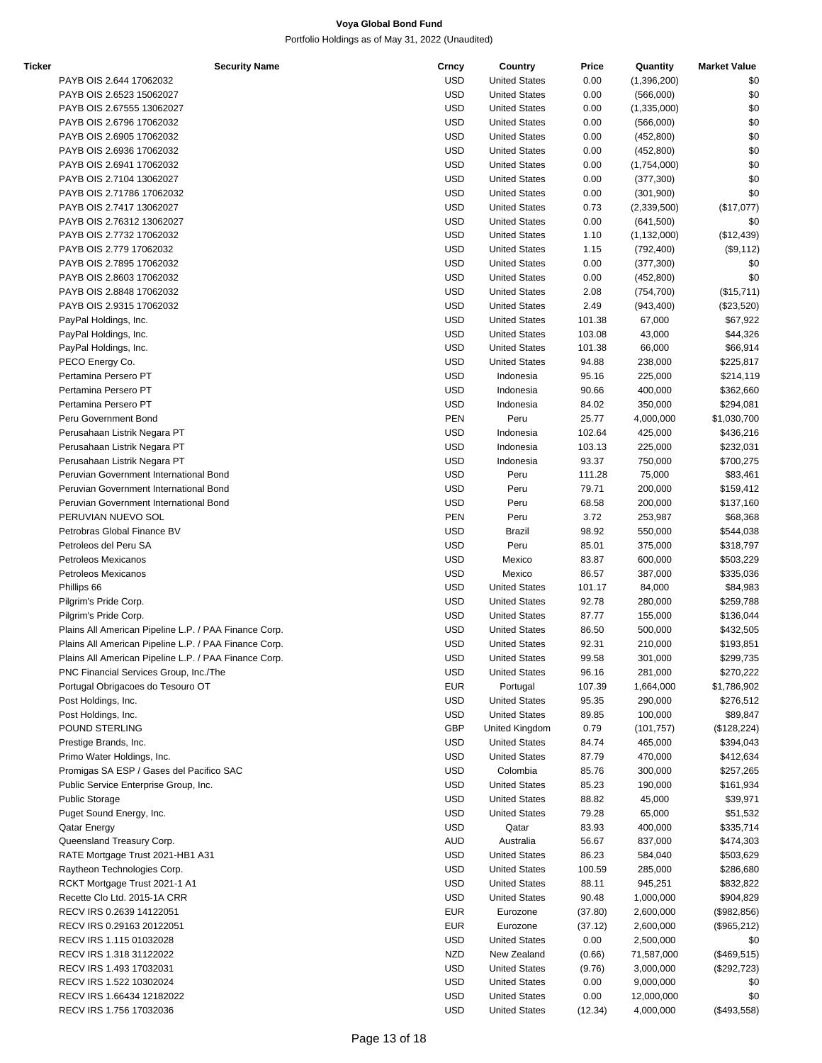| Ticker | <b>Security Name</b>                                  | Crncy      | Country              | Price   | Quantity      | <b>Market Value</b> |
|--------|-------------------------------------------------------|------------|----------------------|---------|---------------|---------------------|
|        | PAYB OIS 2.644 17062032                               | <b>USD</b> | <b>United States</b> | 0.00    | (1,396,200)   | \$0                 |
|        | PAYB OIS 2.6523 15062027                              | <b>USD</b> | <b>United States</b> | 0.00    | (566,000)     | \$0                 |
|        |                                                       |            |                      |         |               |                     |
|        | PAYB OIS 2.67555 13062027                             | <b>USD</b> | <b>United States</b> | 0.00    | (1,335,000)   | \$0                 |
|        | PAYB OIS 2.6796 17062032                              | <b>USD</b> | <b>United States</b> | 0.00    | (566,000)     | \$0                 |
|        | PAYB OIS 2.6905 17062032                              | <b>USD</b> | <b>United States</b> | 0.00    | (452, 800)    | \$0                 |
|        | PAYB OIS 2.6936 17062032                              | <b>USD</b> | <b>United States</b> | 0.00    | (452, 800)    | \$0                 |
|        | PAYB OIS 2.6941 17062032                              | <b>USD</b> | <b>United States</b> | 0.00    | (1,754,000)   | \$0                 |
|        |                                                       |            |                      |         |               |                     |
|        | PAYB OIS 2.7104 13062027                              | <b>USD</b> | <b>United States</b> | 0.00    | (377, 300)    | \$0                 |
|        | PAYB OIS 2.71786 17062032                             | <b>USD</b> | <b>United States</b> | 0.00    | (301, 900)    | \$0                 |
|        | PAYB OIS 2.7417 13062027                              | <b>USD</b> | <b>United States</b> | 0.73    | (2,339,500)   | (\$17,077)          |
|        | PAYB OIS 2.76312 13062027                             | <b>USD</b> | <b>United States</b> | 0.00    | (641,500)     | \$0                 |
|        |                                                       |            |                      |         |               |                     |
|        | PAYB OIS 2.7732 17062032                              | <b>USD</b> | <b>United States</b> | 1.10    | (1, 132, 000) | (\$12,439)          |
|        | PAYB OIS 2.779 17062032                               | <b>USD</b> | <b>United States</b> | 1.15    | (792, 400)    | (\$9,112)           |
|        | PAYB OIS 2.7895 17062032                              | <b>USD</b> | <b>United States</b> | 0.00    | (377, 300)    | \$0                 |
|        | PAYB OIS 2.8603 17062032                              | <b>USD</b> | <b>United States</b> | 0.00    | (452,800)     | \$0                 |
|        |                                                       |            |                      |         |               |                     |
|        | PAYB OIS 2.8848 17062032                              | <b>USD</b> | <b>United States</b> | 2.08    | (754, 700)    | (\$15,711)          |
|        | PAYB OIS 2.9315 17062032                              | <b>USD</b> | <b>United States</b> | 2.49    | (943, 400)    | (\$23,520)          |
|        | PayPal Holdings, Inc.                                 | <b>USD</b> | <b>United States</b> | 101.38  | 67,000        | \$67,922            |
|        | PayPal Holdings, Inc.                                 | <b>USD</b> | <b>United States</b> | 103.08  | 43,000        | \$44,326            |
|        |                                                       |            | <b>United States</b> |         |               |                     |
|        | PayPal Holdings, Inc.                                 | <b>USD</b> |                      | 101.38  | 66,000        | \$66,914            |
|        | PECO Energy Co.                                       | <b>USD</b> | <b>United States</b> | 94.88   | 238,000       | \$225,817           |
|        | Pertamina Persero PT                                  | <b>USD</b> | Indonesia            | 95.16   | 225,000       | \$214,119           |
|        | Pertamina Persero PT                                  | <b>USD</b> | Indonesia            | 90.66   | 400,000       | \$362,660           |
|        |                                                       |            |                      |         |               |                     |
|        | Pertamina Persero PT                                  | <b>USD</b> | Indonesia            | 84.02   | 350,000       | \$294,081           |
|        | Peru Government Bond                                  | <b>PEN</b> | Peru                 | 25.77   | 4,000,000     | \$1,030,700         |
|        | Perusahaan Listrik Negara PT                          | <b>USD</b> | Indonesia            | 102.64  | 425,000       | \$436,216           |
|        | Perusahaan Listrik Negara PT                          | <b>USD</b> | Indonesia            | 103.13  | 225,000       | \$232,031           |
|        |                                                       |            |                      |         |               |                     |
|        | Perusahaan Listrik Negara PT                          | <b>USD</b> | Indonesia            | 93.37   | 750,000       | \$700,275           |
|        | Peruvian Government International Bond                | <b>USD</b> | Peru                 | 111.28  | 75,000        | \$83,461            |
|        | Peruvian Government International Bond                | <b>USD</b> | Peru                 | 79.71   | 200,000       | \$159,412           |
|        | Peruvian Government International Bond                | <b>USD</b> | Peru                 | 68.58   | 200,000       | \$137,160           |
|        | PERUVIAN NUEVO SOL                                    | PEN        |                      |         |               |                     |
|        |                                                       |            | Peru                 | 3.72    | 253,987       | \$68,368            |
|        | Petrobras Global Finance BV                           | <b>USD</b> | <b>Brazil</b>        | 98.92   | 550,000       | \$544,038           |
|        | Petroleos del Peru SA                                 | <b>USD</b> | Peru                 | 85.01   | 375,000       | \$318,797           |
|        | Petroleos Mexicanos                                   | <b>USD</b> | Mexico               | 83.87   | 600,000       | \$503,229           |
|        | <b>Petroleos Mexicanos</b>                            | <b>USD</b> | Mexico               | 86.57   | 387,000       | \$335,036           |
|        |                                                       |            |                      |         |               |                     |
|        | Phillips 66                                           | <b>USD</b> | <b>United States</b> | 101.17  | 84,000        | \$84,983            |
|        | Pilgrim's Pride Corp.                                 | <b>USD</b> | <b>United States</b> | 92.78   | 280,000       | \$259,788           |
|        | Pilgrim's Pride Corp.                                 | <b>USD</b> | <b>United States</b> | 87.77   | 155,000       | \$136,044           |
|        | Plains All American Pipeline L.P. / PAA Finance Corp. | <b>USD</b> | <b>United States</b> | 86.50   | 500,000       | \$432,505           |
|        |                                                       |            |                      |         |               |                     |
|        | Plains All American Pipeline L.P. / PAA Finance Corp. | <b>USD</b> | <b>United States</b> | 92.31   | 210,000       | \$193,851           |
|        | Plains All American Pipeline L.P. / PAA Finance Corp. | <b>USD</b> | <b>United States</b> | 99.58   | 301,000       | \$299,735           |
|        | PNC Financial Services Group, Inc./The                | <b>USD</b> | <b>United States</b> | 96.16   | 281,000       | \$270,222           |
|        | Portugal Obrigacoes do Tesouro OT                     | <b>EUR</b> | Portugal             | 107.39  | 1,664,000     | \$1,786,902         |
|        |                                                       |            |                      |         |               |                     |
|        | Post Holdings, Inc.                                   | <b>USD</b> | <b>United States</b> | 95.35   | 290,000       | \$276,512           |
|        | Post Holdings, Inc.                                   | <b>USD</b> | <b>United States</b> | 89.85   | 100,000       | \$89,847            |
|        | POUND STERLING                                        | GBP        | United Kingdom       | 0.79    | (101, 757)    | (\$128,224)         |
|        | Prestige Brands, Inc.                                 | <b>USD</b> | <b>United States</b> | 84.74   | 465,000       | \$394,043           |
|        |                                                       |            |                      |         |               |                     |
|        | Primo Water Holdings, Inc.                            | <b>USD</b> | <b>United States</b> | 87.79   | 470,000       | \$412,634           |
|        | Promigas SA ESP / Gases del Pacifico SAC              | <b>USD</b> | Colombia             | 85.76   | 300,000       | \$257,265           |
|        | Public Service Enterprise Group, Inc.                 | <b>USD</b> | <b>United States</b> | 85.23   | 190,000       | \$161,934           |
|        | <b>Public Storage</b>                                 | <b>USD</b> | <b>United States</b> | 88.82   | 45,000        | \$39,971            |
|        |                                                       |            |                      |         |               |                     |
|        | Puget Sound Energy, Inc.                              | <b>USD</b> | <b>United States</b> | 79.28   | 65,000        | \$51,532            |
|        | Qatar Energy                                          | <b>USD</b> | Qatar                | 83.93   | 400,000       | \$335,714           |
|        | Queensland Treasury Corp.                             | <b>AUD</b> | Australia            | 56.67   | 837,000       | \$474,303           |
|        | RATE Mortgage Trust 2021-HB1 A31                      | <b>USD</b> | <b>United States</b> | 86.23   | 584,040       | \$503,629           |
|        |                                                       |            |                      |         |               |                     |
|        | Raytheon Technologies Corp.                           | <b>USD</b> | <b>United States</b> | 100.59  | 285,000       | \$286,680           |
|        | RCKT Mortgage Trust 2021-1 A1                         | <b>USD</b> | <b>United States</b> | 88.11   | 945,251       | \$832,822           |
|        | Recette Clo Ltd. 2015-1A CRR                          | <b>USD</b> | <b>United States</b> | 90.48   | 1,000,000     | \$904,829           |
|        | RECV IRS 0.2639 14122051                              | <b>EUR</b> | Eurozone             | (37.80) | 2,600,000     | (\$982, 856)        |
|        |                                                       |            |                      |         |               |                     |
|        | RECV IRS 0.29163 20122051                             | <b>EUR</b> | Eurozone             | (37.12) | 2,600,000     | (\$965,212)         |
|        | RECV IRS 1.115 01032028                               | <b>USD</b> | <b>United States</b> | 0.00    | 2,500,000     | \$0                 |
|        | RECV IRS 1.318 31122022                               | <b>NZD</b> | New Zealand          | (0.66)  | 71,587,000    | (\$469,515)         |
|        | RECV IRS 1.493 17032031                               | <b>USD</b> | <b>United States</b> | (9.76)  | 3,000,000     | (\$292,723)         |
|        |                                                       |            |                      |         |               |                     |
|        | RECV IRS 1.522 10302024                               | <b>USD</b> | <b>United States</b> | 0.00    | 9,000,000     | \$0                 |
|        | RECV IRS 1.66434 12182022                             | <b>USD</b> | <b>United States</b> | 0.00    | 12,000,000    | \$0                 |
|        | RECV IRS 1.756 17032036                               | <b>USD</b> | <b>United States</b> | (12.34) | 4,000,000     | (\$493,558)         |
|        |                                                       |            |                      |         |               |                     |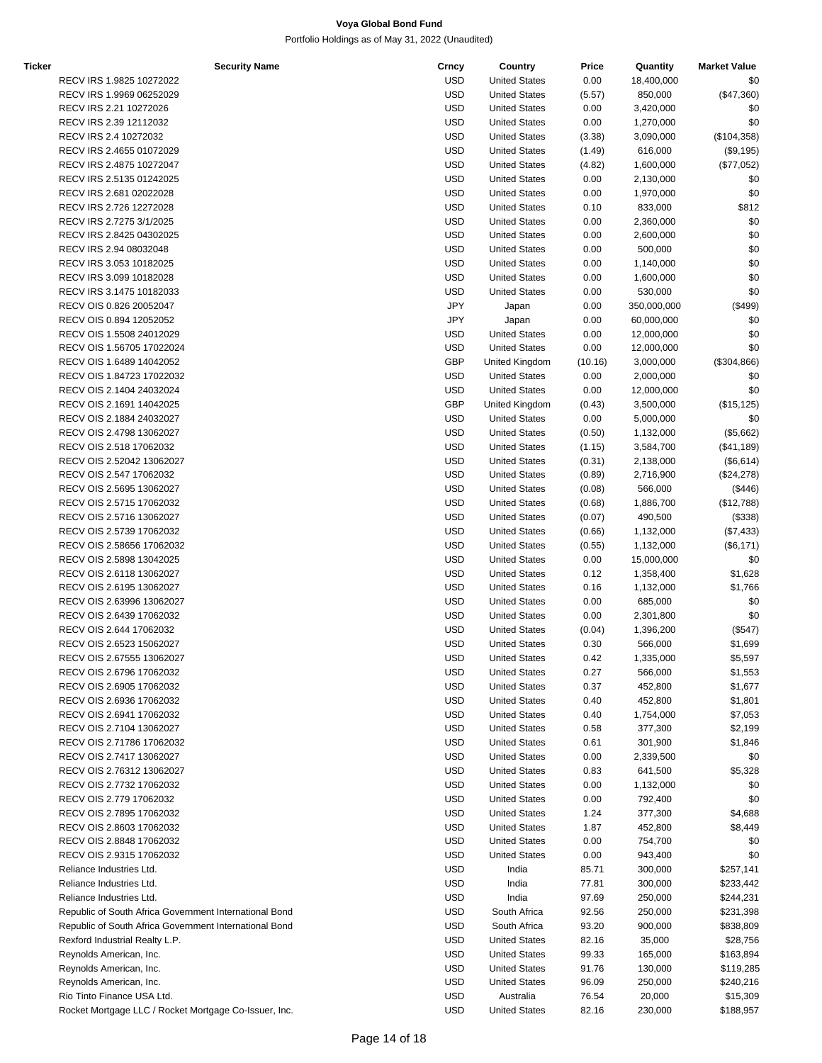| Ticker | <b>Security Name</b>                                   | Crncy      | Country              | Price   | Quantity    | <b>Market Value</b> |
|--------|--------------------------------------------------------|------------|----------------------|---------|-------------|---------------------|
|        | RECV IRS 1.9825 10272022                               | <b>USD</b> | <b>United States</b> | 0.00    | 18,400,000  | \$0                 |
|        | RECV IRS 1.9969 06252029                               | <b>USD</b> | <b>United States</b> | (5.57)  | 850,000     | (\$47,360)          |
|        | RECV IRS 2.21 10272026                                 | <b>USD</b> | <b>United States</b> | 0.00    | 3,420,000   | \$0                 |
|        | RECV IRS 2.39 12112032                                 | <b>USD</b> | <b>United States</b> | 0.00    | 1,270,000   | \$0                 |
|        | RECV IRS 2.4 10272032                                  | <b>USD</b> | <b>United States</b> | (3.38)  | 3,090,000   | (\$104,358)         |
|        | RECV IRS 2.4655 01072029                               | <b>USD</b> | <b>United States</b> | (1.49)  | 616,000     | (\$9,195)           |
|        | RECV IRS 2.4875 10272047                               | <b>USD</b> | <b>United States</b> | (4.82)  | 1,600,000   | $(\$77,052)$        |
|        | RECV IRS 2.5135 01242025                               | <b>USD</b> | <b>United States</b> | 0.00    | 2,130,000   | \$0                 |
|        | RECV IRS 2.681 02022028                                | <b>USD</b> | <b>United States</b> | 0.00    | 1,970,000   | \$0                 |
|        | RECV IRS 2.726 12272028                                | <b>USD</b> | <b>United States</b> | 0.10    | 833,000     | \$812               |
|        | RECV IRS 2.7275 3/1/2025                               | <b>USD</b> | <b>United States</b> | 0.00    | 2,360,000   | \$0                 |
|        | RECV IRS 2.8425 04302025                               | <b>USD</b> | <b>United States</b> | 0.00    | 2,600,000   | \$0                 |
|        | RECV IRS 2.94 08032048                                 | <b>USD</b> | <b>United States</b> | 0.00    | 500,000     | \$0                 |
|        |                                                        | <b>USD</b> |                      |         |             |                     |
|        | RECV IRS 3.053 10182025                                |            | <b>United States</b> | 0.00    | 1,140,000   | \$0                 |
|        | RECV IRS 3.099 10182028                                | <b>USD</b> | <b>United States</b> | 0.00    | 1,600,000   | \$0                 |
|        | RECV IRS 3.1475 10182033                               | <b>USD</b> | <b>United States</b> | 0.00    | 530,000     | \$0                 |
|        | RECV OIS 0.826 20052047                                | <b>JPY</b> | Japan                | 0.00    | 350,000,000 | (\$499)             |
|        | RECV OIS 0.894 12052052                                | <b>JPY</b> | Japan                | 0.00    | 60,000,000  | \$0                 |
|        | RECV OIS 1.5508 24012029                               | <b>USD</b> | <b>United States</b> | 0.00    | 12,000,000  | \$0                 |
|        | RECV OIS 1.56705 17022024                              | <b>USD</b> | <b>United States</b> | 0.00    | 12,000,000  | \$0                 |
|        | RECV OIS 1.6489 14042052                               | <b>GBP</b> | United Kingdom       | (10.16) | 3,000,000   | (\$304, 866)        |
|        | RECV OIS 1.84723 17022032                              | <b>USD</b> | <b>United States</b> | 0.00    | 2,000,000   | \$0                 |
|        | RECV OIS 2.1404 24032024                               | <b>USD</b> | <b>United States</b> | 0.00    | 12,000,000  | \$0                 |
|        | RECV OIS 2.1691 14042025                               | <b>GBP</b> | United Kingdom       | (0.43)  | 3,500,000   | (\$15, 125)         |
|        | RECV OIS 2.1884 24032027                               | <b>USD</b> | <b>United States</b> | 0.00    | 5,000,000   | \$0                 |
|        | RECV OIS 2.4798 13062027                               | <b>USD</b> | <b>United States</b> | (0.50)  | 1,132,000   | (\$5,662)           |
|        | RECV OIS 2.518 17062032                                | <b>USD</b> | <b>United States</b> | (1.15)  | 3,584,700   | (\$41,189)          |
|        | RECV OIS 2.52042 13062027                              | <b>USD</b> | <b>United States</b> | (0.31)  | 2,138,000   | (\$6,614)           |
|        | RECV OIS 2.547 17062032                                | <b>USD</b> | <b>United States</b> | (0.89)  | 2,716,900   | (\$24,278)          |
|        | RECV OIS 2.5695 13062027                               | <b>USD</b> | <b>United States</b> | (0.08)  | 566,000     | (\$446)             |
|        | RECV OIS 2.5715 17062032                               | <b>USD</b> | <b>United States</b> | (0.68)  | 1,886,700   | (\$12,788)          |
|        | RECV OIS 2.5716 13062027                               | <b>USD</b> |                      |         |             |                     |
|        |                                                        |            | <b>United States</b> | (0.07)  | 490,500     | (\$338)             |
|        | RECV OIS 2.5739 17062032                               | <b>USD</b> | <b>United States</b> | (0.66)  | 1,132,000   | $(\$7,433)$         |
|        | RECV OIS 2.58656 17062032                              | <b>USD</b> | <b>United States</b> | (0.55)  | 1,132,000   | (\$6,171)           |
|        | RECV OIS 2.5898 13042025                               | <b>USD</b> | <b>United States</b> | 0.00    | 15,000,000  | \$0                 |
|        | RECV OIS 2.6118 13062027                               | <b>USD</b> | <b>United States</b> | 0.12    | 1,358,400   | \$1,628             |
|        | RECV OIS 2.6195 13062027                               | <b>USD</b> | <b>United States</b> | 0.16    | 1,132,000   | \$1,766             |
|        | RECV OIS 2.63996 13062027                              | <b>USD</b> | <b>United States</b> | 0.00    | 685,000     | \$0                 |
|        | RECV OIS 2.6439 17062032                               | <b>USD</b> | <b>United States</b> | 0.00    | 2,301,800   | \$0                 |
|        | RECV OIS 2.644 17062032                                | <b>USD</b> | <b>United States</b> | (0.04)  | 1,396,200   | (\$547)             |
|        | RECV OIS 2.6523 15062027                               | <b>USD</b> | <b>United States</b> | 0.30    | 566,000     | \$1,699             |
|        | RECV OIS 2.67555 13062027                              | <b>USD</b> | <b>United States</b> | 0.42    | 1,335,000   | \$5,597             |
|        | RECV OIS 2.6796 17062032                               | <b>USD</b> | <b>United States</b> | 0.27    | 566,000     | \$1,553             |
|        | RECV OIS 2.6905 17062032                               | <b>USD</b> | <b>United States</b> | 0.37    | 452,800     | \$1,677             |
|        | RECV OIS 2.6936 17062032                               | <b>USD</b> | <b>United States</b> | 0.40    | 452,800     | \$1,801             |
|        | RECV OIS 2.6941 17062032                               | <b>USD</b> | <b>United States</b> | 0.40    | 1,754,000   | \$7,053             |
|        | RECV OIS 2.7104 13062027                               | <b>USD</b> | <b>United States</b> | 0.58    | 377,300     | \$2,199             |
|        | RECV OIS 2.71786 17062032                              | <b>USD</b> | <b>United States</b> | 0.61    | 301,900     | \$1,846             |
|        | RECV OIS 2.7417 13062027                               | <b>USD</b> | <b>United States</b> | 0.00    | 2,339,500   | \$0                 |
|        | RECV OIS 2.76312 13062027                              | <b>USD</b> | <b>United States</b> | 0.83    | 641,500     | \$5,328             |
|        | RECV OIS 2.7732 17062032                               | <b>USD</b> | <b>United States</b> | 0.00    |             | \$0                 |
|        |                                                        |            |                      |         | 1,132,000   | \$0                 |
|        | RECV OIS 2.779 17062032                                | <b>USD</b> | <b>United States</b> | 0.00    | 792,400     |                     |
|        | RECV OIS 2.7895 17062032                               | <b>USD</b> | <b>United States</b> | 1.24    | 377,300     | \$4,688             |
|        | RECV OIS 2.8603 17062032                               | <b>USD</b> | <b>United States</b> | 1.87    | 452,800     | \$8,449             |
|        | RECV OIS 2.8848 17062032                               | <b>USD</b> | <b>United States</b> | 0.00    | 754,700     | \$0                 |
|        | RECV OIS 2.9315 17062032                               | <b>USD</b> | <b>United States</b> | 0.00    | 943,400     | \$0                 |
|        | Reliance Industries Ltd.                               | <b>USD</b> | India                | 85.71   | 300,000     | \$257,141           |
|        | Reliance Industries Ltd.                               | <b>USD</b> | India                | 77.81   | 300,000     | \$233,442           |
|        | Reliance Industries Ltd.                               | <b>USD</b> | India                | 97.69   | 250,000     | \$244,231           |
|        | Republic of South Africa Government International Bond | <b>USD</b> | South Africa         | 92.56   | 250,000     | \$231,398           |
|        | Republic of South Africa Government International Bond | <b>USD</b> | South Africa         | 93.20   | 900,000     | \$838,809           |
|        | Rexford Industrial Realty L.P.                         | <b>USD</b> | <b>United States</b> | 82.16   | 35,000      | \$28,756            |
|        | Reynolds American, Inc.                                | <b>USD</b> | <b>United States</b> | 99.33   | 165,000     | \$163,894           |
|        | Reynolds American, Inc.                                | <b>USD</b> | <b>United States</b> | 91.76   | 130,000     | \$119,285           |
|        | Reynolds American, Inc.                                | <b>USD</b> | <b>United States</b> | 96.09   | 250,000     | \$240,216           |
|        | Rio Tinto Finance USA Ltd.                             | <b>USD</b> | Australia            | 76.54   | 20,000      | \$15,309            |
|        | Rocket Mortgage LLC / Rocket Mortgage Co-Issuer, Inc.  | <b>USD</b> | <b>United States</b> | 82.16   | 230,000     | \$188,957           |
|        |                                                        |            |                      |         |             |                     |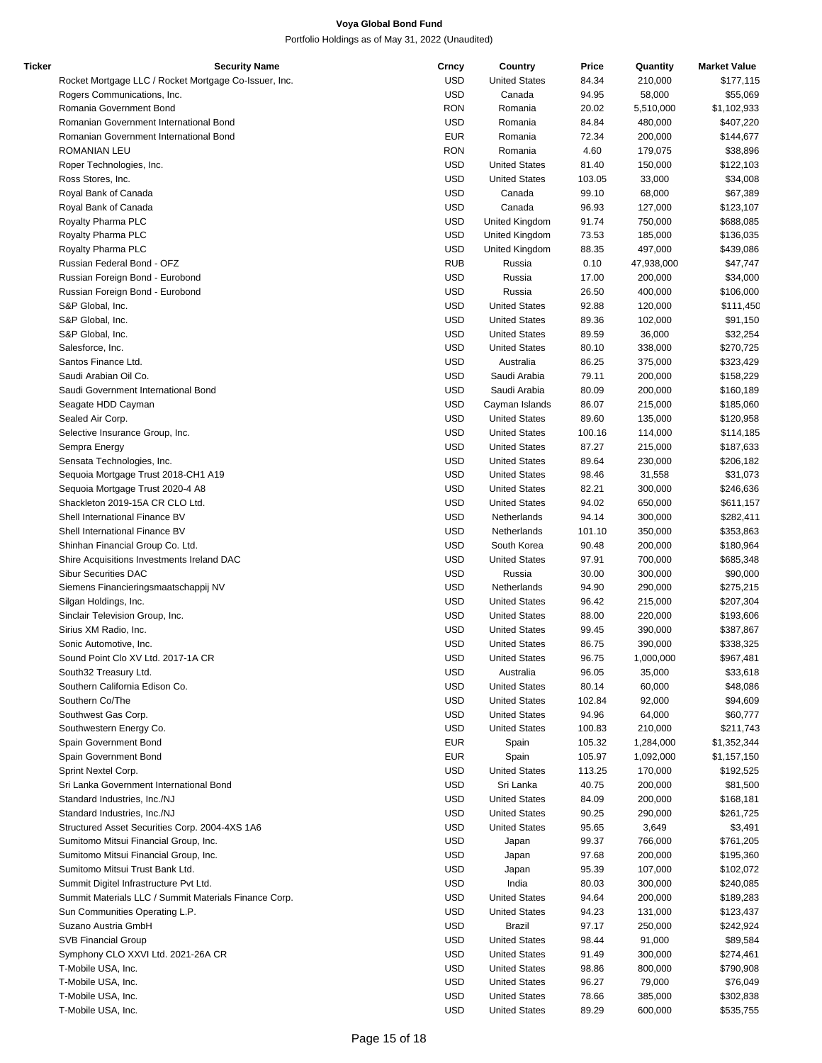| Ticker | <b>Security Name</b>                                  | Crncy      | Country              | Price  | Quantity   | <b>Market Value</b> |
|--------|-------------------------------------------------------|------------|----------------------|--------|------------|---------------------|
|        | Rocket Mortgage LLC / Rocket Mortgage Co-Issuer, Inc. | <b>USD</b> | <b>United States</b> | 84.34  | 210,000    | \$177,115           |
|        | Rogers Communications, Inc.                           | <b>USD</b> | Canada               | 94.95  | 58,000     | \$55,069            |
|        | Romania Government Bond                               | <b>RON</b> | Romania              | 20.02  | 5,510,000  | \$1,102,933         |
|        | Romanian Government International Bond                | <b>USD</b> | Romania              | 84.84  | 480,000    | \$407,220           |
|        | Romanian Government International Bond                | <b>EUR</b> | Romania              | 72.34  | 200,000    | \$144,677           |
|        | ROMANIAN LEU                                          | <b>RON</b> | Romania              | 4.60   | 179,075    | \$38,896            |
|        | Roper Technologies, Inc.                              | <b>USD</b> | <b>United States</b> | 81.40  | 150,000    | \$122,103           |
|        | Ross Stores, Inc.                                     | <b>USD</b> | <b>United States</b> | 103.05 | 33,000     | \$34,008            |
|        | Royal Bank of Canada                                  | <b>USD</b> | Canada               | 99.10  | 68,000     | \$67,389            |
|        |                                                       | <b>USD</b> | Canada               | 96.93  | 127,000    |                     |
|        | Royal Bank of Canada                                  |            |                      |        |            | \$123,107           |
|        | Royalty Pharma PLC                                    | <b>USD</b> | United Kingdom       | 91.74  | 750,000    | \$688,085           |
|        | Royalty Pharma PLC                                    | <b>USD</b> | United Kingdom       | 73.53  | 185,000    | \$136,035           |
|        | Royalty Pharma PLC                                    | <b>USD</b> | United Kingdom       | 88.35  | 497,000    | \$439,086           |
|        | Russian Federal Bond - OFZ                            | <b>RUB</b> | Russia               | 0.10   | 47,938,000 | \$47,747            |
|        | Russian Foreign Bond - Eurobond                       | <b>USD</b> | Russia               | 17.00  | 200,000    | \$34,000            |
|        | Russian Foreign Bond - Eurobond                       | <b>USD</b> | Russia               | 26.50  | 400,000    | \$106,000           |
|        | S&P Global, Inc.                                      | <b>USD</b> | <b>United States</b> | 92.88  | 120,000    | \$111,450           |
|        | S&P Global, Inc.                                      | <b>USD</b> | <b>United States</b> | 89.36  | 102,000    | \$91,150            |
|        | S&P Global, Inc.                                      | <b>USD</b> | <b>United States</b> | 89.59  | 36,000     | \$32,254            |
|        | Salesforce, Inc.                                      | <b>USD</b> | <b>United States</b> | 80.10  | 338,000    | \$270,725           |
|        | Santos Finance Ltd.                                   | <b>USD</b> | Australia            | 86.25  | 375,000    | \$323,429           |
|        | Saudi Arabian Oil Co.                                 | <b>USD</b> | Saudi Arabia         | 79.11  | 200,000    | \$158,229           |
|        | Saudi Government International Bond                   | <b>USD</b> | Saudi Arabia         | 80.09  | 200,000    | \$160,189           |
|        | Seagate HDD Cayman                                    | <b>USD</b> | Cayman Islands       | 86.07  | 215,000    | \$185,060           |
|        |                                                       | <b>USD</b> |                      |        |            |                     |
|        | Sealed Air Corp.                                      |            | <b>United States</b> | 89.60  | 135,000    | \$120,958           |
|        | Selective Insurance Group, Inc.                       | <b>USD</b> | <b>United States</b> | 100.16 | 114,000    | \$114,185           |
|        | Sempra Energy                                         | <b>USD</b> | <b>United States</b> | 87.27  | 215,000    | \$187,633           |
|        | Sensata Technologies, Inc.                            | <b>USD</b> | <b>United States</b> | 89.64  | 230,000    | \$206,182           |
|        | Sequoia Mortgage Trust 2018-CH1 A19                   | <b>USD</b> | <b>United States</b> | 98.46  | 31,558     | \$31,073            |
|        | Sequoia Mortgage Trust 2020-4 A8                      | <b>USD</b> | <b>United States</b> | 82.21  | 300,000    | \$246,636           |
|        | Shackleton 2019-15A CR CLO Ltd.                       | <b>USD</b> | <b>United States</b> | 94.02  | 650,000    | \$611,157           |
|        | Shell International Finance BV                        | <b>USD</b> | Netherlands          | 94.14  | 300,000    | \$282,411           |
|        | Shell International Finance BV                        | <b>USD</b> | Netherlands          | 101.10 | 350,000    | \$353,863           |
|        | Shinhan Financial Group Co. Ltd.                      | <b>USD</b> | South Korea          | 90.48  | 200,000    | \$180,964           |
|        | Shire Acquisitions Investments Ireland DAC            | <b>USD</b> | <b>United States</b> | 97.91  | 700,000    | \$685,348           |
|        | <b>Sibur Securities DAC</b>                           | <b>USD</b> | Russia               | 30.00  | 300,000    | \$90,000            |
|        | Siemens Financieringsmaatschappij NV                  | <b>USD</b> | Netherlands          | 94.90  | 290,000    | \$275,215           |
|        | Silgan Holdings, Inc.                                 | <b>USD</b> | <b>United States</b> | 96.42  | 215,000    | \$207,304           |
|        |                                                       |            | <b>United States</b> |        |            |                     |
|        | Sinclair Television Group, Inc.                       | <b>USD</b> |                      | 88.00  | 220,000    | \$193,606           |
|        | Sirius XM Radio, Inc.                                 | <b>USD</b> | <b>United States</b> | 99.45  | 390,000    | \$387,867           |
|        | Sonic Automotive, Inc.                                | <b>USD</b> | <b>United States</b> | 86.75  | 390,000    | \$338,325           |
|        | Sound Point Clo XV Ltd. 2017-1A CR                    | <b>USD</b> | <b>United States</b> | 96.75  | 1,000,000  | \$967,481           |
|        | South32 Treasury Ltd.                                 | <b>USD</b> | Australia            | 96.05  | 35,000     | \$33,618            |
|        | Southern California Edison Co.                        | <b>USD</b> | <b>United States</b> | 80.14  | 60,000     | \$48,086            |
|        | Southern Co/The                                       | <b>USD</b> | <b>United States</b> | 102.84 | 92,000     | \$94,609            |
|        | Southwest Gas Corp.                                   | <b>USD</b> | <b>United States</b> | 94.96  | 64,000     | \$60,777            |
|        | Southwestern Energy Co.                               | <b>USD</b> | <b>United States</b> | 100.83 | 210,000    | \$211,743           |
|        | Spain Government Bond                                 | <b>EUR</b> | Spain                | 105.32 | 1,284,000  | \$1,352,344         |
|        | Spain Government Bond                                 | <b>EUR</b> | Spain                | 105.97 | 1,092,000  | \$1,157,150         |
|        | Sprint Nextel Corp.                                   | USD        | <b>United States</b> | 113.25 | 170,000    | \$192,525           |
|        | Sri Lanka Government International Bond               | <b>USD</b> | Sri Lanka            | 40.75  | 200,000    | \$81,500            |
|        | Standard Industries, Inc./NJ                          | <b>USD</b> | <b>United States</b> | 84.09  | 200,000    | \$168,181           |
|        | Standard Industries, Inc./NJ                          | <b>USD</b> |                      | 90.25  |            |                     |
|        |                                                       |            | <b>United States</b> |        | 290,000    | \$261,725           |
|        | Structured Asset Securities Corp. 2004-4XS 1A6        | <b>USD</b> | <b>United States</b> | 95.65  | 3,649      | \$3,491             |
|        | Sumitomo Mitsui Financial Group, Inc.                 | <b>USD</b> | Japan                | 99.37  | 766,000    | \$761,205           |
|        | Sumitomo Mitsui Financial Group, Inc.                 | <b>USD</b> | Japan                | 97.68  | 200,000    | \$195,360           |
|        | Sumitomo Mitsui Trust Bank Ltd.                       | <b>USD</b> | Japan                | 95.39  | 107,000    | \$102,072           |
|        | Summit Digitel Infrastructure Pvt Ltd.                | <b>USD</b> | India                | 80.03  | 300,000    | \$240,085           |
|        | Summit Materials LLC / Summit Materials Finance Corp. | <b>USD</b> | <b>United States</b> | 94.64  | 200,000    | \$189,283           |
|        | Sun Communities Operating L.P.                        | <b>USD</b> | <b>United States</b> | 94.23  | 131,000    | \$123,437           |
|        | Suzano Austria GmbH                                   | <b>USD</b> | Brazil               | 97.17  | 250,000    | \$242,924           |
|        | <b>SVB Financial Group</b>                            | USD        | <b>United States</b> | 98.44  | 91,000     | \$89,584            |
|        | Symphony CLO XXVI Ltd. 2021-26A CR                    | <b>USD</b> | <b>United States</b> | 91.49  | 300,000    | \$274,461           |
|        | T-Mobile USA, Inc.                                    | <b>USD</b> | <b>United States</b> | 98.86  | 800,000    | \$790,908           |
|        | T-Mobile USA, Inc.                                    | <b>USD</b> | <b>United States</b> | 96.27  | 79,000     | \$76,049            |
|        | T-Mobile USA, Inc.                                    | <b>USD</b> |                      |        |            |                     |
|        |                                                       |            | <b>United States</b> | 78.66  | 385,000    | \$302,838           |
|        | T-Mobile USA, Inc.                                    | <b>USD</b> | <b>United States</b> | 89.29  | 600,000    | \$535,755           |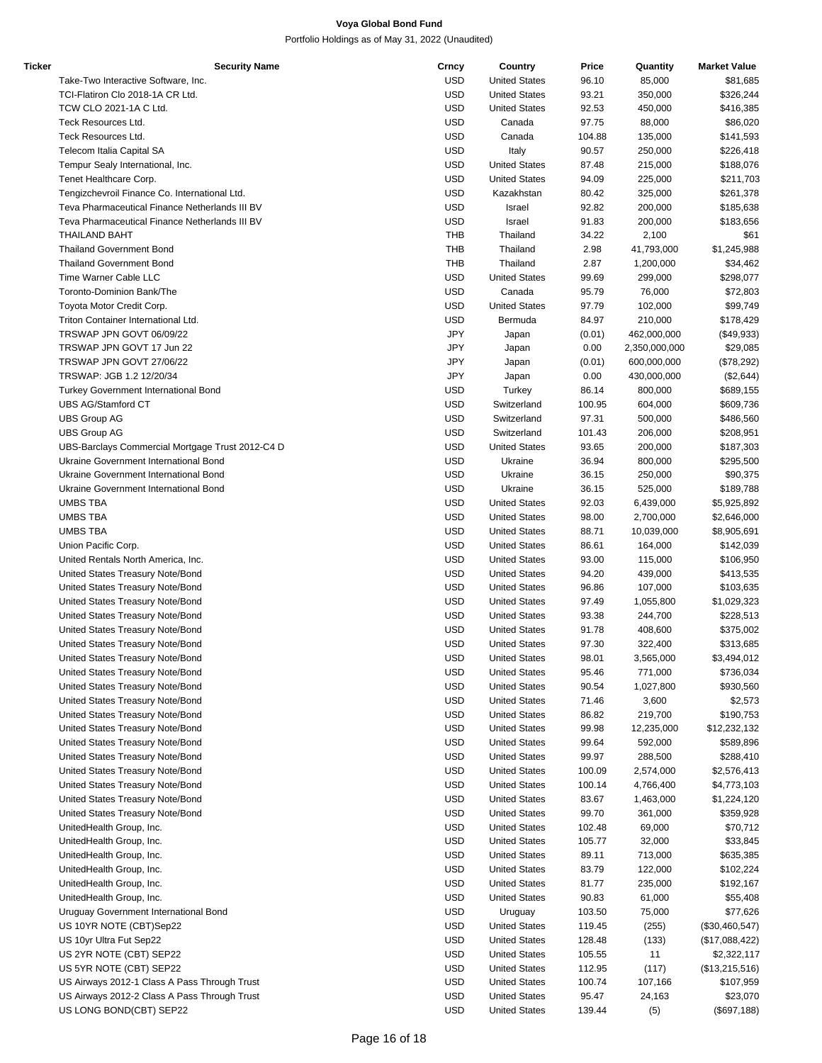| Ticker | <b>Security Name</b>                             | Crncy      | Country              | Price  | Quantity      | <b>Market Value</b> |
|--------|--------------------------------------------------|------------|----------------------|--------|---------------|---------------------|
|        | Take-Two Interactive Software, Inc.              | <b>USD</b> | <b>United States</b> | 96.10  | 85,000        | \$81,685            |
|        | TCI-Flatiron Clo 2018-1A CR Ltd.                 | <b>USD</b> | <b>United States</b> | 93.21  | 350,000       | \$326,244           |
|        | TCW CLO 2021-1A C Ltd.                           | <b>USD</b> | <b>United States</b> | 92.53  | 450,000       | \$416,385           |
|        | Teck Resources Ltd.                              | <b>USD</b> | Canada               | 97.75  | 88,000        | \$86,020            |
|        | Teck Resources Ltd.                              | <b>USD</b> | Canada               | 104.88 | 135,000       | \$141,593           |
|        | Telecom Italia Capital SA                        | <b>USD</b> | Italy                | 90.57  | 250,000       | \$226,418           |
|        | Tempur Sealy International, Inc.                 | <b>USD</b> | <b>United States</b> | 87.48  | 215,000       | \$188,076           |
|        | Tenet Healthcare Corp.                           | <b>USD</b> | <b>United States</b> | 94.09  | 225,000       | \$211,703           |
|        | Tengizchevroil Finance Co. International Ltd.    | <b>USD</b> | Kazakhstan           | 80.42  | 325,000       | \$261,378           |
|        | Teva Pharmaceutical Finance Netherlands III BV   | <b>USD</b> | Israel               | 92.82  | 200,000       | \$185,638           |
|        | Teva Pharmaceutical Finance Netherlands III BV   | <b>USD</b> | Israel               | 91.83  | 200,000       | \$183,656           |
|        |                                                  |            |                      |        |               |                     |
|        | <b>THAILAND BAHT</b>                             | <b>THB</b> | Thailand             | 34.22  | 2,100         | \$61                |
|        | <b>Thailand Government Bond</b>                  | <b>THB</b> | Thailand             | 2.98   | 41,793,000    | \$1,245,988         |
|        | <b>Thailand Government Bond</b>                  | <b>THB</b> | Thailand             | 2.87   | 1,200,000     | \$34,462            |
|        | Time Warner Cable LLC                            | <b>USD</b> | <b>United States</b> | 99.69  | 299,000       | \$298,077           |
|        | Toronto-Dominion Bank/The                        | <b>USD</b> | Canada               | 95.79  | 76,000        | \$72,803            |
|        | Toyota Motor Credit Corp.                        | <b>USD</b> | <b>United States</b> | 97.79  | 102,000       | \$99,749            |
|        | Triton Container International Ltd.              | <b>USD</b> | Bermuda              | 84.97  | 210,000       | \$178,429           |
|        | TRSWAP JPN GOVT 06/09/22                         | <b>JPY</b> | Japan                | (0.01) | 462,000,000   | $(\$49,933)$        |
|        | TRSWAP JPN GOVT 17 Jun 22                        | JPY        | Japan                | 0.00   | 2,350,000,000 | \$29,085            |
|        | TRSWAP JPN GOVT 27/06/22                         | JPY        | Japan                | (0.01) | 600,000,000   | (\$78,292)          |
|        | TRSWAP: JGB 1.2 12/20/34                         | JPY        | Japan                | 0.00   | 430,000,000   | (\$2,644)           |
|        | <b>Turkey Government International Bond</b>      | <b>USD</b> | Turkey               | 86.14  | 800,000       | \$689,155           |
|        | UBS AG/Stamford CT                               | <b>USD</b> | Switzerland          | 100.95 | 604,000       | \$609,736           |
|        | <b>UBS Group AG</b>                              | <b>USD</b> | Switzerland          | 97.31  | 500,000       | \$486,560           |
|        | <b>UBS Group AG</b>                              | <b>USD</b> | Switzerland          | 101.43 | 206,000       | \$208,951           |
|        | UBS-Barclays Commercial Mortgage Trust 2012-C4 D | <b>USD</b> | <b>United States</b> | 93.65  | 200,000       | \$187,303           |
|        | Ukraine Government International Bond            | <b>USD</b> | Ukraine              | 36.94  | 800,000       | \$295,500           |
|        | Ukraine Government International Bond            | <b>USD</b> | Ukraine              | 36.15  | 250,000       | \$90,375            |
|        | Ukraine Government International Bond            | <b>USD</b> | Ukraine              | 36.15  | 525,000       | \$189,788           |
|        | <b>UMBS TBA</b>                                  | <b>USD</b> | <b>United States</b> | 92.03  | 6,439,000     | \$5,925,892         |
|        | <b>UMBS TBA</b>                                  | <b>USD</b> | <b>United States</b> | 98.00  | 2,700,000     | \$2,646,000         |
|        | UMBS TBA                                         | <b>USD</b> | <b>United States</b> | 88.71  | 10,039,000    | \$8,905,691         |
|        |                                                  |            | <b>United States</b> |        |               |                     |
|        | Union Pacific Corp.                              | <b>USD</b> |                      | 86.61  | 164,000       | \$142,039           |
|        | United Rentals North America, Inc.               | <b>USD</b> | <b>United States</b> | 93.00  | 115,000       | \$106,950           |
|        | United States Treasury Note/Bond                 | <b>USD</b> | <b>United States</b> | 94.20  | 439,000       | \$413,535           |
|        | United States Treasury Note/Bond                 | <b>USD</b> | <b>United States</b> | 96.86  | 107,000       | \$103,635           |
|        | United States Treasury Note/Bond                 | <b>USD</b> | <b>United States</b> | 97.49  | 1,055,800     | \$1,029,323         |
|        | United States Treasury Note/Bond                 | <b>USD</b> | <b>United States</b> | 93.38  | 244,700       | \$228,513           |
|        | United States Treasury Note/Bond                 | <b>USD</b> | <b>United States</b> | 91.78  | 408,600       | \$375,002           |
|        | United States Treasury Note/Bond                 | <b>USD</b> | <b>United States</b> | 97.30  | 322,400       | \$313,685           |
|        | United States Treasury Note/Bond                 | <b>USD</b> | <b>United States</b> | 98.01  | 3,565,000     | \$3,494,012         |
|        | United States Treasury Note/Bond                 | <b>USD</b> | <b>United States</b> | 95.46  | 771,000       | \$736,034           |
|        | United States Treasury Note/Bond                 | <b>USD</b> | <b>United States</b> | 90.54  | 1,027,800     | \$930,560           |
|        | United States Treasury Note/Bond                 | <b>USD</b> | <b>United States</b> | 71.46  | 3,600         | \$2,573             |
|        | United States Treasury Note/Bond                 | <b>USD</b> | <b>United States</b> | 86.82  | 219,700       | \$190,753           |
|        | United States Treasury Note/Bond                 | <b>USD</b> | <b>United States</b> | 99.98  | 12,235,000    | \$12,232,132        |
|        | United States Treasury Note/Bond                 | <b>USD</b> | <b>United States</b> | 99.64  | 592,000       | \$589,896           |
|        | United States Treasury Note/Bond                 | <b>USD</b> | <b>United States</b> | 99.97  | 288,500       | \$288,410           |
|        | United States Treasury Note/Bond                 | <b>USD</b> | <b>United States</b> | 100.09 | 2,574,000     | \$2,576,413         |
|        | United States Treasury Note/Bond                 | <b>USD</b> | <b>United States</b> | 100.14 | 4,766,400     | \$4,773,103         |
|        | United States Treasury Note/Bond                 | <b>USD</b> | <b>United States</b> | 83.67  | 1,463,000     | \$1,224,120         |
|        | United States Treasury Note/Bond                 | <b>USD</b> | <b>United States</b> | 99.70  | 361,000       | \$359,928           |
|        | UnitedHealth Group, Inc.                         | <b>USD</b> | <b>United States</b> | 102.48 | 69,000        | \$70,712            |
|        | UnitedHealth Group, Inc.                         | <b>USD</b> | <b>United States</b> | 105.77 | 32,000        | \$33,845            |
|        | UnitedHealth Group, Inc.                         | <b>USD</b> | <b>United States</b> | 89.11  | 713,000       | \$635,385           |
|        | UnitedHealth Group, Inc.                         | <b>USD</b> | <b>United States</b> | 83.79  | 122,000       | \$102,224           |
|        | UnitedHealth Group, Inc.                         | <b>USD</b> | <b>United States</b> | 81.77  | 235,000       | \$192,167           |
|        |                                                  |            |                      |        |               |                     |
|        | UnitedHealth Group, Inc.                         | <b>USD</b> | <b>United States</b> | 90.83  | 61,000        | \$55,408            |
|        | Uruguay Government International Bond            | <b>USD</b> | Uruguay              | 103.50 | 75,000        | \$77,626            |
|        | US 10YR NOTE (CBT)Sep22                          | <b>USD</b> | <b>United States</b> | 119.45 | (255)         | (\$30,460,547)      |
|        | US 10yr Ultra Fut Sep22                          | <b>USD</b> | <b>United States</b> | 128.48 | (133)         | (\$17,088,422)      |
|        | US 2YR NOTE (CBT) SEP22                          | <b>USD</b> | <b>United States</b> | 105.55 | 11            | \$2,322,117         |
|        | US 5YR NOTE (CBT) SEP22                          | <b>USD</b> | <b>United States</b> | 112.95 | (117)         | (\$13,215,516)      |
|        | US Airways 2012-1 Class A Pass Through Trust     | <b>USD</b> | <b>United States</b> | 100.74 | 107,166       | \$107,959           |
|        | US Airways 2012-2 Class A Pass Through Trust     | <b>USD</b> | <b>United States</b> | 95.47  | 24,163        | \$23,070            |
|        | US LONG BOND(CBT) SEP22                          | <b>USD</b> | <b>United States</b> | 139.44 | (5)           | (\$697,188)         |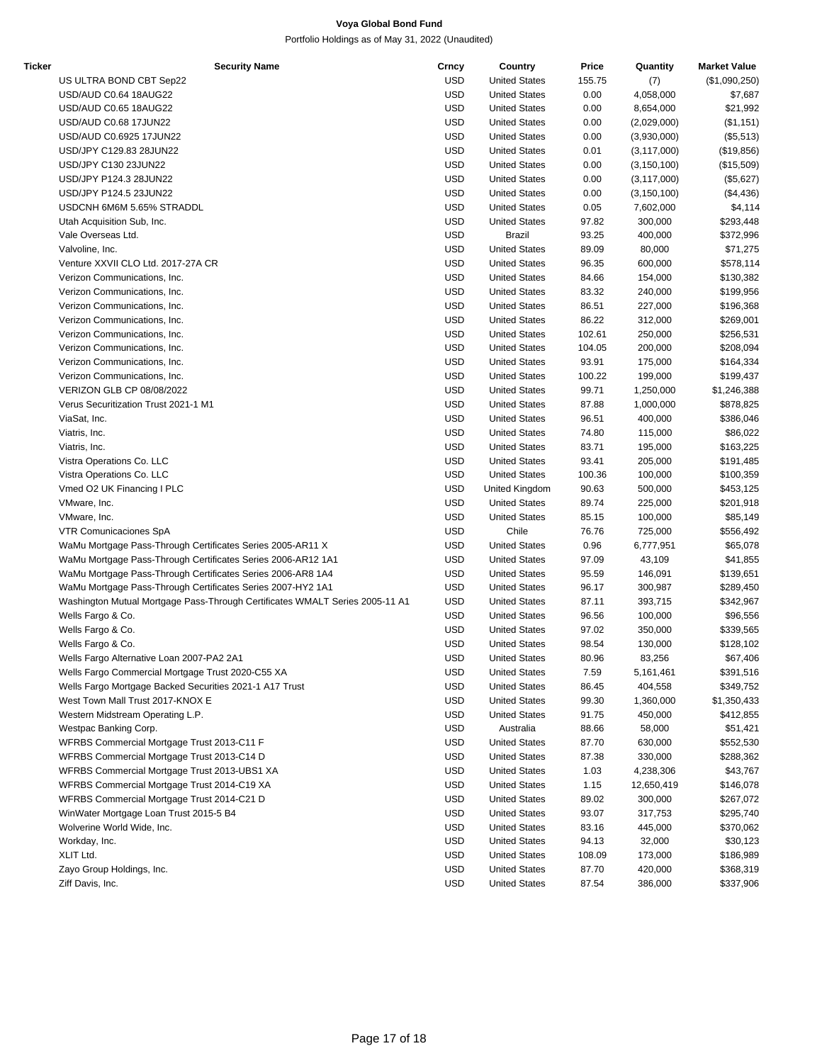| Ticker | <b>Security Name</b>                                                         | Crncy      | Country              | Price  | Quantity      | <b>Market Value</b>    |
|--------|------------------------------------------------------------------------------|------------|----------------------|--------|---------------|------------------------|
|        | US ULTRA BOND CBT Sep22                                                      | <b>USD</b> | <b>United States</b> | 155.75 | (7)           | (\$1,090,250)          |
|        | USD/AUD C0.64 18AUG22                                                        | <b>USD</b> | <b>United States</b> | 0.00   | 4,058,000     | \$7,687                |
|        | USD/AUD C0.65 18AUG22                                                        | <b>USD</b> | <b>United States</b> | 0.00   | 8,654,000     | \$21,992               |
|        | USD/AUD C0.68 17JUN22                                                        | <b>USD</b> | <b>United States</b> | 0.00   | (2,029,000)   | (\$1,151)              |
|        | USD/AUD C0.6925 17JUN22                                                      | <b>USD</b> | <b>United States</b> | 0.00   | (3,930,000)   | (\$5,513)              |
|        | USD/JPY C129.83 28JUN22                                                      | <b>USD</b> | <b>United States</b> | 0.01   | (3, 117, 000) | (\$19,856)             |
|        | USD/JPY C130 23JUN22                                                         | <b>USD</b> | <b>United States</b> | 0.00   | (3, 150, 100) | (\$15,509)             |
|        | USD/JPY P124.3 28JUN22                                                       | <b>USD</b> | <b>United States</b> | 0.00   | (3, 117, 000) | (\$5,627)              |
|        | USD/JPY P124.5 23JUN22                                                       | <b>USD</b> | <b>United States</b> | 0.00   | (3, 150, 100) | (\$4,436)              |
|        | USDCNH 6M6M 5.65% STRADDL                                                    | <b>USD</b> | <b>United States</b> | 0.05   | 7,602,000     | \$4,114                |
|        | Utah Acquisition Sub, Inc.                                                   | <b>USD</b> | <b>United States</b> | 97.82  | 300,000       | \$293,448              |
|        | Vale Overseas Ltd.                                                           | <b>USD</b> | Brazil               | 93.25  | 400,000       | \$372,996              |
|        | Valvoline, Inc.                                                              | <b>USD</b> | <b>United States</b> | 89.09  | 80,000        | \$71,275               |
|        | Venture XXVII CLO Ltd. 2017-27A CR                                           | <b>USD</b> | <b>United States</b> | 96.35  | 600,000       | \$578,114              |
|        | Verizon Communications, Inc.                                                 | <b>USD</b> | <b>United States</b> | 84.66  | 154,000       | \$130,382              |
|        | Verizon Communications, Inc.                                                 | <b>USD</b> | <b>United States</b> | 83.32  | 240,000       | \$199,956              |
|        | Verizon Communications, Inc.                                                 | <b>USD</b> | <b>United States</b> | 86.51  | 227,000       | \$196,368              |
|        | Verizon Communications, Inc.                                                 | <b>USD</b> | <b>United States</b> | 86.22  | 312,000       | \$269,001              |
|        | Verizon Communications, Inc.                                                 | <b>USD</b> | <b>United States</b> | 102.61 | 250,000       | \$256,531              |
|        | Verizon Communications, Inc.                                                 | <b>USD</b> | <b>United States</b> | 104.05 | 200,000       | \$208,094              |
|        | Verizon Communications, Inc.                                                 | <b>USD</b> | <b>United States</b> | 93.91  | 175,000       |                        |
|        |                                                                              | <b>USD</b> |                      |        |               | \$164,334<br>\$199,437 |
|        | Verizon Communications, Inc.                                                 |            | <b>United States</b> | 100.22 | 199,000       |                        |
|        | VERIZON GLB CP 08/08/2022                                                    | <b>USD</b> | <b>United States</b> | 99.71  | 1,250,000     | \$1,246,388            |
|        | Verus Securitization Trust 2021-1 M1                                         | <b>USD</b> | <b>United States</b> | 87.88  | 1,000,000     | \$878,825              |
|        | ViaSat, Inc.                                                                 | <b>USD</b> | <b>United States</b> | 96.51  | 400,000       | \$386,046              |
|        | Viatris, Inc.                                                                | <b>USD</b> | <b>United States</b> | 74.80  | 115,000       | \$86,022               |
|        | Viatris, Inc.                                                                | <b>USD</b> | <b>United States</b> | 83.71  | 195,000       | \$163,225              |
|        | Vistra Operations Co. LLC                                                    | <b>USD</b> | <b>United States</b> | 93.41  | 205,000       | \$191,485              |
|        | Vistra Operations Co. LLC                                                    | <b>USD</b> | <b>United States</b> | 100.36 | 100,000       | \$100,359              |
|        | Vmed O2 UK Financing I PLC                                                   | <b>USD</b> | United Kingdom       | 90.63  | 500,000       | \$453,125              |
|        | VMware, Inc.                                                                 | <b>USD</b> | <b>United States</b> | 89.74  | 225,000       | \$201,918              |
|        | VMware, Inc.                                                                 | <b>USD</b> | <b>United States</b> | 85.15  | 100,000       | \$85,149               |
|        | <b>VTR Comunicaciones SpA</b>                                                | <b>USD</b> | Chile                | 76.76  | 725,000       | \$556,492              |
|        | WaMu Mortgage Pass-Through Certificates Series 2005-AR11 X                   | <b>USD</b> | <b>United States</b> | 0.96   | 6,777,951     | \$65,078               |
|        | WaMu Mortgage Pass-Through Certificates Series 2006-AR12 1A1                 | <b>USD</b> | <b>United States</b> | 97.09  | 43,109        | \$41,855               |
|        | WaMu Mortgage Pass-Through Certificates Series 2006-AR8 1A4                  | <b>USD</b> | <b>United States</b> | 95.59  | 146,091       | \$139,651              |
|        | WaMu Mortgage Pass-Through Certificates Series 2007-HY2 1A1                  | <b>USD</b> | <b>United States</b> | 96.17  | 300,987       | \$289,450              |
|        | Washington Mutual Mortgage Pass-Through Certificates WMALT Series 2005-11 A1 | <b>USD</b> | <b>United States</b> | 87.11  | 393,715       | \$342,967              |
|        | Wells Fargo & Co.                                                            | <b>USD</b> | <b>United States</b> | 96.56  | 100,000       | \$96,556               |
|        | Wells Fargo & Co.                                                            | <b>USD</b> | <b>United States</b> | 97.02  | 350,000       | \$339,565              |
|        | Wells Fargo & Co.                                                            | <b>USD</b> | <b>United States</b> | 98.54  | 130,000       | \$128,102              |
|        | Wells Fargo Alternative Loan 2007-PA2 2A1                                    | USD        | <b>United States</b> | 80.96  | 83,256        | \$67,406               |
|        | Wells Fargo Commercial Mortgage Trust 2020-C55 XA                            | <b>USD</b> | <b>United States</b> | 7.59   | 5,161,461     | \$391,516              |
|        | Wells Fargo Mortgage Backed Securities 2021-1 A17 Trust                      | <b>USD</b> | <b>United States</b> | 86.45  | 404,558       | \$349,752              |
|        | West Town Mall Trust 2017-KNOX E                                             | <b>USD</b> | <b>United States</b> | 99.30  | 1,360,000     | \$1,350,433            |
|        | Western Midstream Operating L.P.                                             | <b>USD</b> | <b>United States</b> | 91.75  | 450,000       | \$412,855              |
|        | Westpac Banking Corp.                                                        | <b>USD</b> | Australia            | 88.66  | 58,000        | \$51,421               |
|        | WFRBS Commercial Mortgage Trust 2013-C11 F                                   | <b>USD</b> | <b>United States</b> | 87.70  | 630,000       | \$552,530              |
|        | WFRBS Commercial Mortgage Trust 2013-C14 D                                   | <b>USD</b> | <b>United States</b> | 87.38  | 330,000       | \$288,362              |
|        | WFRBS Commercial Mortgage Trust 2013-UBS1 XA                                 | <b>USD</b> | <b>United States</b> | 1.03   | 4,238,306     | \$43,767               |
|        | WFRBS Commercial Mortgage Trust 2014-C19 XA                                  | <b>USD</b> | <b>United States</b> | 1.15   | 12,650,419    | \$146,078              |
|        | WFRBS Commercial Mortgage Trust 2014-C21 D                                   | <b>USD</b> | <b>United States</b> | 89.02  | 300,000       | \$267,072              |
|        | WinWater Mortgage Loan Trust 2015-5 B4                                       | <b>USD</b> | <b>United States</b> | 93.07  | 317,753       | \$295,740              |
|        | Wolverine World Wide, Inc.                                                   | <b>USD</b> | <b>United States</b> | 83.16  | 445,000       | \$370,062              |
|        | Workday, Inc.                                                                | <b>USD</b> | <b>United States</b> | 94.13  | 32,000        | \$30,123               |
|        | XLIT Ltd.                                                                    | <b>USD</b> | <b>United States</b> | 108.09 | 173,000       | \$186,989              |
|        | Zayo Group Holdings, Inc.                                                    | <b>USD</b> | <b>United States</b> | 87.70  | 420,000       | \$368,319              |
|        | Ziff Davis, Inc.                                                             | <b>USD</b> | <b>United States</b> | 87.54  | 386,000       | \$337,906              |
|        |                                                                              |            |                      |        |               |                        |